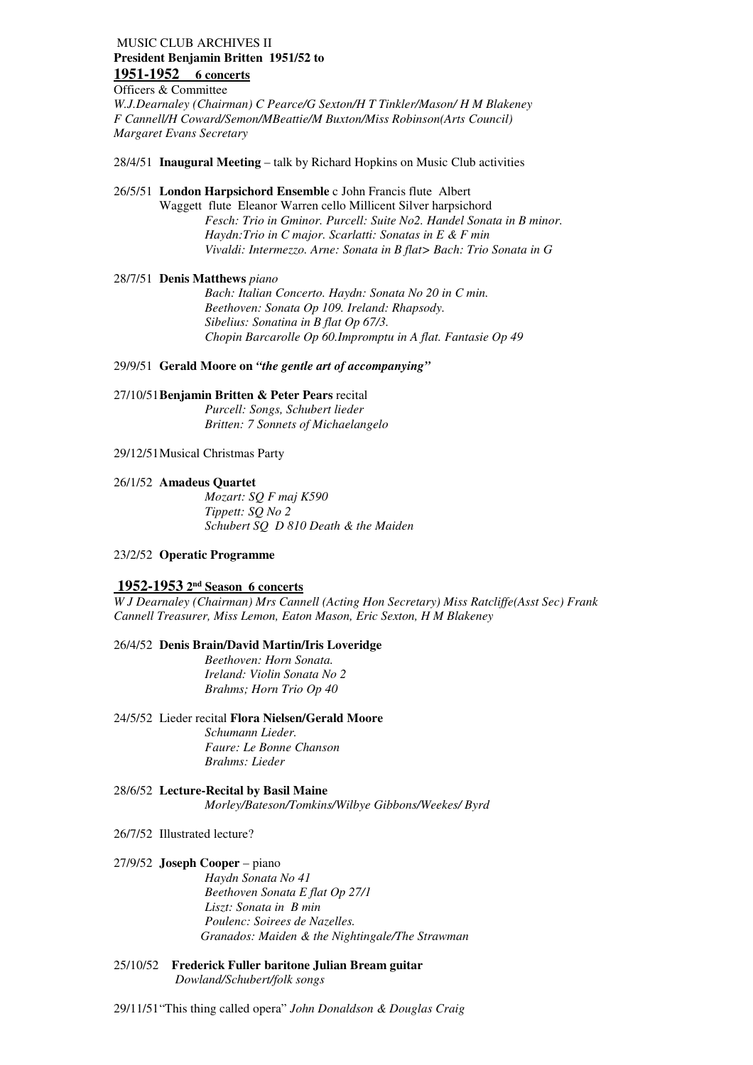# MUSIC CLUB ARCHIVES II  **President Benjamin Britten 1951/52 to 1951-1952 6 concerts**

 Officers & Committee  *W.J.Dearnaley (Chairman) C Pearce/G Sexton/H T Tinkler/Mason/ H M Blakeney F Cannell/H Coward/Semon/MBeattie/M Buxton/Miss Robinson(Arts Council) Margaret Evans Secretary* 

28/4/51 **Inaugural Meeting** – talk by Richard Hopkins on Music Club activities

 26/5/51 **London Harpsichord Ensemble** c John Francis flute Albert Waggett flute Eleanor Warren cello Millicent Silver harpsichord *Fesch: Trio in Gminor. Purcell: Suite No2. Handel Sonata in B minor. Haydn:Trio in C major. Scarlatti: Sonatas in E & F min Vivaldi: Intermezzo. Arne: Sonata in B flat> Bach: Trio Sonata in G* 

### 28/7/51 **Denis Matthews** *piano*

*Bach: Italian Concerto. Haydn: Sonata No 20 in C min. Beethoven: Sonata Op 109. Ireland: Rhapsody. Sibelius: Sonatina in B flat Op 67/3. Chopin Barcarolle Op 60.Impromptu in A flat. Fantasie Op 49* 

 29/9/51 **Gerald Moore on** *"the gentle art of accompanying"* 

## 27/10/51**Benjamin Britten & Peter Pears** recital

 *Britten: 7 Sonnets of Michaelangelo Purcell: Songs, Schubert lieder* 

29/12/51Musical Christmas Party

### 26/1/52 **Amadeus Quartet**

 *Tippett: SQ No 2 Schubert SQ D 810 Death & the Maiden Mozart: SQ F maj K590* 

### 23/2/52 **Operatic Programme**

# **1952-1953 2nd Season 6 concerts**

 *W J Dearnaley (Chairman) Mrs Cannell (Acting Hon Secretary) Miss Ratcliffe(Asst Sec) Frank Cannell Treasurer, Miss Lemon, Eaton Mason, Eric Sexton, H M Blakeney* 

### 26/4/52 **Denis Brain/David Martin/Iris Loveridge**

 *Ireland: Violin Sonata No 2 Brahms; Horn Trio Op 40 Beethoven: Horn Sonata.* 

### 24/5/52 Lieder recital **Flora Nielsen/Gerald Moore**

 *Faure: Le Bonne Chanson Brahms: Lieder Schumann Lieder.* 

### 28/6/52 **Lecture-Recital by Basil Maine**  *Morley/Bateson/Tomkins/Wilbye Gibbons/Weekes/ Byrd*

### 26/7/52 Illustrated lecture?

### 27/9/52 **Joseph Cooper** – piano

 *Beethoven Sonata E flat Op 27/1 Liszt: Sonata in B min Haydn Sonata No 41 Poulenc: Soirees de Nazelles. Granados: Maiden & the Nightingale/The Strawman* 

### 25/10/52 **Frederick Fuller baritone Julian Bream guitar**  *Dowland/Schubert/folk songs*

29/11/51"This thing called opera" *John Donaldson & Douglas Craig*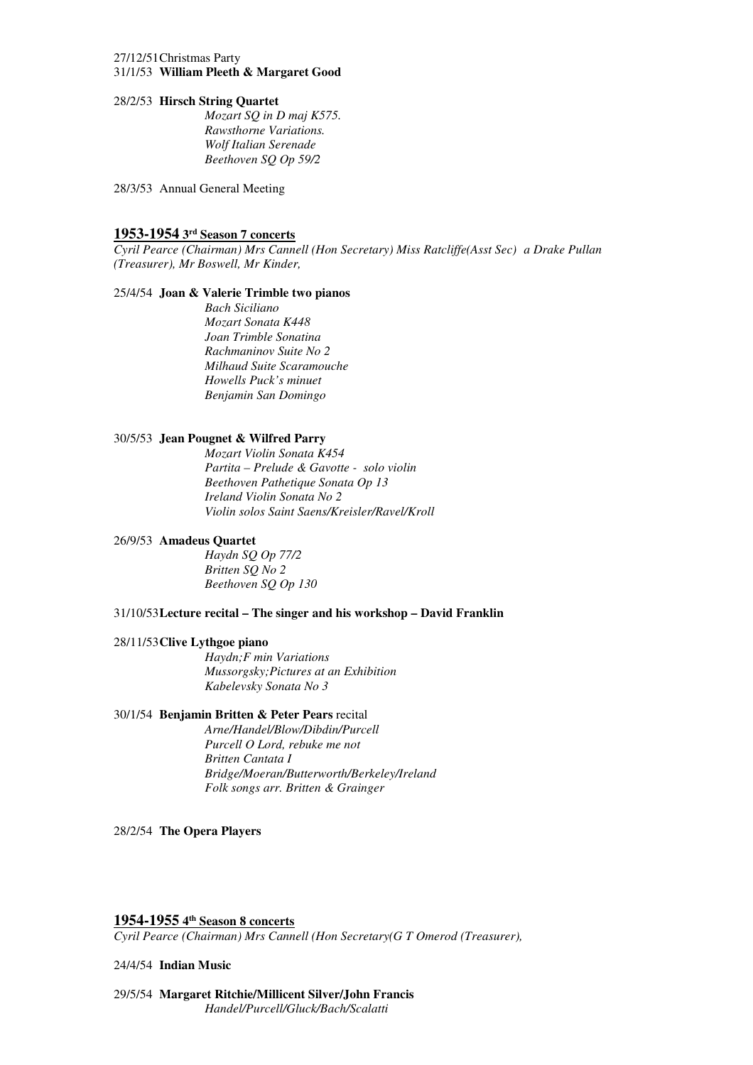### 27/12/51Christmas Party  31/1/53 **William Pleeth & Margaret Good**

### 28/2/53 **Hirsch String Quartet**

 *Rawsthorne Variations. Wolf Italian Serenade Mozart SQ in D maj K575. Beethoven SQ Op 59/2* 

28/3/53 Annual General Meeting

# **1953-1954 3rd Season 7 concerts**

 *Cyril Pearce (Chairman) Mrs Cannell (Hon Secretary) Miss Ratcliffe(Asst Sec) a Drake Pullan (Treasurer), Mr Boswell, Mr Kinder,* 

### 25/4/54 **Joan & Valerie Trimble two pianos**

 *Mozart Sonata K448 Joan Trimble Sonatina Rachmaninov Suite No 2 Milhaud Suite Scaramouche Howells Puck's minuet Benjamin San Domingo Bach Siciliano* 

### 30/5/53 **Jean Pougnet & Wilfred Parry**

 *Beethoven Pathetique Sonata Op 13 Ireland Violin Sonata No 2 Violin solos Saint Saens/Kreisler/Ravel/Kroll Mozart Violin Sonata K454 Partita – Prelude & Gavotte - solo violin* 

### 26/9/53 **Amadeus Quartet**

 *Britten SQ No 2 Beethoven SQ Op 130 Haydn SQ Op 77/2* 

### 31/10/53**Lecture recital – The singer and his workshop – David Franklin**

### 28/11/53**Clive Lythgoe piano**

 *Mussorgsky;Pictures at an Exhibition Kabelevsky Sonata No 3 Haydn;F min Variations* 

### 30/1/54 **Benjamin Britten & Peter Pears** recital

*Arne/Handel/Blow/Dibdin/Purcell Purcell O Lord, rebuke me not Britten Cantata I Bridge/Moeran/Butterworth/Berkeley/Ireland Folk songs arr. Britten & Grainger* 

### 28/2/54 **The Opera Players**

# **1954-1955 4th Season 8 concerts**

 *Cyril Pearce (Chairman) Mrs Cannell (Hon Secretary(G T Omerod (Treasurer),* 

### 24/4/54 **Indian Music**

 29/5/54 **Margaret Ritchie/Millicent Silver/John Francis**  *Handel/Purcell/Gluck/Bach/Scalatti*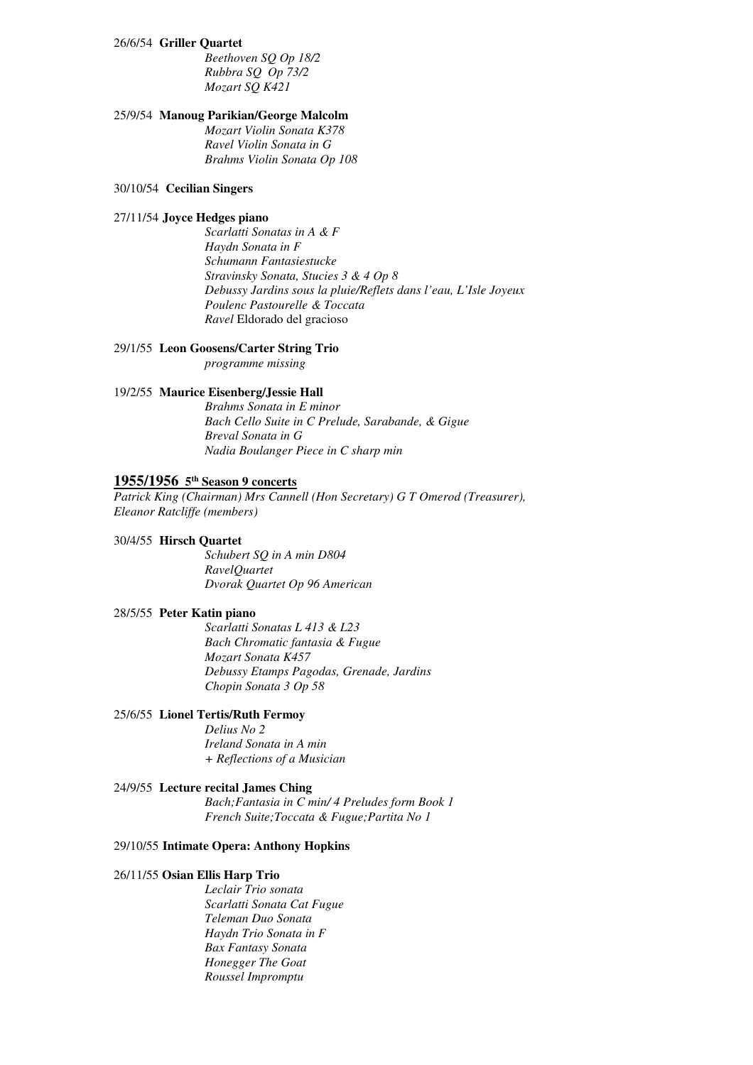### 26/6/54 **Griller Quartet**

 *Rubbra SQ Op 73/2 Mozart SQ K421 Beethoven SQ Op 18/2* 

### 25/9/54 **Manoug Parikian/George Malcolm**

 *Ravel Violin Sonata in G Brahms Violin Sonata Op 108 Mozart Violin Sonata K378* 

### 30/10/54 **Cecilian Singers**

### 27/11/54 **Joyce Hedges piano**

 *Haydn Sonata in F Stravinsky Sonata, Stucies 3 & 4 Op 8 Debussy Jardins sous la pluie/Reflets dans l'eau, L'Isle Joyeux Poulenc Pastourelle & Toccata Ravel* Eldorado del gracioso *Scarlatti Sonatas in A & F Schumann Fantasiestucke* 

### 29/1/55 **Leon Goosens/Carter String Trio**

*programme missing* 

### 19/2/55 **Maurice Eisenberg/Jessie Hall**

 *Bach Cello Suite in C Prelude, Sarabande, & Gigue Breval Sonata in G Nadia Boulanger Piece in C sharp min Brahms Sonata in E minor* 

# **1955/1956 5th Season 9 concerts**

 *Patrick King (Chairman) Mrs Cannell (Hon Secretary) G T Omerod (Treasurer), Eleanor Ratcliffe (members)* 

### 30/4/55 **Hirsch Quartet**

 *Dvorak Quartet Op 96 American Schubert SQ in A min D804 RavelQuartet* 

### 28/5/55 **Peter Katin piano**

 *Bach Chromatic fantasia & Fugue Mozart Sonata K457 Debussy Etamps Pagodas, Grenade, Jardins Chopin Sonata 3 Op 58 Scarlatti Sonatas L 413 & L23* 

### 25/6/55 **Lionel Tertis/Ruth Fermoy**

 *Ireland Sonata in A min + Reflections of a Musician Delius No 2* 

### 24/9/55 **Lecture recital James Ching**

 *French Suite;Toccata & Fugue;Partita No 1 Bach;Fantasia in C min/ 4 Preludes form Book 1* 

### 29/10/55 **Intimate Opera: Anthony Hopkins**

### 26/11/55 **Osian Ellis Harp Trio**

 *Scarlatti Sonata Cat Fugue Teleman Duo Sonata Haydn Trio Sonata in F Bax Fantasy Sonata Honegger The Goat Roussel Impromptu Leclair Trio sonata*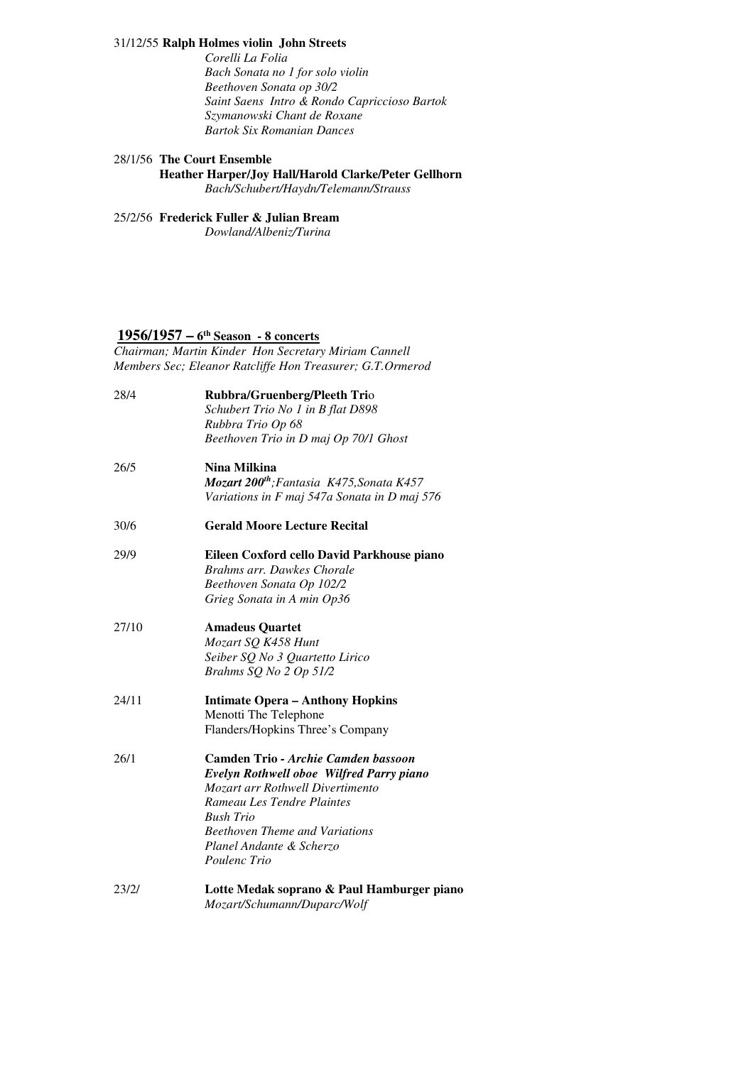### 31/12/55 **Ralph Holmes violin John Streets**

 *Bach Sonata no 1 for solo violin Beethoven Sonata op 30/2 Saint Saens Intro & Rondo Capriccioso Bartok Szymanowski Chant de Roxane Bartok Six Romanian Dances Corelli La Folia* 

### 28/1/56 **The Court Ensemble**

 **Heather Harper/Joy Hall/Harold Clarke/Peter Gellhorn** 

*Bach/Schubert/Haydn/Telemann/Strauss* 

### 25/2/56 **Frederick Fuller & Julian Bream**

*Dowland/Albeniz/Turina* 

# **1956/1957 – 6th Season - 8 concerts**

 *Chairman; Martin Kinder Hon Secretary Miriam Cannell Members Sec; Eleanor Ratcliffe Hon Treasurer; G.T.Ormerod* 

| Rubbra/Gruenberg/Pleeth Trio                          |
|-------------------------------------------------------|
| Schubert Trio No 1 in B flat D898                     |
| Rubbra Trio Op 68                                     |
| Beethoven Trio in D maj Op 70/1 Ghost                 |
| Nina Milkina                                          |
| Mozart 200 <sup>th</sup> ; Fantasia K475, Sonata K457 |
| Variations in F maj 547a Sonata in D maj 576          |
| <b>Gerald Moore Lecture Recital</b>                   |
| Eileen Coxford cello David Parkhouse piano            |
| Brahms arr. Dawkes Chorale                            |
| Beethoven Sonata Op 102/2                             |
| Grieg Sonata in A min Op36                            |
| <b>Amadeus Quartet</b>                                |
| Mozart SQ K458 Hunt                                   |
| Seiber SQ No 3 Quartetto Lirico                       |
| Brahms SQ No 2 Op 51/2                                |
| <b>Intimate Opera - Anthony Hopkins</b>               |
| Menotti The Telephone                                 |
| Flanders/Hopkins Three's Company                      |
| Camden Trio - Archie Camden bassoon                   |
| Evelyn Rothwell oboe Wilfred Parry piano              |
| Mozart arr Rothwell Divertimento                      |
| Rameau Les Tendre Plaintes                            |
| <b>Bush Trio</b>                                      |
| <b>Beethoven Theme and Variations</b>                 |
| Planel Andante & Scherzo                              |
| Poulenc Trio                                          |
| Lotte Medak soprano & Paul Hamburger piano            |
| Mozart/Schumann/Duparc/Wolf                           |
|                                                       |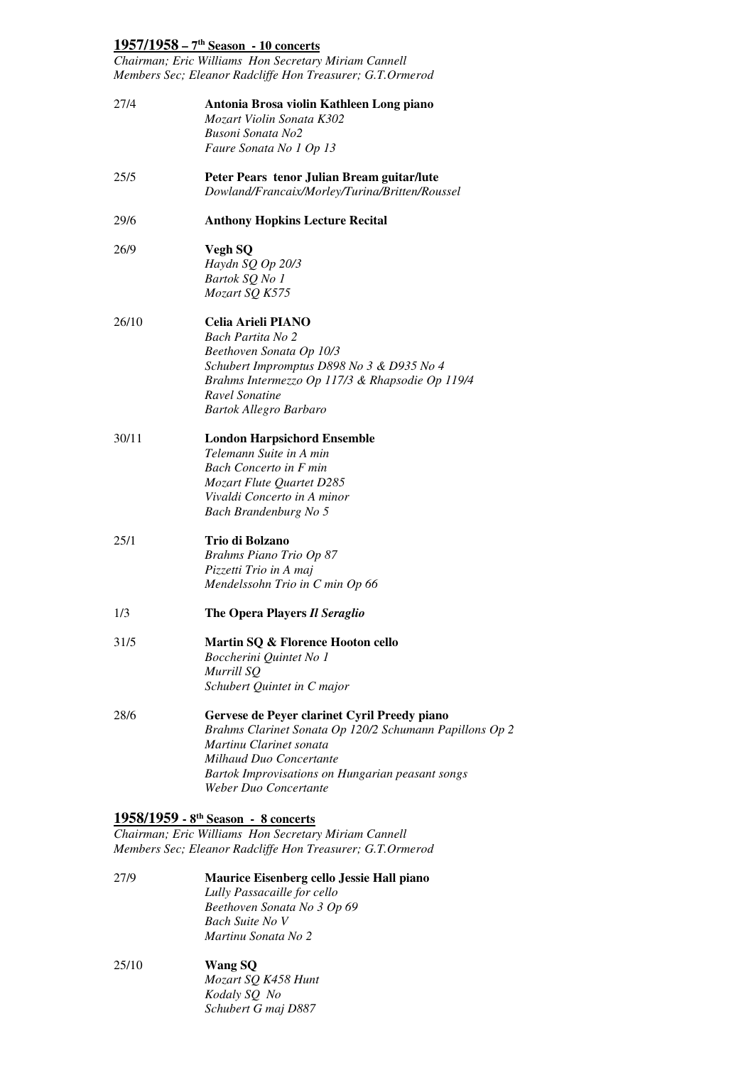# **1957/1958 – 7th Season - 10 concerts**

 *Chairman; Eric Williams Hon Secretary Miriam Cannell Members Sec; Eleanor Radcliffe Hon Treasurer; G.T.Ormerod* 

| 27/4  | Antonia Brosa violin Kathleen Long piano<br>Mozart Violin Sonata K302<br><b>Busoni Sonata No2</b><br>Faure Sonata No 1 Op 13                                                                                                               |
|-------|--------------------------------------------------------------------------------------------------------------------------------------------------------------------------------------------------------------------------------------------|
| 25/5  | Peter Pears tenor Julian Bream guitar/lute<br>Dowland/Francaix/Morley/Turina/Britten/Roussel                                                                                                                                               |
| 29/6  | <b>Anthony Hopkins Lecture Recital</b>                                                                                                                                                                                                     |
| 26/9  | Vegh SQ<br>Haydn SQ Op 20/3<br>Bartok SQ No 1<br>Mozart SQ K575                                                                                                                                                                            |
| 26/10 | Celia Arieli PIANO<br>Bach Partita No 2<br>Beethoven Sonata Op 10/3<br>Schubert Impromptus D898 No 3 & D935 No 4<br>Brahms Intermezzo Op 117/3 & Rhapsodie Op 119/4<br>Ravel Sonatine<br>Bartok Allegro Barbaro                            |
| 30/11 | <b>London Harpsichord Ensemble</b><br>Telemann Suite in A min<br><b>Bach Concerto in F min</b><br>Mozart Flute Quartet D285<br>Vivaldi Concerto in A minor<br>Bach Brandenburg No 5                                                        |
| 25/1  | Trio di Bolzano<br>Brahms Piano Trio Op 87<br>Pizzetti Trio in A maj<br>Mendelssohn Trio in C min Op 66                                                                                                                                    |
| 1/3   | The Opera Players Il Seraglio                                                                                                                                                                                                              |
| 31/5  | Martin SQ & Florence Hooton cello<br>Boccherini Quintet No 1<br>Murrill SQ<br>Schubert Quintet in C major                                                                                                                                  |
| 28/6  | Gervese de Peyer clarinet Cyril Preedy piano<br>Brahms Clarinet Sonata Op 120/2 Schumann Papillons Op 2<br>Martinu Clarinet sonata<br>Milhaud Duo Concertante<br>Bartok Improvisations on Hungarian peasant songs<br>Weber Duo Concertante |
|       | 1958/1959 - 8 <sup>th</sup> Season - 8 concerts                                                                                                                                                                                            |

 *Chairman; Eric Williams Hon Secretary Miriam Cannell Members Sec; Eleanor Radcliffe Hon Treasurer; G.T.Ormerod* 

- 27/9  *Beethoven Sonata No 3 Op 69 Bach Suite No V Martinu Sonata No 2*  **Maurice Eisenberg cello Jessie Hall piano**  *Lully Passacaille for cello*
- $25/10$  *Kodaly SQ No Schubert G maj D887*  **Wang SQ** *Mozart SQ K458 Hunt*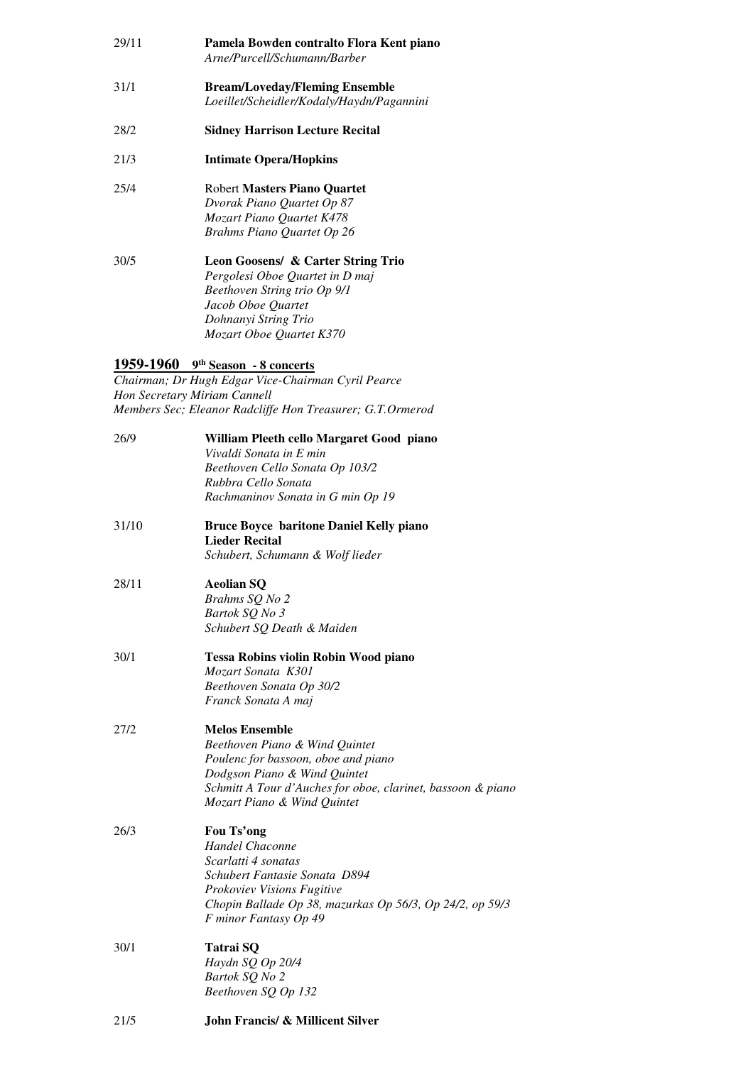| 29/11 | Pamela Bowden contralto Flora Kent piano<br>Arne/Purcell/Schumann/Barber                                              |
|-------|-----------------------------------------------------------------------------------------------------------------------|
| 31/1  | <b>Bream/Loveday/Fleming Ensemble</b><br>Loeillet/Scheidler/Kodaly/Haydn/Pagannini                                    |
| 28/2  | <b>Sidney Harrison Lecture Recital</b>                                                                                |
| 21/3  | <b>Intimate Opera/Hopkins</b>                                                                                         |
| 25/4  | Robert Masters Piano Quartet<br>Dvorak Piano Quartet Op 87<br>Mozart Piano Quartet K478<br>Brahms Piano Quartet Op 26 |
| 30/5  | Leon Goosens/ & Carter String Trio<br>Pergolesi Oboe Quartet in D maj<br>Beethoven String trio Op 9/1                 |

# *Mozart Oboe Quartet K370 Jacob Oboe Quartet Dohnanyi String Trio*

# **1959-1960 9th Season - 8 concerts**

 *Chairman; Dr Hugh Edgar Vice-Chairman Cyril Pearce Hon Secretary Miriam Cannell Members Sec; Eleanor Radcliffe Hon Treasurer; G.T.Ormerod* 

| 26/9  | William Pleeth cello Margaret Good piano<br>Vivaldi Sonata in E min<br>Beethoven Cello Sonata Op 103/2<br>Rubbra Cello Sonata<br>Rachmaninov Sonata in G min Op 19                                                           |
|-------|------------------------------------------------------------------------------------------------------------------------------------------------------------------------------------------------------------------------------|
| 31/10 | <b>Bruce Boyce baritone Daniel Kelly piano</b><br><b>Lieder Recital</b><br>Schubert, Schumann & Wolf lieder                                                                                                                  |
| 28/11 | <b>Aeolian SQ</b><br>Brahms SQ No 2<br>Bartok SQ No 3<br>Schubert SQ Death & Maiden                                                                                                                                          |
| 30/1  | <b>Tessa Robins violin Robin Wood piano</b><br>Mozart Sonata K301<br>Beethoven Sonata Op 30/2<br>Franck Sonata A maj                                                                                                         |
| 27/2  | <b>Melos Ensemble</b><br>Beethoven Piano & Wind Quintet<br>Poulenc for bassoon, oboe and piano<br>Dodgson Piano & Wind Quintet<br>Schmitt A Tour d'Auches for oboe, clarinet, bassoon & piano<br>Mozart Piano & Wind Quintet |
| 26/3  | Fou Ts'ong<br><b>Handel Chaconne</b><br>Scarlatti 4 sonatas<br>Schubert Fantasie Sonata D894<br>Prokoviev Visions Fugitive<br>Chopin Ballade Op 38, mazurkas Op 56/3, Op 24/2, op 59/3<br>F minor Fantasy Op 49              |
| 30/1  | Tatrai SQ<br>Haydn SQ Op 20/4<br>Bartok SQ No 2<br>Beethoven SQ Op 132                                                                                                                                                       |
| 21/5  | <b>John Francis/ &amp; Millicent Silver</b>                                                                                                                                                                                  |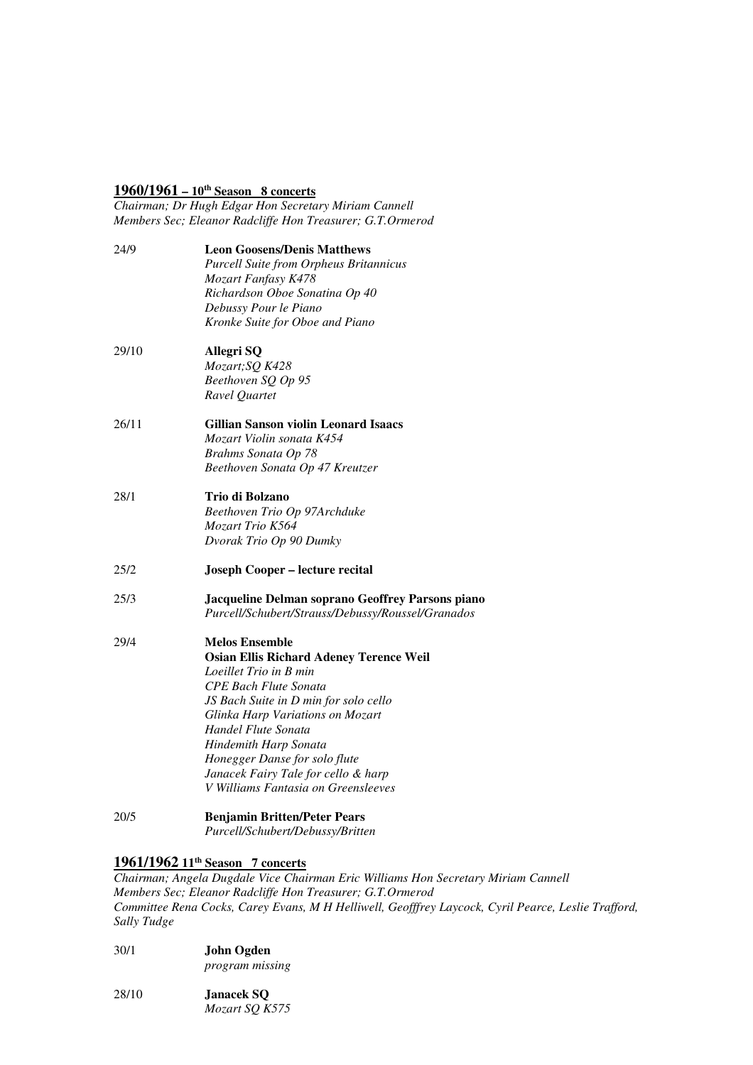# **1960/1961 – 10th Season 8 concerts**

 *Chairman; Dr Hugh Edgar Hon Secretary Miriam Cannell Members Sec; Eleanor Radcliffe Hon Treasurer; G.T.Ormerod* 

| 24/9  | <b>Leon Goosens/Denis Matthews</b>                |
|-------|---------------------------------------------------|
|       | <b>Purcell Suite from Orpheus Britannicus</b>     |
|       | Mozart Fanfasy K478                               |
|       | Richardson Oboe Sonatina Op 40                    |
|       | Debussy Pour le Piano                             |
|       | Kronke Suite for Oboe and Piano                   |
| 29/10 | Allegri SQ                                        |
|       | Mozart; SQ K428                                   |
|       | Beethoven SQ Op 95                                |
|       | Ravel Quartet                                     |
| 26/11 | <b>Gillian Sanson violin Leonard Isaacs</b>       |
|       | Mozart Violin sonata K454                         |
|       | Brahms Sonata Op 78                               |
|       | Beethoven Sonata Op 47 Kreutzer                   |
| 28/1  | Trio di Bolzano                                   |
|       | Beethoven Trio Op 97Archduke                      |
|       | Mozart Trio K564                                  |
|       | Dvorak Trio Op 90 Dumky                           |
| 25/2  | <b>Joseph Cooper - lecture recital</b>            |
| 25/3  | Jacqueline Delman soprano Geoffrey Parsons piano  |
|       | Purcell/Schubert/Strauss/Debussy/Roussel/Granados |
| 29/4  | <b>Melos Ensemble</b>                             |
|       | <b>Osian Ellis Richard Adeney Terence Weil</b>    |
|       | Loeillet Trio in B min                            |
|       | <b>CPE Bach Flute Sonata</b>                      |
|       | JS Bach Suite in D min for solo cello             |
|       | Glinka Harp Variations on Mozart                  |
|       | Handel Flute Sonata                               |
|       | Hindemith Harp Sonata                             |
|       | Honegger Danse for solo flute                     |
|       | Janacek Fairy Tale for cello & harp               |
|       | V Williams Fantasia on Greensleeves               |
| 20/5  | <b>Benjamin Britten/Peter Pears</b>               |
|       | Purcell/Schubert/Debussy/Britten                  |

# **1961/1962 11th Season 7 concerts**

 *Chairman; Angela Dugdale Vice Chairman Eric Williams Hon Secretary Miriam Cannell Members Sec; Eleanor Radcliffe Hon Treasurer; G.T.Ormerod Committee Rena Cocks, Carey Evans, M H Helliwell, Geofffrey Laycock, Cyril Pearce, Leslie Trafford, Sally Tudge* 

 $30/1$ 30/1 **John Ogden**  *program missing* 

28/10 Janacek SQ *Mozart SQ K575*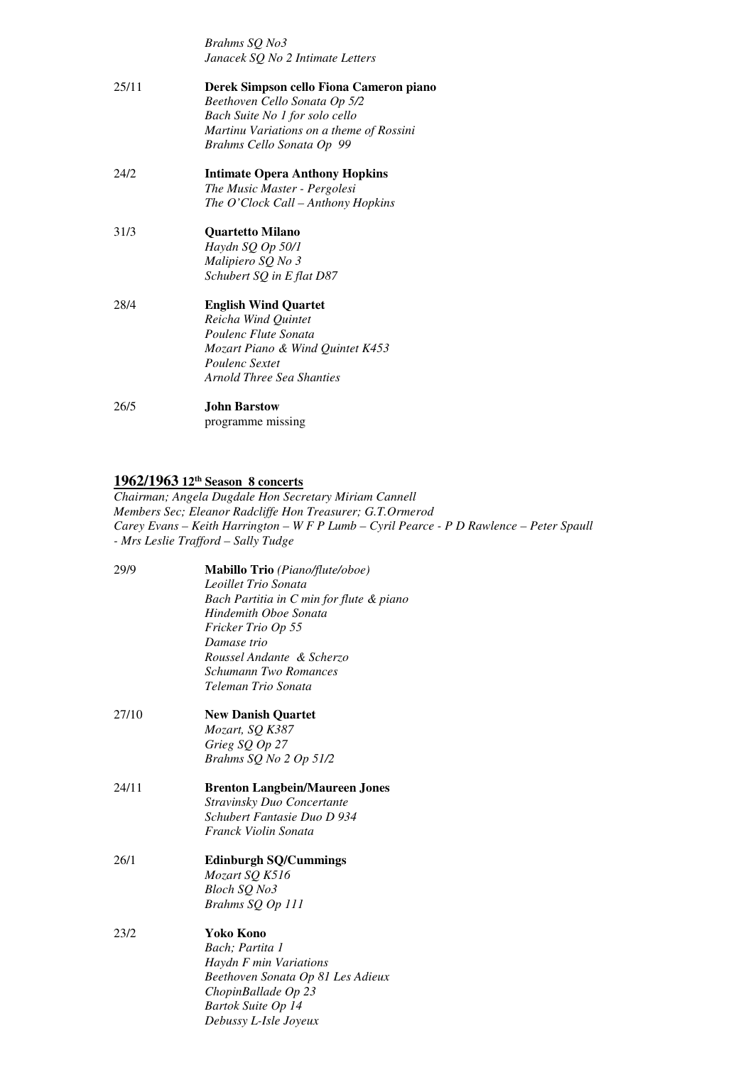*Brahms SQ No3 Janacek SQ No 2 Intimate Letters* 

| 25/11 | Derek Simpson cello Fiona Cameron piano<br>Beethoven Cello Sonata Op 5/2<br>Bach Suite No 1 for solo cello<br>Martinu Variations on a theme of Rossini<br>Brahms Cello Sonata Op 99 |
|-------|-------------------------------------------------------------------------------------------------------------------------------------------------------------------------------------|
| 24/2  | <b>Intimate Opera Anthony Hopkins</b><br>The Music Master - Pergolesi<br>The O'Clock Call - Anthony Hopkins                                                                         |
| 31/3  | <b>Ouartetto Milano</b><br>Haydn SQ Op 50/1<br>Malipiero SQ No 3<br>Schubert SQ in E flat D87                                                                                       |
| 28/4  | <b>English Wind Quartet</b><br>Reicha Wind Ouintet<br>Poulenc Flute Sonata<br>Mozart Piano & Wind Quintet K453<br><i>Poulenc Sextet</i><br>Arnold Three Sea Shanties                |
| 26/5  | <b>John Barstow</b><br>programme missing                                                                                                                                            |

#### **1962/1963 12th Season 8 concerts**

 *Members Sec; Eleanor Radcliffe Hon Treasurer; G.T.Ormerod Carey Evans – Keith Harrington – W F P Lumb – Cyril Pearce - P D Rawlence – Peter Spaull - Mrs Leslie Trafford – Sally Tudge Chairman; Angela Dugdale Hon Secretary Miriam Cannell* 

| 29/9  | Mabillo Trio (Piano/flute/oboe)<br>Leoillet Trio Sonata<br>Bach Partitia in C min for flute & piano<br>Hindemith Oboe Sonata<br>Fricker Trio Op 55<br>Damase trio<br>Roussel Andante & Scherzo<br><b>Schumann Two Romances</b><br>Teleman Trio Sonata |
|-------|-------------------------------------------------------------------------------------------------------------------------------------------------------------------------------------------------------------------------------------------------------|
| 27/10 | <b>New Danish Quartet</b><br>Mozart, SQ K387<br>Grieg SQ Op 27<br>Brahms SQ No 2 Op 51/2                                                                                                                                                              |
| 24/11 | <b>Brenton Langbein/Maureen Jones</b><br>Stravinsky Duo Concertante<br>Schubert Fantasie Duo D 934<br>Franck Violin Sonata                                                                                                                            |
| 26/1  | <b>Edinburgh SQ/Cummings</b><br>Mozart SQ K516<br>Bloch SQ No3<br>Brahms SQ Op 111                                                                                                                                                                    |
| 23/2  | <b>Yoko Kono</b><br>Bach; Partita 1<br>Haydn F min Variations<br>Beethoven Sonata Op 81 Les Adieux<br>ChopinBallade Op 23<br>Bartok Suite Op 14<br>Debussy L-Isle Joyeux                                                                              |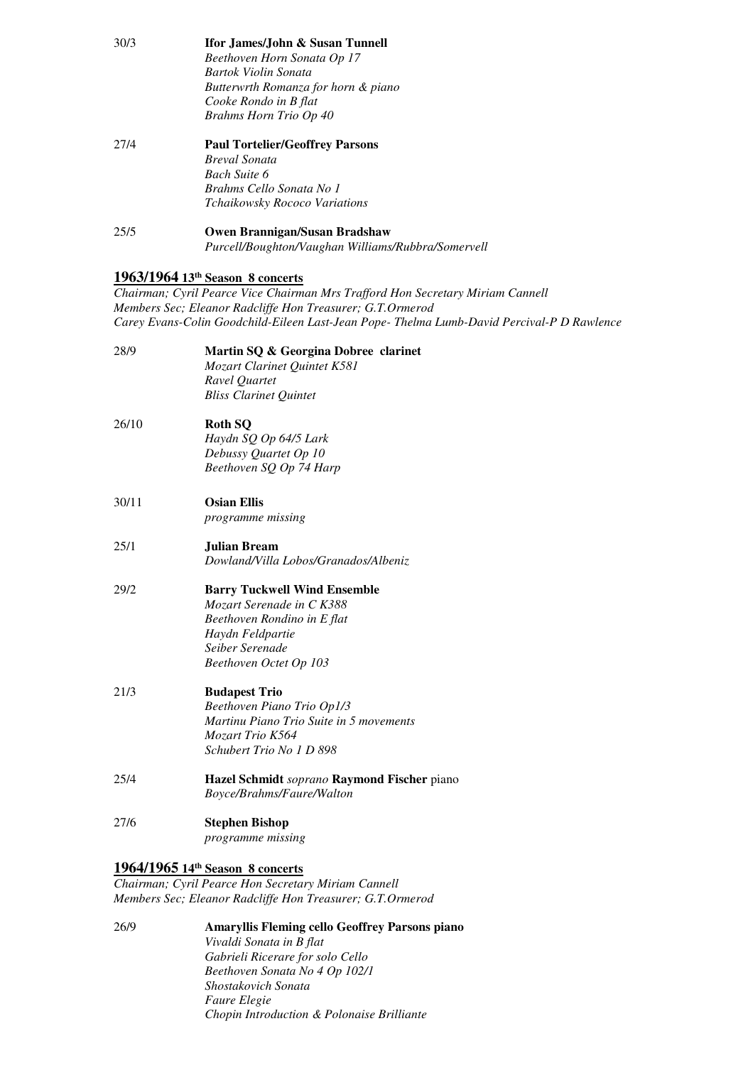| 30/3  | Ifor James/John & Susan Tunnell<br>Beethoven Horn Sonata Op 17<br>Bartok Violin Sonata<br>Butterwrth Romanza for horn & piano<br>Cooke Rondo in B flat<br><b>Brahms Horn Trio Op 40</b>                                                                                      |
|-------|------------------------------------------------------------------------------------------------------------------------------------------------------------------------------------------------------------------------------------------------------------------------------|
| 27/4  | <b>Paul Tortelier/Geoffrey Parsons</b><br><b>Breval Sonata</b><br><b>Bach Suite 6</b><br>Brahms Cello Sonata No 1<br>Tchaikowsky Rococo Variations                                                                                                                           |
| 25/5  | Owen Brannigan/Susan Bradshaw<br>Purcell/Boughton/Vaughan Williams/Rubbra/Somervell                                                                                                                                                                                          |
|       | 1963/1964 13th Season 8 concerts<br>Chairman; Cyril Pearce Vice Chairman Mrs Trafford Hon Secretary Miriam Cannell<br>Members Sec; Eleanor Radcliffe Hon Treasurer; G.T.Ormerod<br>Carey Evans-Colin Goodchild-Eileen Last-Jean Pope-Thelma Lumb-David Percival-P D Rawlence |
| 28/9  | Martin SQ & Georgina Dobree clarinet<br>Mozart Clarinet Quintet K581<br>Ravel Quartet<br><b>Bliss Clarinet Quintet</b>                                                                                                                                                       |
| 26/10 | <b>Roth SQ</b><br>Haydn SQ Op 64/5 Lark<br>Debussy Quartet Op 10<br>Beethoven SQ Op 74 Harp                                                                                                                                                                                  |
| 30/11 | <b>Osian Ellis</b><br>programme missing                                                                                                                                                                                                                                      |
| 25/1  | <b>Julian Bream</b><br>Dowland/Villa Lobos/Granados/Albeniz                                                                                                                                                                                                                  |
| 29/2  | <b>Barry Tuckwell Wind Ensemble</b><br>Mozart Serenade in C K388<br>Beethoven Rondino in E flat<br>Haydn Feldpartie<br>Seiber Serenade<br>Beethoven Octet Op 103                                                                                                             |
| 21/3  | <b>Budapest Trio</b><br>Beethoven Piano Trio Op1/3<br>Martinu Piano Trio Suite in 5 movements<br>Mozart Trio K564<br>Schubert Trio No 1 D 898                                                                                                                                |
| 25/4  | Hazel Schmidt soprano Raymond Fischer piano<br>Boyce/Brahms/Faure/Walton                                                                                                                                                                                                     |
| 27/6  | <b>Stephen Bishop</b><br>programme missing                                                                                                                                                                                                                                   |
|       | 1964/1965 14th Season 8 concerts<br>Chairman; Cyril Pearce Hon Secretary Miriam Cannell<br>Members Sec; Eleanor Radcliffe Hon Treasurer; G.T.Ormerod                                                                                                                         |

 $26/9$  *Gabrieli Ricerare for solo Cello Beethoven Sonata No 4 Op 102/1 Shostakovich Sonata Faure Elegie Chopin Introduction & Polonaise Brilliante* 26/9 **Amaryllis Fleming cello Geoffrey Parsons piano**  *Vivaldi Sonata in B flat*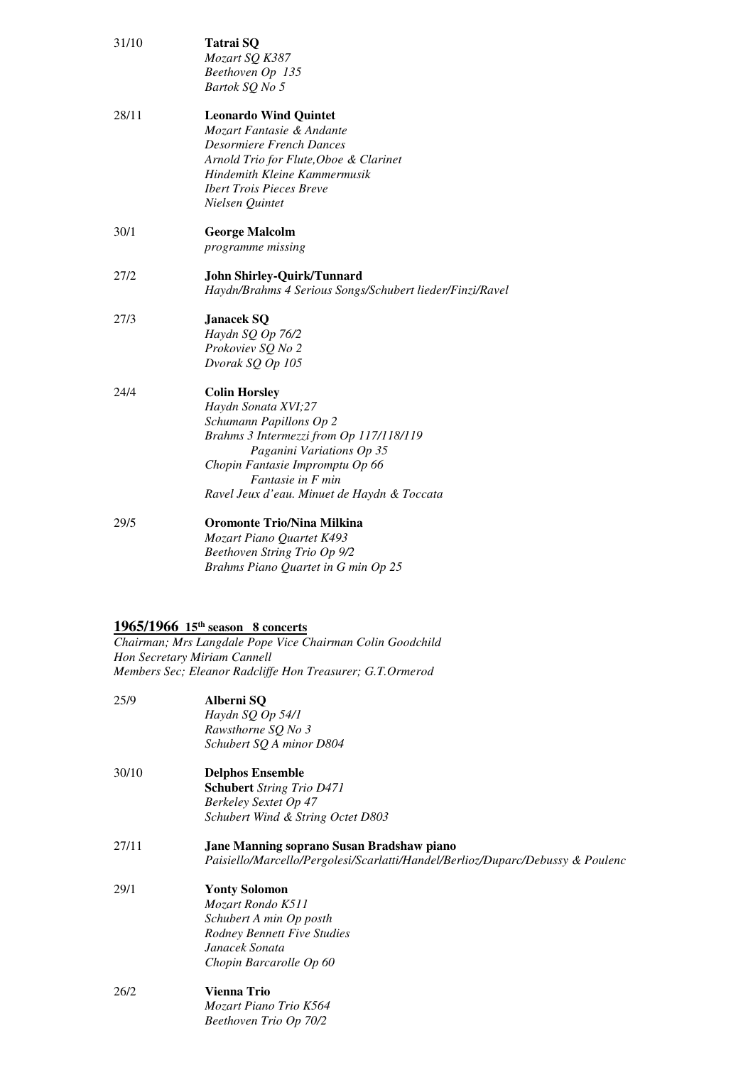| 31/10 | Tatrai SQ<br>Mozart SQ K387<br>Beethoven Op 135<br>Bartok SQ No 5                                                                                                                                                                                     |
|-------|-------------------------------------------------------------------------------------------------------------------------------------------------------------------------------------------------------------------------------------------------------|
| 28/11 | <b>Leonardo Wind Quintet</b><br>Mozart Fantasie & Andante<br>Desormiere French Dances<br>Arnold Trio for Flute, Oboe & Clarinet<br>Hindemith Kleine Kammermusik<br><b>Ibert Trois Pieces Breve</b><br>Nielsen Quintet                                 |
| 30/1  | <b>George Malcolm</b><br><i>programme missing</i>                                                                                                                                                                                                     |
| 27/2  | <b>John Shirley-Quirk/Tunnard</b><br>Haydn/Brahms 4 Serious Songs/Schubert lieder/Finzi/Ravel                                                                                                                                                         |
| 27/3  | <b>Janacek SQ</b><br>Haydn SQ Op 76/2<br>Prokoviev SQ No 2<br>Dvorak SQ Op 105                                                                                                                                                                        |
| 24/4  | <b>Colin Horsley</b><br>Haydn Sonata XVI;27<br>Schumann Papillons Op 2<br>Brahms 3 Intermezzi from Op 117/118/119<br>Paganini Variations Op 35<br>Chopin Fantasie Impromptu Op 66<br>Fantasie in F min<br>Ravel Jeux d'eau. Minuet de Haydn & Toccata |
| 29/5  | <b>Oromonte Trio/Nina Milkina</b><br>Mozart Piano Quartet K493<br>Beethoven String Trio Op 9/2<br>Brahms Piano Quartet in G min Op 25                                                                                                                 |

#### **1965/1966 15th season 8 concerts**

*Chairman; Mrs Langdale Pope Vice Chairman Colin Goodchild Hon Secretary Miriam Cannell Members Sec; Eleanor Radcliffe Hon Treasurer; G.T.Ormerod* 

| 25/9  | Alberni SQ<br>Haydn SQ Op 54/1<br>Rawsthorne SQ No 3<br>Schubert SQ A minor D804                                                                        |
|-------|---------------------------------------------------------------------------------------------------------------------------------------------------------|
| 30/10 | <b>Delphos Ensemble</b><br><b>Schubert</b> String Trio D471<br>Berkeley Sextet Op 47<br>Schubert Wind & String Octet D803                               |
| 27/11 | Jane Manning soprano Susan Bradshaw piano<br>Paisiello/Marcello/Pergolesi/Scarlatti/Handel/Berlioz/Duparc/Debussy & Poulenc                             |
| 29/1  | <b>Yonty Solomon</b><br>Mozart Rondo K511<br>Schubert A min Op posth<br><b>Rodney Bennett Five Studies</b><br>Janacek Sonata<br>Chopin Barcarolle Op 60 |
| 26/2  | <b>Vienna Trio</b><br>Mozart Piano Trio K564<br>Beethoven Trio Op 70/2                                                                                  |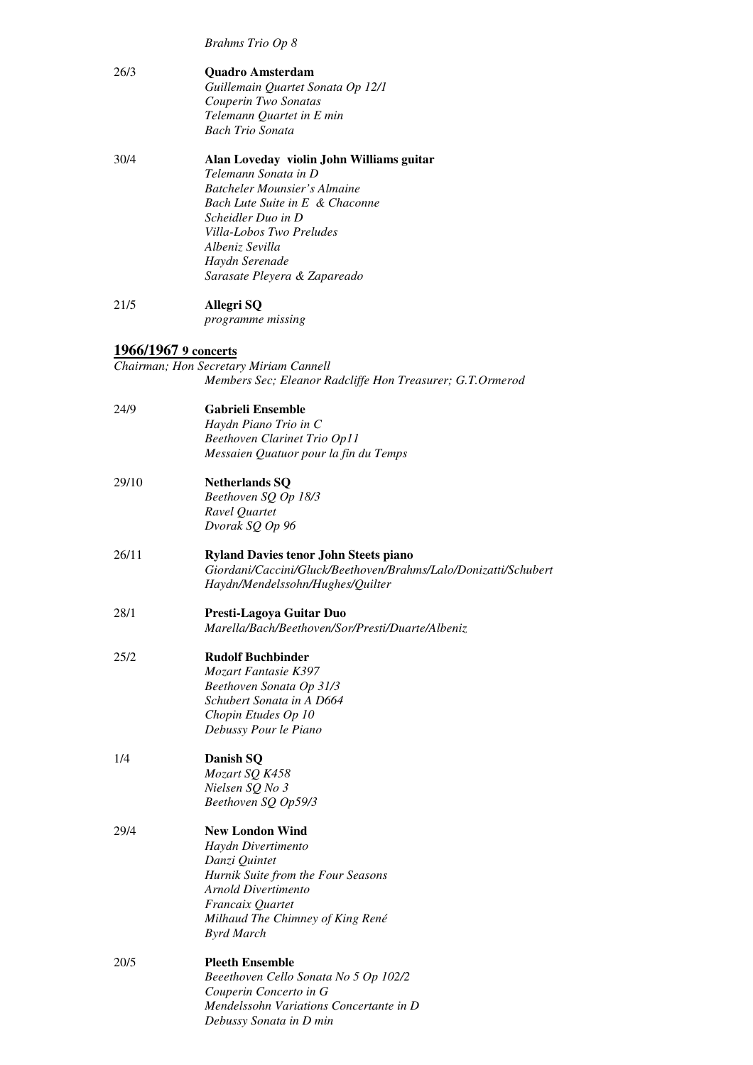*Brahms Trio Op 8* 

| 26/3                 | <b>Quadro Amsterdam</b>                                         |
|----------------------|-----------------------------------------------------------------|
|                      | Guillemain Quartet Sonata Op 12/1                               |
|                      | Couperin Two Sonatas                                            |
|                      | Telemann Quartet in E min                                       |
|                      | <b>Bach Trio Sonata</b>                                         |
| 30/4                 | Alan Loveday violin John Williams guitar                        |
|                      | Telemann Sonata in D                                            |
|                      | <b>Batcheler Mounsier's Almaine</b>                             |
|                      | Bach Lute Suite in E & Chaconne                                 |
|                      | Scheidler Duo in D                                              |
|                      | Villa-Lobos Two Preludes                                        |
|                      | Albeniz Sevilla                                                 |
|                      | Haydn Serenade<br>Sarasate Pleyera & Zapareado                  |
|                      |                                                                 |
| 21/5                 | Allegri SQ                                                      |
|                      | <i>programme missing</i>                                        |
| 1966/1967 9 concerts |                                                                 |
|                      | Chairman; Hon Secretary Miriam Cannell                          |
|                      | Members Sec; Eleanor Radcliffe Hon Treasurer; G.T.Ormerod       |
|                      |                                                                 |
| 24/9                 | <b>Gabrieli Ensemble</b>                                        |
|                      | Haydn Piano Trio in C<br>Beethoven Clarinet Trio Op11           |
|                      | Messaien Quatuor pour la fin du Temps                           |
|                      |                                                                 |
| 29/10                | <b>Netherlands SQ</b>                                           |
|                      | Beethoven SQ Op 18/3                                            |
|                      | Ravel Quartet                                                   |
|                      | Dvorak SQ Op 96                                                 |
| 26/11                | <b>Ryland Davies tenor John Steets piano</b>                    |
|                      | Giordani/Caccini/Gluck/Beethoven/Brahms/Lalo/Donizatti/Schubert |
|                      | Haydn/Mendelssohn/Hughes/Quilter                                |
| 28/1                 | Presti-Lagoya Guitar Duo                                        |
|                      | Marella/Bach/Beethoven/Sor/Presti/Duarte/Albeniz                |
| 25/2                 | <b>Rudolf Buchbinder</b>                                        |
|                      | Mozart Fantasie K397                                            |
|                      | Beethoven Sonata Op 31/3                                        |
|                      | Schubert Sonata in A D664                                       |
|                      | Chopin Etudes Op 10                                             |
|                      | Debussy Pour le Piano                                           |
| 1/4                  | Danish SQ                                                       |
|                      | Mozart SQ K458                                                  |
|                      | Nielsen SQ No 3                                                 |
|                      | Beethoven SQ Op59/3                                             |
| 29/4                 | <b>New London Wind</b>                                          |
|                      | Haydn Divertimento                                              |
|                      | Danzi Quintet                                                   |
|                      | Hurnik Suite from the Four Seasons                              |
|                      | Arnold Divertimento                                             |
|                      | Francaix Quartet                                                |
|                      | Milhaud The Chimney of King René                                |
|                      | <b>Byrd March</b>                                               |
| 20/5                 | <b>Pleeth Ensemble</b>                                          |
|                      | Beeethoven Cello Sonata No 5 Op 102/2                           |
|                      | Couperin Concerto in G                                          |
|                      | Mendelssohn Variations Concertante in D                         |

 *Debussy Sonata in D min*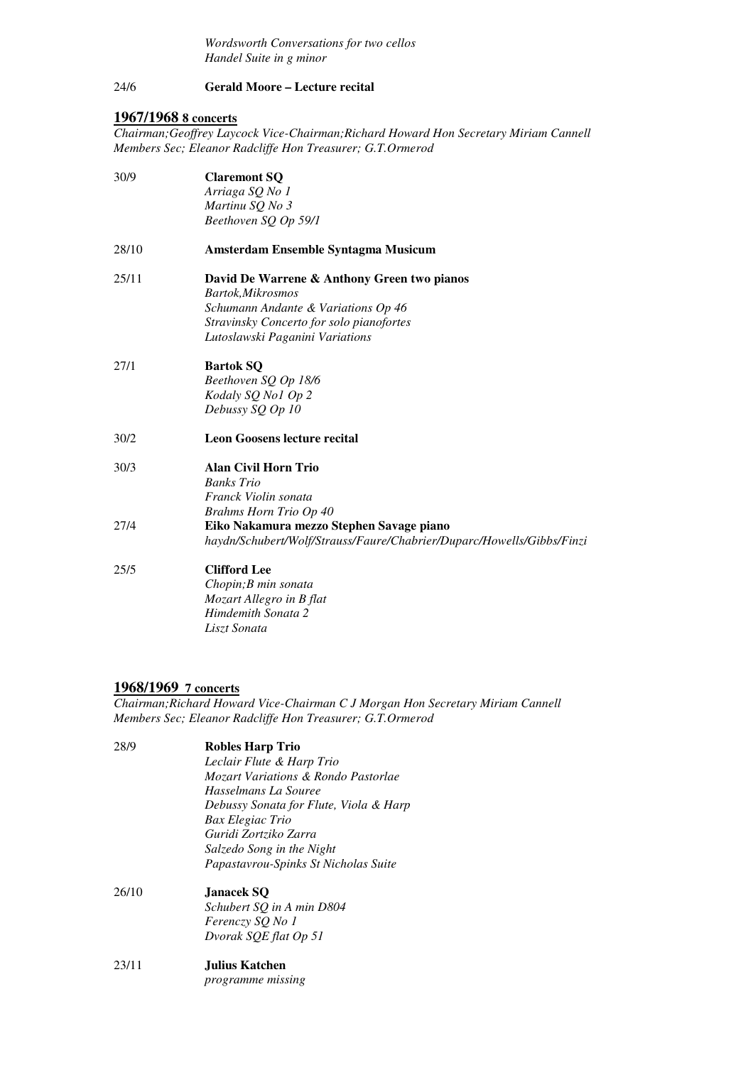*Wordsworth Conversations for two cellos*<br> *Handel Suite in g minor*<br>
24/6 **Gerald Moore – Lecture recital**  *Handel Suite in g minor* 

#### $24/6$ **Gerald Moore – Lecture recital**

# **1967/1968 8 concerts**

 *Chairman;Geoffrey Laycock Vice-Chairman;Richard Howard Hon Secretary Miriam Cannell Members Sec; Eleanor Radcliffe Hon Treasurer; G.T.Ormerod* 

| 30/9  | <b>Claremont SQ</b>                                                   |
|-------|-----------------------------------------------------------------------|
|       | Arriaga SQ No 1                                                       |
|       | Martinu SQ No 3                                                       |
|       | Beethoven SQ Op 59/1                                                  |
| 28/10 | Amsterdam Ensemble Syntagma Musicum                                   |
| 25/11 | David De Warrene & Anthony Green two pianos                           |
|       | Bartok, Mikrosmos                                                     |
|       | Schumann Andante & Variations Op 46                                   |
|       | Stravinsky Concerto for solo pianofortes                              |
|       | Lutoslawski Paganini Variations                                       |
| 27/1  | <b>Bartok SQ</b>                                                      |
|       | Beethoven SQ Op 18/6                                                  |
|       | Kodaly SQ No1 Op 2                                                    |
|       | Debussy SQ Op 10                                                      |
| 30/2  | <b>Leon Goosens lecture recital</b>                                   |
| 30/3  | <b>Alan Civil Horn Trio</b>                                           |
|       | <b>Banks</b> Trio                                                     |
|       | Franck Violin sonata                                                  |
|       | <b>Brahms Horn Trio Op 40</b>                                         |
| 27/4  | Eiko Nakamura mezzo Stephen Savage piano                              |
|       | haydn/Schubert/Wolf/Strauss/Faure/Chabrier/Duparc/Howells/Gibbs/Finzi |
| 25/5  | <b>Clifford Lee</b>                                                   |
|       | Chopin; B min sonata                                                  |
|       | Mozart Allegro in B flat                                              |
|       | Himdemith Sonata 2                                                    |
|       | Liszt Sonata                                                          |

#### **1968/1969 7 concerts**

 *Members Sec; Eleanor Radcliffe Hon Treasurer; G.T.Ormerod Chairman;Richard Howard Vice-Chairman C J Morgan Hon Secretary Miriam Cannell* 

| 28/9  | <b>Robles Harp Trio</b><br>Leclair Flute & Harp Trio<br>Mozart Variations & Rondo Pastorlae<br>Hasselmans La Souree<br>Debussy Sonata for Flute, Viola & Harp<br>Bax Elegiac Trio<br>Guridi Zortziko Zarra<br>Salzedo Song in the Night<br>Papastavrou-Spinks St Nicholas Suite |
|-------|---------------------------------------------------------------------------------------------------------------------------------------------------------------------------------------------------------------------------------------------------------------------------------|
| 26/10 | Janacek SO<br>Schubert SQ in A min D804<br>Ferenczy SQ No 1<br>Dvorak SOE flat Op 51                                                                                                                                                                                            |
| 23/11 | Julius Katchen.                                                                                                                                                                                                                                                                 |

 *programme missing*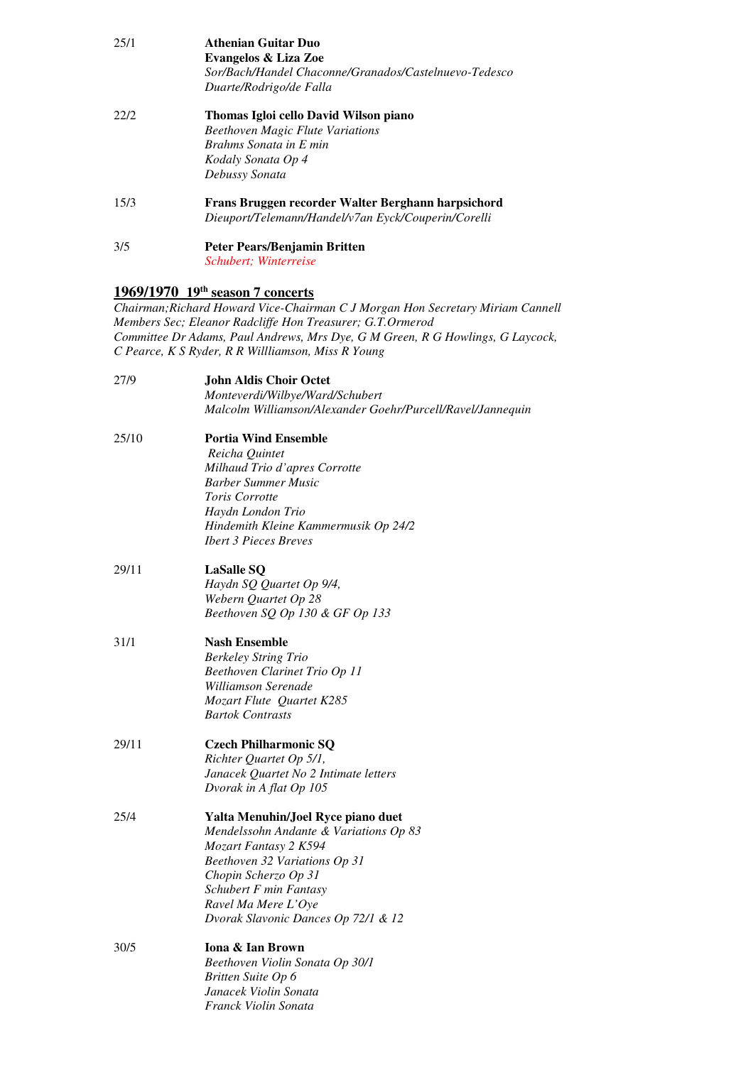| 25/1 | <b>Athenian Guitar Duo</b>                            |
|------|-------------------------------------------------------|
|      | Evangelos & Liza Zoe                                  |
|      | Sor/Bach/Handel Chaconne/Granados/Castelnuevo-Tedesco |
|      | Duarte/Rodrigo/de Falla                               |
| 22/2 | Thomas Igloi cello David Wilson piano                 |
|      | <b>Beethoven Magic Flute Variations</b>               |
|      | Brahms Sonata in E min                                |
|      | Kodaly Sonata Op 4                                    |
|      | Debussy Sonata                                        |
| 15/3 | Frans Bruggen recorder Walter Berghann harpsichord    |
|      | Dieuport/Telemann/Handel/v7an Eyck/Couperin/Corelli   |
| 3/5  | Peter Pears/Benjamin Britten                          |
|      | <i>Schubert</i> ; <i>Winterreise</i>                  |

# **1969/1970 19th season 7 concerts**

 *Chairman;Richard Howard Vice-Chairman C J Morgan Hon Secretary Miriam Cannell Members Sec; Eleanor Radcliffe Hon Treasurer; G.T.Ormerod Committee Dr Adams, Paul Andrews, Mrs Dye, G M Green, R G Howlings, G Laycock, C Pearce, K S Ryder, R R Willliamson, Miss R Young* 

| 27/9  | John Aldis Choir Octet                                     |
|-------|------------------------------------------------------------|
|       | Monteverdi/Wilbye/Ward/Schubert                            |
|       | Malcolm Williamson/Alexander Goehr/Purcell/Ravel/Jannequin |
| 25/10 | <b>Portia Wind Ensemble</b>                                |
|       | Reicha Quintet                                             |
|       | Milhaud Trio d'apres Corrotte                              |
|       | <b>Barber Summer Music</b>                                 |
|       | <b>Toris Corrotte</b>                                      |
|       | Haydn London Trio                                          |
|       | Hindemith Kleine Kammermusik Op 24/2                       |
|       | <b>Ibert 3 Pieces Breves</b>                               |
| 29/11 | <b>LaSalle SQ</b>                                          |
|       | Haydn SQ Quartet Op 9/4,                                   |
|       | Webern Quartet Op 28                                       |
|       | Beethoven SQ Op 130 & GF Op 133                            |
|       |                                                            |
| 31/1  | <b>Nash Ensemble</b>                                       |
|       | <b>Berkeley String Trio</b>                                |
|       | Beethoven Clarinet Trio Op 11                              |
|       | Williamson Serenade                                        |
|       | Mozart Flute Quartet K285                                  |
|       | <b>Bartok Contrasts</b>                                    |
| 29/11 | <b>Czech Philharmonic SQ</b>                               |
|       | Richter Quartet Op 5/1,                                    |
|       | Janacek Quartet No 2 Intimate letters                      |
|       | Dvorak in A flat Op 105                                    |
|       |                                                            |
| 25/4  | Yalta Menuhin/Joel Ryce piano duet                         |
|       | Mendelssohn Andante & Variations Op 83                     |
|       | Mozart Fantasy 2 K594                                      |
|       | Beethoven 32 Variations Op 31                              |
|       | Chopin Scherzo Op 31                                       |
|       | Schubert F min Fantasy                                     |
|       | Ravel Ma Mere L'Oye                                        |
|       | Dvorak Slavonic Dances Op 72/1 & 12                        |
| 30/5  | Iona & Ian Brown                                           |
|       | Beethoven Violin Sonata Op 30/1                            |
|       | Britten Suite Op 6                                         |
|       | Janacek Violin Sonata                                      |

 *Franck Violin Sonata*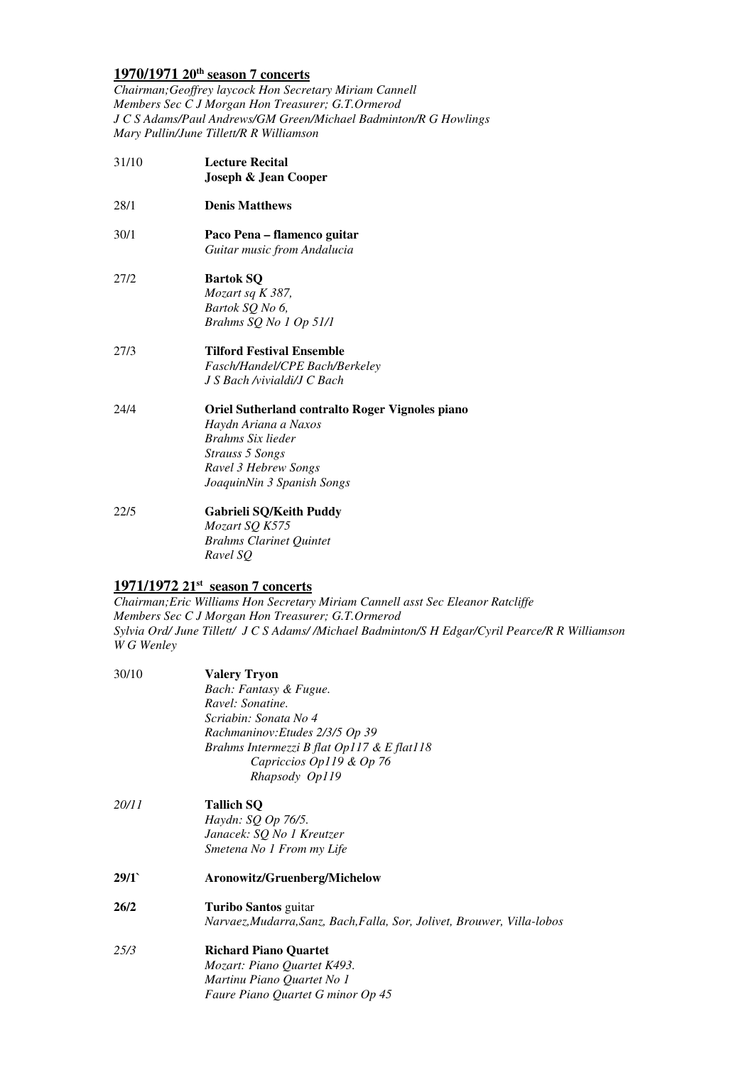# **1970/1971 20th season 7 concerts**

 *Chairman;Geoffrey laycock Hon Secretary Miriam Cannell Members Sec C J Morgan Hon Treasurer; G.T.Ormerod J C S Adams/Paul Andrews/GM Green/Michael Badminton/R G Howlings Mary Pullin/June Tillett/R R Williamson* 

- 31/10  **Joseph & Jean Cooper Lecture Recital**
- 28/1 **Denis Matthews**
- 30/1 **Paco Pena flamenco guitar**  *Guitar music from Andalucia*
- $27/2$  *Bartok SQ No 6, Brahms SQ No 1 Op 51/1*  **Bartok SQ** *Mozart sq K 387,*
- $27/3$ **Tilford Festival Ensemble** *Fasch/Handel/CPE Bach/Berkeley J S Bach /vivialdi/J C Bach*

 $24/4$  *Brahms Six lieder Strauss 5 Songs Ravel 3 Hebrew Songs JoaquinNin 3 Spanish Songs*  24/4 **Oriel Sutherland contralto Roger Vignoles piano**  *Haydn Ariana a Naxos* 

 $22/5$  *Brahms Clarinet Quintet Ravel SQ*  22/5 **Gabrieli SQ/Keith Puddy**  *Mozart SQ K575* 

# **1971/1972 21st season 7 concerts**

 *Chairman;Eric Williams Hon Secretary Miriam Cannell asst Sec Eleanor Ratcliffe Members Sec C J Morgan Hon Treasurer; G.T.Ormerod Sylvia Ord/ June Tillett/ J C S Adams/ /Michael Badminton/S H Edgar/Cyril Pearce/R R Williamson W G Wenley* 

| 30/10 | <b>Valery Tryon</b>                                                     |
|-------|-------------------------------------------------------------------------|
|       | Bach: Fantasy & Fugue.                                                  |
|       | Ravel: Sonatine.                                                        |
|       | Scriabin: Sonata No 4                                                   |
|       | Rachmaninov: Etudes 2/3/5 Op 39                                         |
|       | Brahms Intermezzi B flat Op117 & E flat118                              |
|       | Capriccios Op119 & Op 76                                                |
|       | Rhapsody Op119                                                          |
| 20/11 | <b>Tallich SQ</b>                                                       |
|       | Haydn: SQ Op 76/5.                                                      |
|       | Janacek: SQ No 1 Kreutzer                                               |
|       | Smetena No 1 From my Life                                               |
| 29/1` | Aronowitz/Gruenberg/Michelow                                            |
| 26/2  | <b>Turibo Santos</b> guitar                                             |
|       | Narvaez, Mudarra, Sanz, Bach, Falla, Sor, Jolivet, Brouwer, Villa-lobos |
| 25/3  | <b>Richard Piano Quartet</b>                                            |
|       | Mozart: Piano Quartet K493.                                             |
|       | Martinu Piano Quartet No 1                                              |
|       | Faure Piano Quartet G minor Op 45                                       |
|       |                                                                         |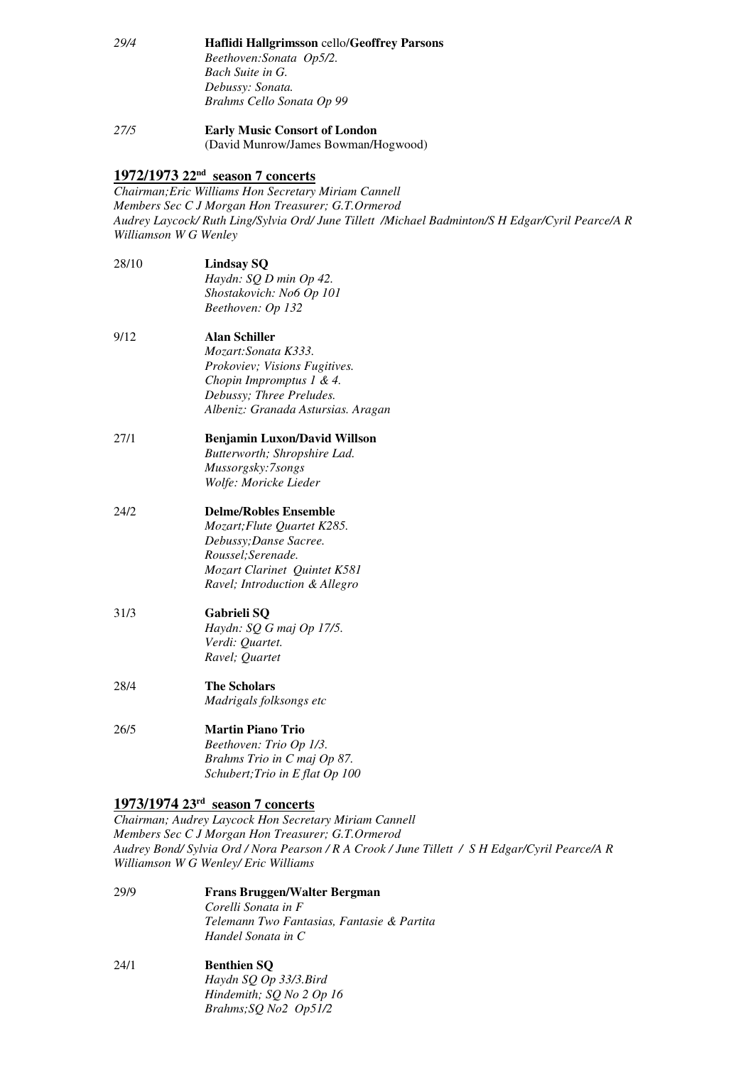- *Bach Suite in G. Debussy: Sonata. Brahms Cello Sonata Op 99 29/4* **Haflidi Hallgrimsson** cello/**Geoffrey Parsons**  *Beethoven:Sonata Op5/2.*
- *27/5* **Early Music Consort of London**  (David Munrow/James Bowman/Hogwood)

# **1972/1973 22nd season 7 concerts**

 *Chairman;Eric Williams Hon Secretary Miriam Cannell Members Sec C J Morgan Hon Treasurer; G.T.Ormerod Audrey Laycock/ Ruth Ling/Sylvia Ord/ June Tillett /Michael Badminton/S H Edgar/Cyril Pearce/A R Williamson W G Wenley* 

- 28/10  *Shostakovich: No6 Op 101 Beethoven: Op 132*  **Lindsay SQ** *Haydn: SQ D min Op 42.*
- $9/12$  *Prokoviev; Visions Fugitives. Chopin Impromptus 1 & 4. Debussy; Three Preludes. Albeniz: Granada Astursias. Aragan*  9/12 **Alan Schiller**  *Mozart:Sonata K333.*
- Mussorgsky:7songs  *Mussorgsky:7songs Wolfe: Moricke Lieder*  27/1 **Benjamin Luxon/David Willson**  *Butterworth; Shropshire Lad.*
- $24/2$  *Debussy;Danse Sacree. Roussel;Serenade. Mozart Clarinet Quintet K581 Ravel; Introduction & Allegro*  24/2 **Delme/Robles Ensemble**  *Mozart;Flute Quartet K285.*

#### $31/3$ 31/3 **Gabrieli SQ**  *Haydn: SQ G maj Op 17/5.*

 *Verdi: Quartet. Ravel; Quartet* 

- 28/4 **The Scholars** *Madrigals folksongs etc*
- $26/5$  *Brahms Trio in C maj Op 87. Schubert;Trio in E flat Op 100*  26/5 **Martin Piano Trio**  *Beethoven: Trio Op 1/3.*

# **1973/1974 23rd season 7 concerts**

 *Chairman; Audrey Laycock Hon Secretary Miriam Cannell Members Sec C J Morgan Hon Treasurer; G.T.Ormerod Audrey Bond/ Sylvia Ord / Nora Pearson / R A Crook / June Tillett / S H Edgar/Cyril Pearce/A R Williamson W G Wenley/ Eric Williams* 

 *Telemann Two Fantasias, Fantasie & Partita Handel Sonata in C*  29/9 **Frans Bruggen/Walter Bergman**  *Corelli Sonata in F* 

### *Hindemith; SQ No 2 Op 16 Brahms;SQ No2 Op51/2* 24/1 **Benthien SQ**  *Haydn SQ Op 33/3.Bird*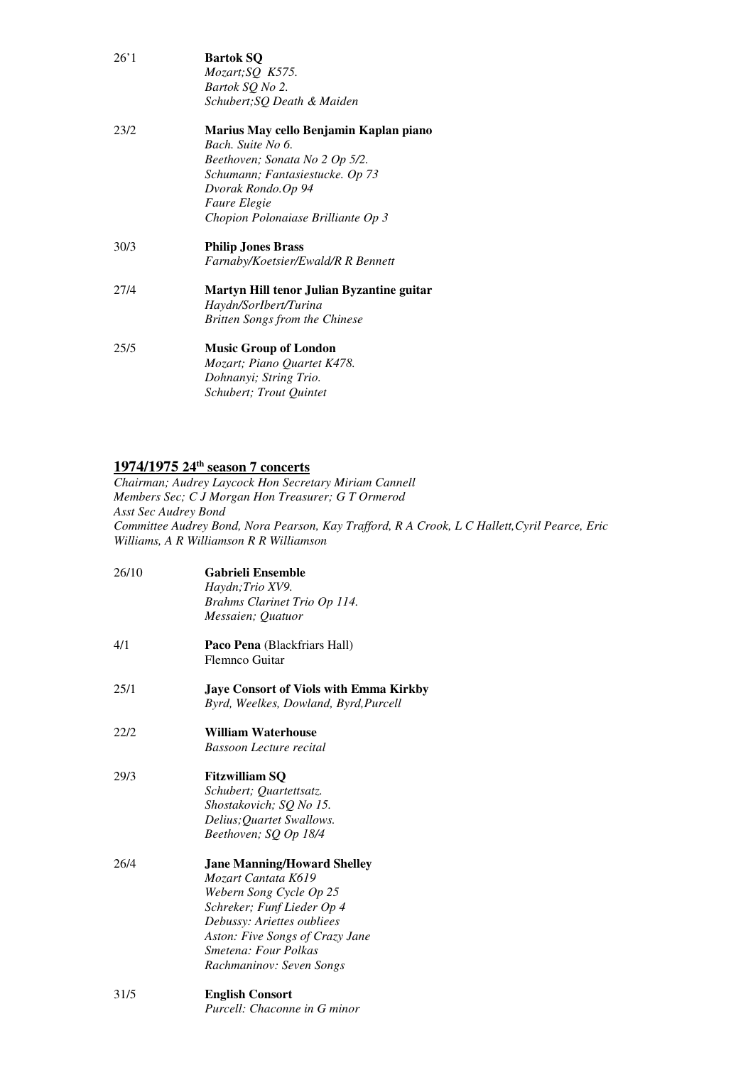|      | <b>Bartok SQ</b>                                                   |
|------|--------------------------------------------------------------------|
|      | Mozart; SQ K575.                                                   |
|      | Bartok SQ No 2.                                                    |
|      | Schubert; SQ Death & Maiden                                        |
| 23/2 | Marius May cello Benjamin Kaplan piano                             |
|      | Bach, Suite No 6.                                                  |
|      | Beethoven; Sonata No 2 Op 5/2.                                     |
|      | Schumann; Fantasiestucke. Op 73                                    |
|      | Dvorak Rondo.Op 94                                                 |
|      | <i>Faure Elegie</i>                                                |
|      | Chopion Polonaiase Brilliante Op 3                                 |
| 30/3 | <b>Philip Jones Brass</b>                                          |
|      | Farnaby/Koetsier/Ewald/R R Bennett                                 |
|      |                                                                    |
| 27/4 |                                                                    |
|      | Martyn Hill tenor Julian Byzantine guitar<br>Haydn/SorIbert/Turina |
|      | <b>Britten Songs from the Chinese</b>                              |
| 25/5 |                                                                    |
|      | <b>Music Group of London</b><br>Mozart; Piano Quartet K478.        |
|      | Dohnanyi; String Trio.                                             |

#### **1974/1975 24th season 7 concerts**

 *Members Sec; C J Morgan Hon Treasurer; G T Ormerod Asst Sec Audrey Bond Committee Audrey Bond, Nora Pearson, Kay Trafford, R A Crook, L C Hallett,Cyril Pearce, Eric Williams, A R Williamson R R Williamson Chairman; Audrey Laycock Hon Secretary Miriam Cannell* 

| 26/10 | <b>Gabrieli Ensemble</b>                      |
|-------|-----------------------------------------------|
|       | Haydn; Trio XV9.                              |
|       | Brahms Clarinet Trio Op 114.                  |
|       | Messaien; Quatuor                             |
| 4/1   | <b>Paco Pena</b> (Blackfriars Hall)           |
|       | <b>Flemnco Guitar</b>                         |
| 25/1  | <b>Jaye Consort of Viols with Emma Kirkby</b> |
|       | Byrd, Weelkes, Dowland, Byrd, Purcell         |
| 22/2  | <b>William Waterhouse</b>                     |
|       | Bassoon Lecture recital                       |
| 29/3  | <b>Fitzwilliam SQ</b>                         |
|       | Schubert; Quartettsatz.                       |
|       | Shostakovich; SQ No 15.                       |
|       | Delius; Quartet Swallows.                     |
|       | Beethoven; SQ Op 18/4                         |
| 26/4  | <b>Jane Manning/Howard Shelley</b>            |
|       | Mozart Cantata K619                           |
|       | Webern Song Cycle Op 25                       |
|       | Schreker; Funf Lieder Op 4                    |
|       | Debussy: Ariettes oubliees                    |
|       | Aston: Five Songs of Crazy Jane               |
|       | Smetena: Four Polkas                          |
|       | Rachmaninov: Seven Songs                      |
| 31/5  | <b>English Consort</b>                        |
|       | Purcell: Chaconne in G minor                  |
|       |                                               |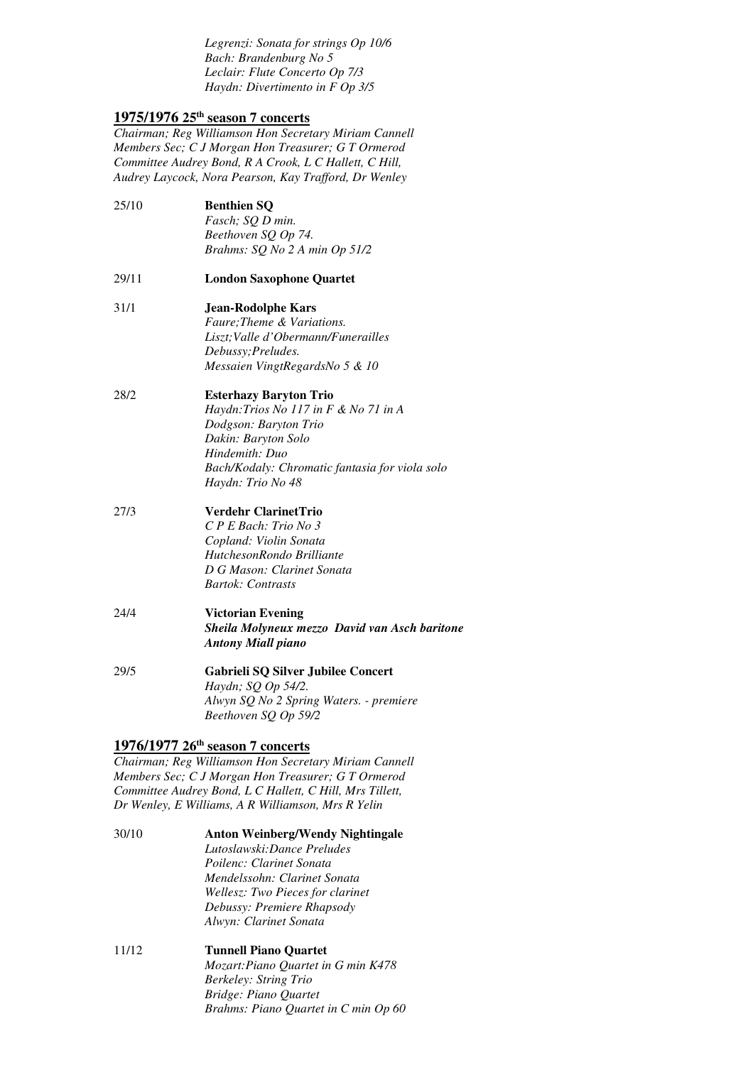*Legrenzi: Sonata for strings Op 10/6 Bach: Brandenburg No 5 Leclair: Flute Concerto Op 7/3 Haydn: Divertimento in F Op 3/5* 

# **1975/1976 25th season 7 concerts**

 *Chairman; Reg Williamson Hon Secretary Miriam Cannell Members Sec; C J Morgan Hon Treasurer; G T Ormerod Committee Audrey Bond, R A Crook, L C Hallett, C Hill, Audrey Laycock, Nora Pearson, Kay Trafford, Dr Wenley* 

- $25/10$  *Beethoven SQ Op 74. Brahms: SQ No 2 A min Op 51/2*  **Benthien SQ** *Fasch; SQ D min.*
- 29/11 **London Saxophone Quartet**
- *Messaien VingtRegardsNo 5 & 10*  31/1 **Jean-Rodolphe Kars**  *Faure;Theme & Variations. Liszt;Valle d'Obermann/Funerailles Debussy;Preludes.*
- 28/2  *Hindemith: Duo Bach/Kodaly: Chromatic fantasia for viola solo Haydn: Trio No 48*  **Esterhazy Baryton Trio** *Haydn:Trios No 117 in F & No 71 in A Dodgson: Baryton Trio Dakin: Baryton Solo*
- $27/3$  *Copland: Violin Sonata HutchesonRondo Brilliante D G Mason: Clarinet Sonata Bartok: Contrasts*  27/3 **Verdehr ClarinetTrio**  *C P E Bach: Trio No 3*
- *Antony Miall piano*  24/4 **Victorian Evening**  *Sheila Molyneux mezzo David van Asch baritone*
- *Alwyn SQ No 2 Spring Waters. premiere Beethoven SQ Op 59/2*  29/5 **Gabrieli SQ Silver Jubilee Concert**  *Haydn; SQ Op 54/2.*

# **1976/1977 26th season 7 concerts**

 *Chairman; Reg Williamson Hon Secretary Miriam Cannell Members Sec; C J Morgan Hon Treasurer; G T Ormerod Committee Audrey Bond, L C Hallett, C Hill, Mrs Tillett, Dr Wenley, E Williams, A R Williamson, Mrs R Yelin* 

- 30/10  *Poilenc: Clarinet Sonata Mendelssohn: Clarinet Sonata Wellesz: Two Pieces for clarinet Debussy: Premiere Rhapsody Alwyn: Clarinet Sonata*  30/10 **Anton Weinberg/Wendy Nightingale**  *Lutoslawski:Dance Preludes*
- 11/12  *Berkeley: String Trio Bridge: Piano Quartet Brahms: Piano Quartet in C min Op 60* **Tunnell Piano Quartet** *Mozart:Piano Quartet in G min K478*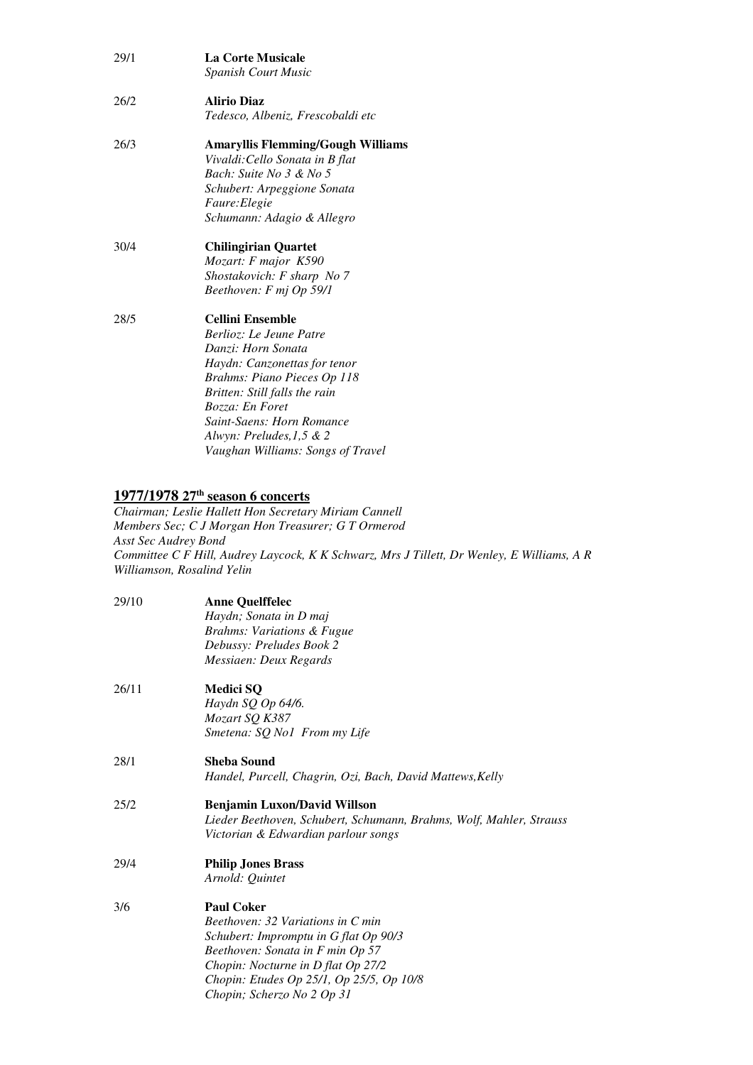| 29/1 | <b>La Corte Musicale</b><br><b>Spanish Court Music</b> |
|------|--------------------------------------------------------|
| 26/2 | <b>Alirio Diaz</b>                                     |
|      | Tedesco, Albeniz, Frescobaldi etc                      |
| 26/3 | <b>Amaryllis Flemming/Gough Williams</b>               |
|      | Vivaldi: Cello Sonata in B flat                        |
|      | Bach: Suite No 3 & No 5                                |
|      | <i>Schubert: Arpeggione Sonata</i>                     |
|      | Faure: Elegie                                          |
|      | Schumann: Adagio & Allegro                             |
| 30/4 | <b>Chilingirian Quartet</b>                            |
|      | Mozart: F major K590                                   |
|      | Shostakovich: F sharp No 7                             |
|      | Beethoven: F mj Op 59/1                                |
| 28/5 | Cellini Ensemble                                       |
|      | Berlioz: Le Jeune Patre                                |
|      | Danzi: Horn Sonata                                     |
|      | Haydn: Canzonettas for tenor                           |
|      | Brahms: Piano Pieces Op 118                            |
|      | Britten: Still falls the rain                          |
|      | Bozza: En Foret                                        |
|      | <b>Saint-Saens: Horn Romance</b>                       |
|      | Alwyn: Preludes, 1,5 & 2                               |
|      | Vaughan Williams: Songs of Travel                      |
|      |                                                        |

#### **1977/1978 27th season 6 concerts**

 *Members Sec; C J Morgan Hon Treasurer; G T Ormerod Asst Sec Audrey Bond Committee C F Hill, Audrey Laycock, K K Schwarz, Mrs J Tillett, Dr Wenley, E Williams, A R Williamson, Rosalind Yelin Chairman; Leslie Hallett Hon Secretary Miriam Cannell* 

| 29/10 | <b>Anne Quelffelec</b>                                              |
|-------|---------------------------------------------------------------------|
|       | Haydn; Sonata in D maj                                              |
|       | <b>Brahms: Variations &amp; Fugue</b>                               |
|       | Debussy: Preludes Book 2                                            |
|       | Messiaen: Deux Regards                                              |
| 26/11 | <b>Medici SQ</b>                                                    |
|       | Haydn SQ Op 64/6.                                                   |
|       | Mozart SQ K387                                                      |
|       | Smetena: SQ No1 From my Life                                        |
| 28/1  | Sheba Sound                                                         |
|       | Handel, Purcell, Chagrin, Ozi, Bach, David Mattews, Kelly           |
| 25/2  | <b>Benjamin Luxon/David Willson</b>                                 |
|       | Lieder Beethoven, Schubert, Schumann, Brahms, Wolf, Mahler, Strauss |
|       | Victorian & Edwardian parlour songs                                 |
| 29/4  | <b>Philip Jones Brass</b>                                           |
|       | Arnold: Ouintet                                                     |
| 3/6   | <b>Paul Coker</b>                                                   |
|       | Beethoven: 32 Variations in C min                                   |
|       | Schubert: Impromptu in G flat Op 90/3                               |
|       | Beethoven: Sonata in F min Op 57                                    |
|       | Chopin: Nocturne in D flat Op 27/2                                  |
|       | Chopin: Etudes Op 25/1, Op 25/5, Op 10/8                            |

*Chopin; Scherzo No 2 Op 31*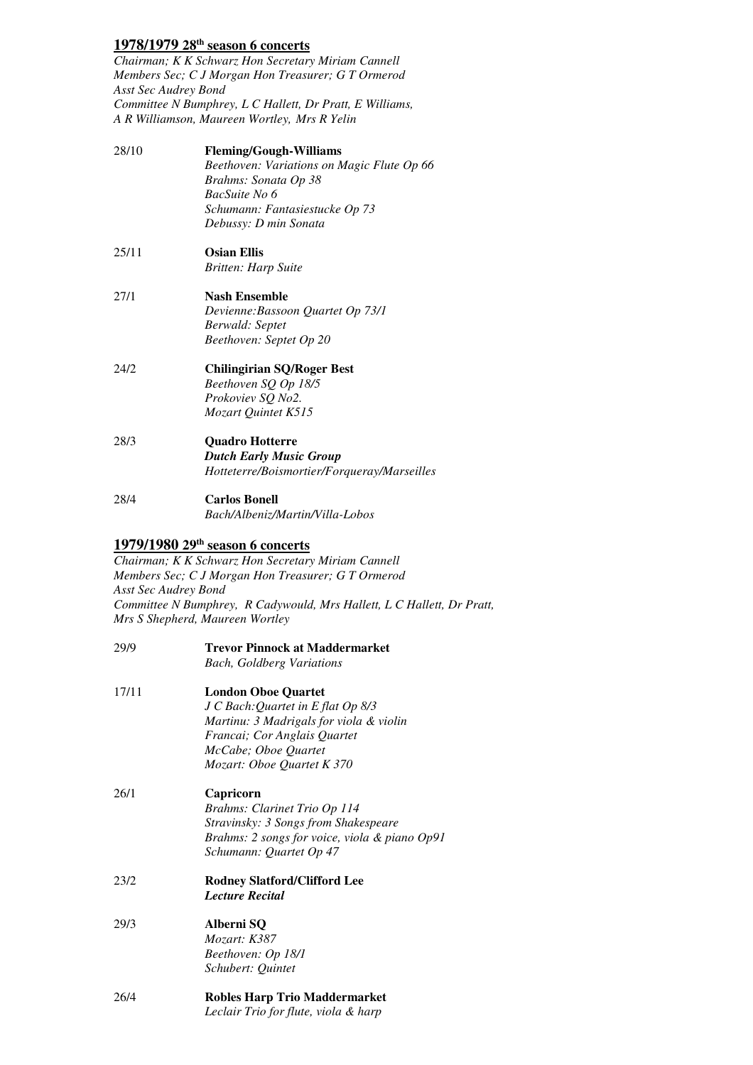# **1978/1979 28th season 6 concerts**

 *Chairman; K K Schwarz Hon Secretary Miriam Cannell Members Sec; C J Morgan Hon Treasurer; G T Ormerod Asst Sec Audrey Bond Committee N Bumphrey, L C Hallett, Dr Pratt, E Williams, A R Williamson, Maureen Wortley, Mrs R Yelin* 

| 28/10 | <b>Fleming/Gough-Williams</b>              |
|-------|--------------------------------------------|
|       | Beethoven: Variations on Magic Flute Op 66 |
|       | Brahms: Sonata Op 38                       |
|       | BacSuite No 6                              |
|       | Schumann: Fantasiestucke Op 73             |
|       | Debussy: D min Sonata                      |
| 25/11 | <b>Osian Ellis</b>                         |
|       | Britten: Harp Suite                        |
| 27/1  | <b>Nash Ensemble</b>                       |
|       | Devienne: Bassoon Quartet Op 73/1          |
|       | Berwald: Septet                            |
|       | Beethoven: Septet Op 20                    |
| 24/2  | Chilingirian SQ/Roger Best                 |
|       | Beethoven SQ Op 18/5                       |
|       | Prokoviev SQ No2.                          |
|       | Mozart Quintet K515                        |
| 28/3  | <b>Quadro Hotterre</b>                     |
|       | Dutch Early Music Group                    |

28/4 **Carlos Bonell** *Bach/Albeniz/Martin/Villa-Lobos* 

# **1979/1980 29th season 6 concerts**

 *Chairman; K K Schwarz Hon Secretary Miriam Cannell Members Sec; C J Morgan Hon Treasurer; G T Ormerod Asst Sec Audrey Bond Committee N Bumphrey, R Cadywould, Mrs Hallett, L C Hallett, Dr Pratt, Mrs S Shepherd, Maureen Wortley* 

*Hotteterre/Boismortier/Forqueray/Marseilles* 

- 29/9 17/11  *Martinu: 3 Madrigals for viola & violin Francai; Cor Anglais Quartet McCabe; Oboe Quartet Mozart: Oboe Quartet K 370 Stravinsky: 3 Songs from Shakespeare Brahms: 2 songs for voice, viola & piano Op91 Schumann: Quartet Op 47*   $23/2$  $29/3$  *Beethoven: Op 18/1 Schubert: Quintet*  **Trevor Pinnock at Maddermarket** *Bach, Goldberg Variations*  **London Oboe Quartet** *J C Bach:Quartet in E flat Op 8/3*  26/1 **Capricorn**  *Brahms: Clarinet Trio Op 114*  23/2 **Rodney Slatford/Clifford Lee**  *Lecture Recital*  29/3 **Alberni SQ**  *Mozart: K387*
- 26/4 **Robles Harp Trio Maddermarket**  *Leclair Trio for flute, viola & harp*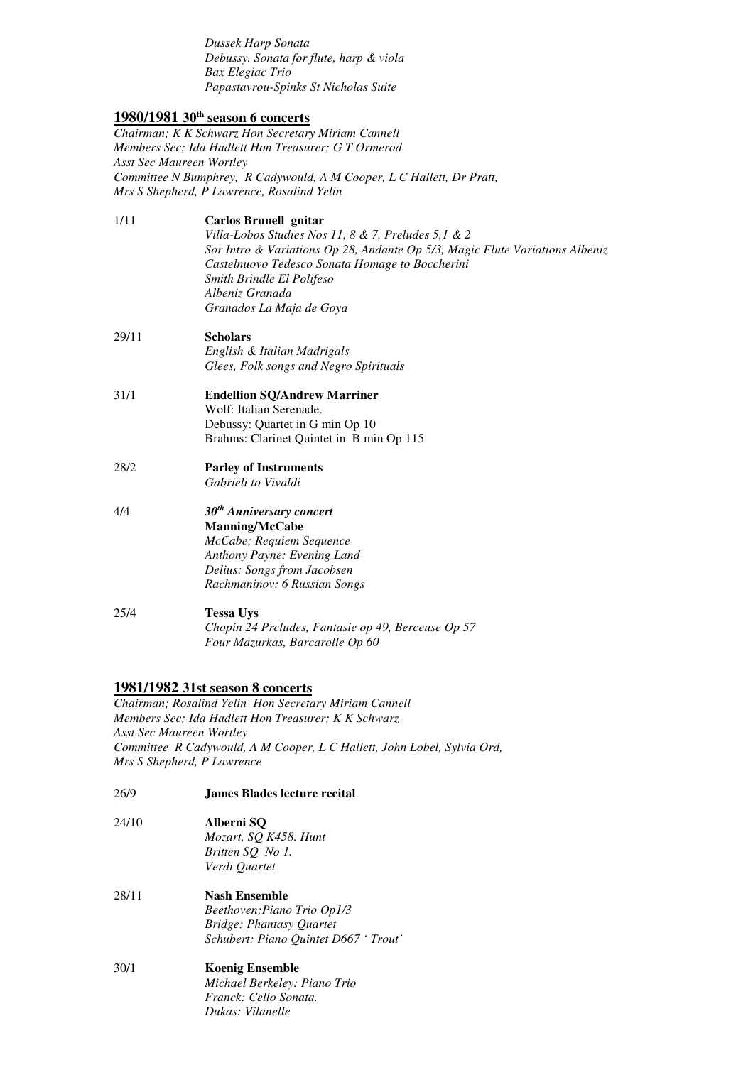*Dussek Harp Sonata Debussy. Sonata for flute, harp & viola Bax Elegiac Trio Papastavrou-Spinks St Nicholas Suite* 

# **1980/1981 30th season 6 concerts**

 *Chairman; K K Schwarz Hon Secretary Miriam Cannell Members Sec; Ida Hadlett Hon Treasurer; G T Ormerod Asst Sec Maureen Wortley Committee N Bumphrey, R Cadywould, A M Cooper, L C Hallett, Dr Pratt, Mrs S Shepherd, P Lawrence, Rosalind Yelin* 

- *Sor Intro & Variations Op 28, Andante Op 5/3, Magic Flute Variations Albeniz Castelnuovo Tedesco Sonata Homage to Boccherini Smith Brindle El Polifeso Albeniz Granada Granados La Maja de Goya*  1/11 **Carlos Brunell guitar**  *Villa-Lobos Studies Nos 11, 8 & 7, Preludes 5,1 & 2*
- 29/11 **Scholars**  *English & Italian Madrigals Glees, Folk songs and Negro Spirituals*
- Debussy: Quartet in G min Op 10 Brahms: Clarinet Quintet in B min Op 115 31/1 **Endellion SQ/Andrew Marriner**  Wolf: Italian Serenade.
- 28/2 **Parley of Instruments** *Gabrieli to Vivaldi*
- $4/4$  *Anthony Payne: Evening Land Delius: Songs from Jacobsen Rachmaninov: 6 Russian Songs*  4/4 *30th Anniversary concert*  **Manning/McCabe**  *McCabe; Requiem Sequence*
- $25/4$ **Tessa Uys** *Chopin 24 Preludes, Fantasie op 49, Berceuse Op 57 Four Mazurkas, Barcarolle Op 60*

# **1981/1982 31st season 8 concerts**

 *Chairman; Rosalind Yelin Hon Secretary Miriam Cannell Members Sec; Ida Hadlett Hon Treasurer; K K Schwarz Asst Sec Maureen Wortley Committee R Cadywould, A M Cooper, L C Hallett, John Lobel, Sylvia Ord, Mrs S Shepherd, P Lawrence* 

- $26/9$ 26/9 **James Blades lecture recital**
- $24/10$  *Britten SQ No 1. Verdi Quartet*  24/10 **Alberni SQ**  *Mozart, SQ K458. Hunt*
- 28/11  *Bridge: Phantasy Quartet Schubert: Piano Quintet D667 ' Trout'*  **Nash Ensemble** *Beethoven;Piano Trio Op1/3*
- *Dukas: Vilanelle* 30/1 **Koenig Ensemble**  *Michael Berkeley: Piano Trio Franck: Cello Sonata.*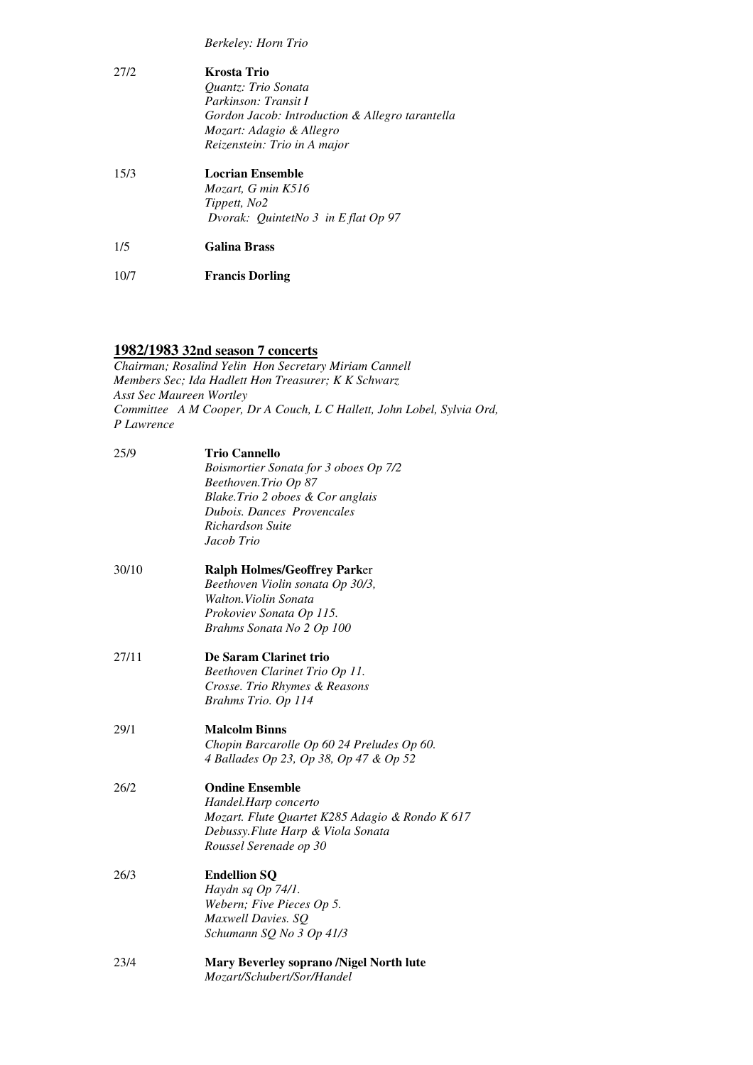*Berkeley: Horn Trio* 

| 2.712 | Krosta Trio<br><i><b>Ouantz: Trio Sonata</b></i><br>Parkinson: Transit I<br>Gordon Jacob: Introduction & Allegro tarantella<br>Mozart: Adagio & Allegro<br>Reizenstein: Trio in A major |
|-------|-----------------------------------------------------------------------------------------------------------------------------------------------------------------------------------------|
| 15/3  | Locrian Ensemble<br>Mozart, G min K516<br>Tippett, No2<br>Dvorak: QuintetNo $3$ in E flat Op 97                                                                                         |
| 1/5   | <b>Galina Brass</b>                                                                                                                                                                     |

10/7 **Francis Dorling** 

#### **1982/1983 32nd season 7 concerts**

 *Members Sec; Ida Hadlett Hon Treasurer; K K Schwarz Asst Sec Maureen Wortley Committee A M Cooper, Dr A Couch, L C Hallett, John Lobel, Sylvia Ord, Chairman; Rosalind Yelin Hon Secretary Miriam Cannell P Lawrence* 

| 25/9  | <b>Trio Cannello</b>                            |
|-------|-------------------------------------------------|
|       | Boismortier Sonata for 3 oboes Op 7/2           |
|       | Beethoven.Trio Op 87                            |
|       | Blake.Trio 2 oboes & Cor anglais                |
|       | <b>Dubois. Dances Provencales</b>               |
|       | Richardson Suite                                |
|       | Jacob Trio                                      |
| 30/10 | <b>Ralph Holmes/Geoffrey Parker</b>             |
|       | Beethoven Violin sonata Op 30/3,                |
|       | Walton. Violin Sonata                           |
|       | Prokoviev Sonata Op 115.                        |
|       | Brahms Sonata No 2 Op 100                       |
| 27/11 | De Saram Clarinet trio                          |
|       | Beethoven Clarinet Trio Op 11.                  |
|       | Crosse. Trio Rhymes & Reasons                   |
|       | Brahms Trio. Op 114                             |
| 29/1  | <b>Malcolm Binns</b>                            |
|       | Chopin Barcarolle Op 60 24 Preludes Op 60.      |
|       | 4 Ballades Op 23, Op 38, Op 47 & Op 52          |
| 26/2  | <b>Ondine Ensemble</b>                          |
|       | Handel.Harp concerto                            |
|       | Mozart. Flute Quartet K285 Adagio & Rondo K 617 |
|       | Debussy. Flute Harp & Viola Sonata              |
|       | Roussel Serenade op 30                          |
| 26/3  | <b>Endellion SQ</b>                             |
|       | Haydn sq Op 74/1.                               |
|       | Webern; Five Pieces Op 5.                       |
|       | Maxwell Davies. SQ                              |
|       | Schumann SQ No 3 Op 41/3                        |
| 23/4  | <b>Mary Beverley soprano /Nigel North lute</b>  |
|       | Mozart/Schubert/Sor/Handel                      |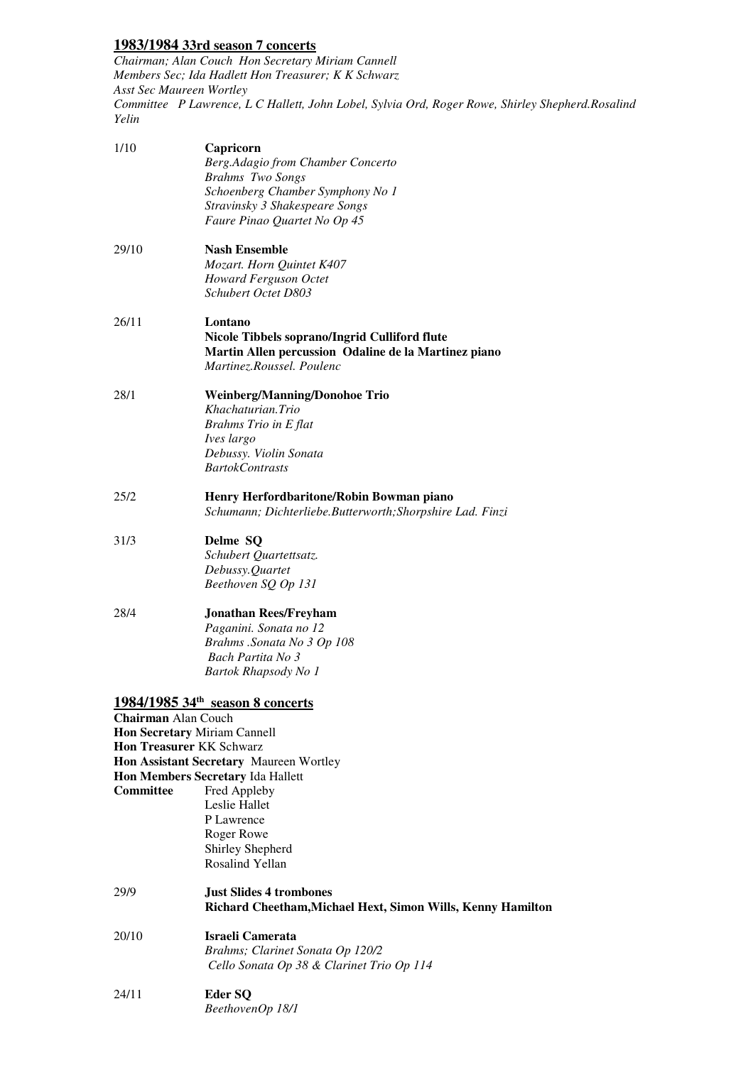# **1983/1984 33rd season 7 concerts**

 *Chairman; Alan Couch Hon Secretary Miriam Cannell Members Sec; Ida Hadlett Hon Treasurer; K K Schwarz Asst Sec Maureen Wortley*  Committee P Lawrence, L C Hallett, John Lobel, Sylvia Ord, Roger Rowe, Shirley Shepherd.Rosalind<br>Yelin 

| 1/10                       | Capricorn<br>Berg.Adagio from Chamber Concerto<br><b>Brahms</b> Two Songs<br>Schoenberg Chamber Symphony No 1<br>Stravinsky 3 Shakespeare Songs<br>Faure Pinao Quartet No Op 45                 |
|----------------------------|-------------------------------------------------------------------------------------------------------------------------------------------------------------------------------------------------|
| 29/10                      | <b>Nash Ensemble</b><br>Mozart. Horn Quintet K407<br>Howard Ferguson Octet<br>Schubert Octet D803                                                                                               |
| 26/11                      | Lontano<br>Nicole Tibbels soprano/Ingrid Culliford flute<br>Martin Allen percussion Odaline de la Martinez piano<br>Martinez.Roussel. Poulenc                                                   |
| 28/1                       | <b>Weinberg/Manning/Donohoe Trio</b><br>Khachaturian.Trio<br><b>Brahms Trio in E flat</b><br>Ives largo<br>Debussy. Violin Sonata<br><b>BartokContrasts</b>                                     |
| 25/2                       | Henry Herfordbaritone/Robin Bowman piano<br>Schumann; Dichterliebe.Butterworth; Shorpshire Lad. Finzi                                                                                           |
| 31/3                       | Delme SQ<br>Schubert Quartettsatz.<br>Debussy.Quartet<br>Beethoven SQ Op 131                                                                                                                    |
| 28/4                       | <b>Jonathan Rees/Freyham</b><br>Paganini. Sonata no 12<br>Brahms .Sonata No 3 Op 108<br>Bach Partita No 3<br>Bartok Rhapsody No 1                                                               |
| <b>Chairman Alan Couch</b> | 1984/1985 34 <sup>th</sup> season 8 concerts<br>Hon Secretary Miriam Cannell<br><b>Hon Treasurer KK Schwarz</b><br>Hon Assistant Secretary Maureen Wortley<br>Hon Members Secretary Ida Hallett |
| <b>Committee</b>           | Fred Appleby<br>Leslie Hallet<br>P Lawrence<br>Roger Rowe<br>Shirley Shepherd<br><b>Rosalind Yellan</b>                                                                                         |
| 29/9                       | <b>Just Slides 4 trombones</b><br>Richard Cheetham, Michael Hext, Simon Wills, Kenny Hamilton                                                                                                   |
| 20/10                      | <b>Israeli Camerata</b><br>Brahms; Clarinet Sonata Op 120/2<br>Cello Sonata Op 38 & Clarinet Trio Op 114                                                                                        |
| 24/11                      | Eder SQ<br>BeethovenOp 18/1                                                                                                                                                                     |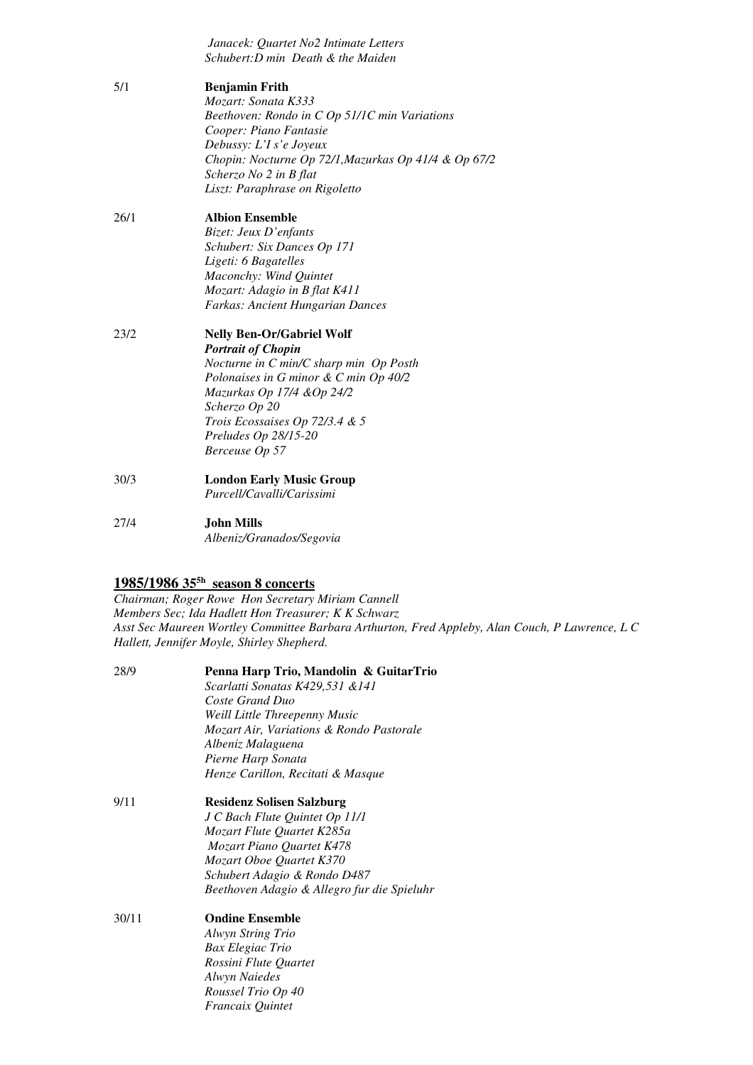|      | Janacek: Quartet No2 Intimate Letters                |
|------|------------------------------------------------------|
|      | Schubert: D min Death & the Maiden                   |
| 5/1  | <b>Benjamin Frith</b>                                |
|      | Mozart: Sonata K333                                  |
|      | Beethoven: Rondo in C Op 51/1C min Variations        |
|      | Cooper: Piano Fantasie                               |
|      | Debussy: L'I s'e Joyeux                              |
|      | Chopin: Nocturne Op 72/1, Mazurkas Op 41/4 & Op 67/2 |
|      | Scherzo No 2 in B flat                               |
|      | Liszt: Paraphrase on Rigoletto                       |
| 26/1 | <b>Albion Ensemble</b>                               |
|      | Bizet: Jeux D'enfants                                |
|      | Schubert: Six Dances Op 171                          |
|      | Ligeti: 6 Bagatelles                                 |
|      | Maconchy: Wind Quintet                               |
|      | Mozart: Adagio in B flat K411                        |
|      | <b>Farkas: Ancient Hungarian Dances</b>              |
| 23/2 | <b>Nelly Ben-Or/Gabriel Wolf</b>                     |
|      | <b>Portrait of Chopin</b>                            |
|      | Nocturne in C min/C sharp min Op Posth               |
|      | Polonaises in G minor & C min Op 40/2                |
|      | Mazurkas Op 17/4 & Op 24/2                           |
|      | Scherzo Op 20                                        |
|      | Trois Ecossaises Op 72/3.4 & 5                       |
|      | Preludes Op 28/15-20                                 |
|      | Berceuse Op 57                                       |
| 30/3 | <b>London Early Music Group</b>                      |
|      | Purcell/Cavalli/Carissimi                            |
| 27/4 | <b>John Mills</b>                                    |
|      | Albeniz/Granados/Segovia                             |

# **1985/1986 355h season 8 concerts**

 *Chairman; Roger Rowe Hon Secretary Miriam Cannell Members Sec; Ida Hadlett Hon Treasurer; K K Schwarz Asst Sec Maureen Wortley Committee Barbara Arthurton, Fred Appleby, Alan Couch, P Lawrence, L C Hallett, Jennifer Moyle, Shirley Shepherd.* 

| 28/9  | Penna Harp Trio, Mandolin & GuitarTrio      |
|-------|---------------------------------------------|
|       | Scarlatti Sonatas K429,531 & 141            |
|       | Coste Grand Duo                             |
|       | Weill Little Threepenny Music               |
|       | Mozart Air, Variations & Rondo Pastorale    |
|       | Albeniz Malaguena                           |
|       | Pierne Harp Sonata                          |
|       | Henze Carillon, Recitati & Masque           |
| 9/11  | <b>Residenz Solisen Salzburg</b>            |
|       | J C Bach Flute Quintet Op 11/1              |
|       | Mozart Flute Quartet K285a                  |
|       | Mozart Piano Quartet K478                   |
|       | Mozart Oboe Quartet K370                    |
|       | Schubert Adagio & Rondo D487                |
|       | Beethoven Adagio & Allegro fur die Spieluhr |
| 30/11 | <b>Ondine Ensemble</b>                      |
|       | Alwyn String Trio                           |
|       | Bax Elegiac Trio                            |
|       | Rossini Flute Quartet                       |
|       | <b>Alwyn Naiedes</b>                        |
|       | Roussel Trio Op 40                          |
|       | <i>Francaix Quintet</i>                     |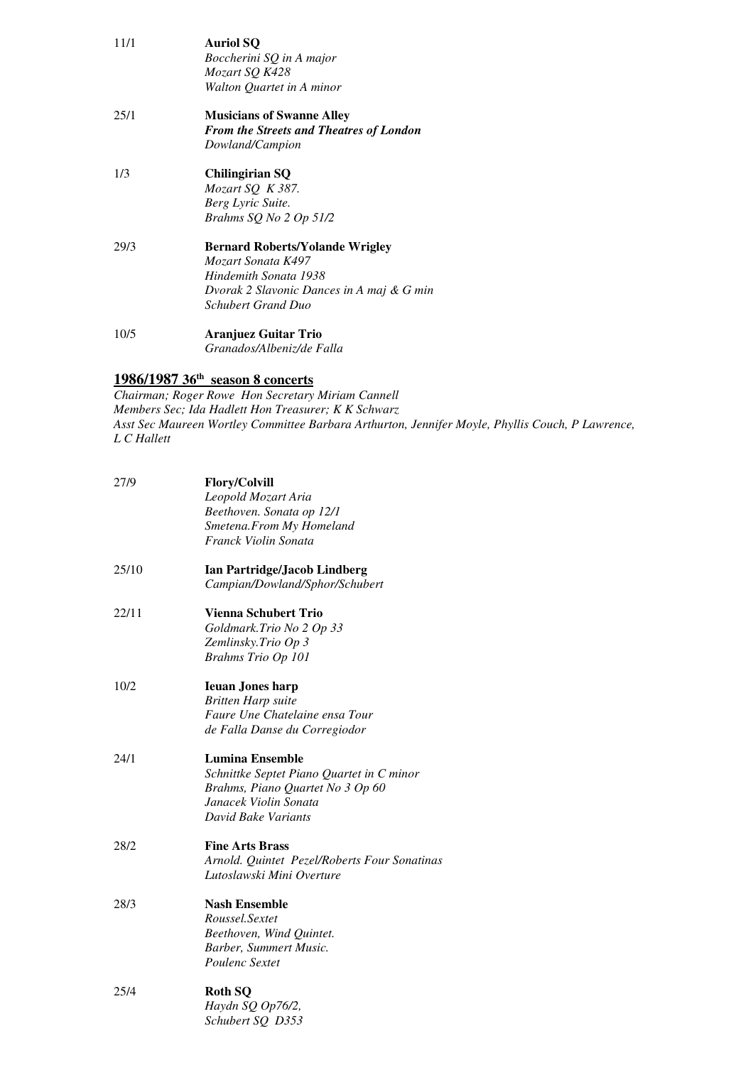| 11/1 | <b>Auriol SQ</b><br>Boccherini SQ in A major<br>Mozart SQ K428<br>Walton Quartet in A minor                                                                     |
|------|-----------------------------------------------------------------------------------------------------------------------------------------------------------------|
| 25/1 | <b>Musicians of Swanne Alley</b><br><b>From the Streets and Theatres of London</b><br>Dowland/Campion                                                           |
| 1/3  | Chilingirian SQ<br>Mozart SQ $K$ 387.<br>Berg Lyric Suite.<br>Brahms SQ No 2 Op 51/2                                                                            |
| 29/3 | <b>Bernard Roberts/Yolande Wrigley</b><br>Mozart Sonata K497<br>Hindemith Sonata 1938<br>Dvorak 2 Slavonic Dances in A maj & G min<br><b>Schubert Grand Duo</b> |
| 10/5 | Aranjuez Guitar Trio<br>Granados/Albeniz/de Falla                                                                                                               |

#### **1986/1987 36th season 8 concerts**

 *Members Sec; Ida Hadlett Hon Treasurer; K K Schwarz Asst Sec Maureen Wortley Committee Barbara Arthurton, Jennifer Moyle, Phyllis Couch, P Lawrence, L C Hallett Chairman; Roger Rowe Hon Secretary Miriam Cannell* 

| 27/9  | <b>Flory/Colvill</b>                         |
|-------|----------------------------------------------|
|       | Leopold Mozart Aria                          |
|       | Beethoven. Sonata op 12/1                    |
|       | Smetena.From My Homeland                     |
|       | Franck Violin Sonata                         |
| 25/10 | <b>Ian Partridge/Jacob Lindberg</b>          |
|       | Campian/Dowland/Sphor/Schubert               |
| 22/11 | <b>Vienna Schubert Trio</b>                  |
|       | Goldmark.Trio No 2 Op 33                     |
|       | Zemlinsky. Trio Op 3                         |
|       | Brahms Trio Op 101                           |
| 10/2  | <b>Ieuan Jones harp</b>                      |
|       | <b>Britten Harp suite</b>                    |
|       | Faure Une Chatelaine ensa Tour               |
|       | de Falla Danse du Corregiodor                |
| 24/1  | <b>Lumina Ensemble</b>                       |
|       | Schnittke Septet Piano Quartet in C minor    |
|       | Brahms, Piano Quartet No 3 Op 60             |
|       | Janacek Violin Sonata                        |
|       | David Bake Variants                          |
| 28/2  | <b>Fine Arts Brass</b>                       |
|       | Arnold. Quintet Pezel/Roberts Four Sonatinas |
|       | Lutoslawski Mini Overture                    |
| 28/3  | <b>Nash Ensemble</b>                         |
|       | Roussel.Sextet                               |
|       | Beethoven, Wind Quintet.                     |
|       | Barber, Summert Music.                       |
|       | Poulenc Sextet                               |
| 25/4  | <b>Roth SO</b>                               |
|       | Haydn SQ Op76/2,                             |
|       | Schubert SQ D353                             |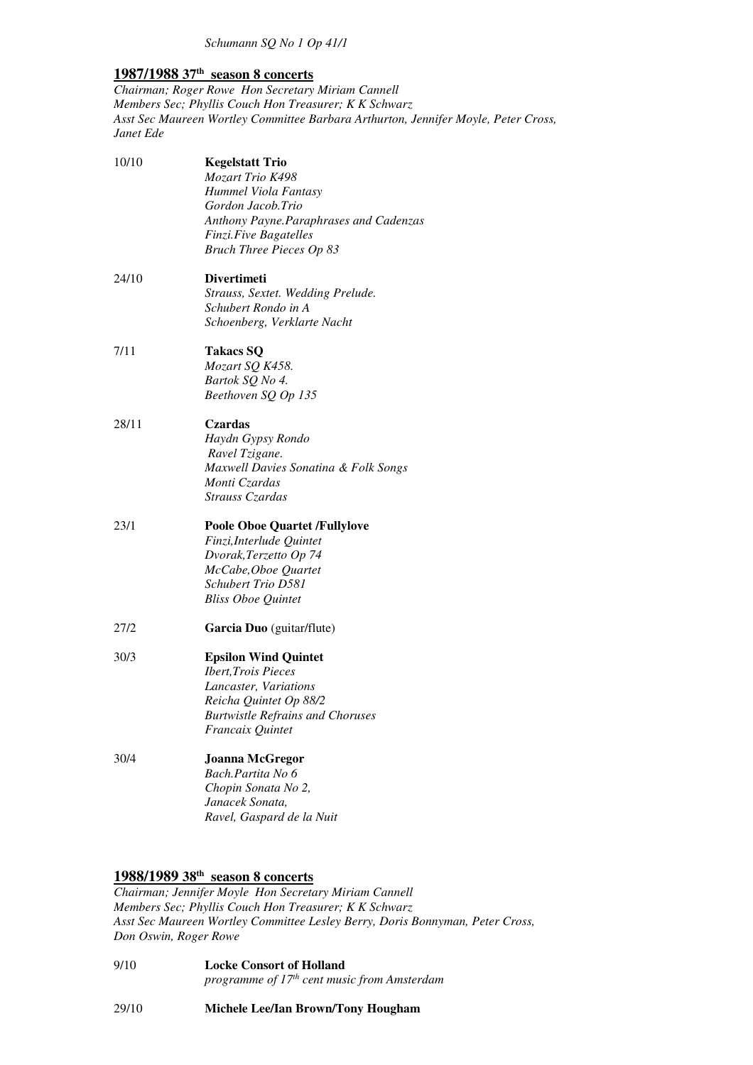# **1987/1988 37th season 8 concerts**

 *Chairman; Roger Rowe Hon Secretary Miriam Cannell Members Sec; Phyllis Couch Hon Treasurer; K K Schwarz Asst Sec Maureen Wortley Committee Barbara Arthurton, Jennifer Moyle, Peter Cross, Janet Ede* 

| <b>Kegelstatt Trio</b>                  |
|-----------------------------------------|
| Mozart Trio K498                        |
| Hummel Viola Fantasy                    |
| Gordon Jacob.Trio                       |
| Anthony Payne. Paraphrases and Cadenzas |
| Finzi.Five Bagatelles                   |
| <b>Bruch Three Pieces Op 83</b>         |
| <b>Divertimeti</b>                      |
| Strauss, Sextet. Wedding Prelude.       |
| Schubert Rondo in A                     |
| Schoenberg, Verklarte Nacht             |
| <b>Takacs SQ</b>                        |
| Mozart SQ K458.                         |
| Bartok SQ No 4.                         |
| Beethoven SQ Op 135                     |
| Czardas                                 |
| Haydn Gypsy Rondo                       |
| Ravel Tzigane.                          |
| Maxwell Davies Sonatina & Folk Songs    |
| Monti Czardas                           |
| Strauss Czardas                         |
| <b>Poole Oboe Quartet /Fullylove</b>    |
| Finzi, Interlude Quintet                |
| Dvorak, Terzetto Op 74                  |
| McCabe, Oboe Quartet                    |
| <b>Schubert Trio D581</b>               |
| <b>Bliss Oboe Quintet</b>               |
| Garcia Duo (guitar/flute)               |
| <b>Epsilon Wind Quintet</b>             |
| <b>Ibert, Trois Pieces</b>              |
| Lancaster, Variations                   |
| Reicha Quintet Op 88/2                  |
| <b>Burtwistle Refrains and Choruses</b> |
| Francaix Quintet                        |
| <b>Joanna McGregor</b>                  |
| Bach.Partita No 6                       |
| Chopin Sonata No 2,                     |
| Janacek Sonata,                         |
| Ravel, Gaspard de la Nuit               |
|                                         |

# **1988/1989 38th season 8 concerts**

 *Chairman; Jennifer Moyle Hon Secretary Miriam Cannell Members Sec; Phyllis Couch Hon Treasurer; K K Schwarz Asst Sec Maureen Wortley Committee Lesley Berry, Doris Bonnyman, Peter Cross, Don Oswin, Roger Rowe* 

 $9/10$ **Locke Consort of Holland** *programme of 17th cent music from Amsterdam* 

29/10 29/10 **Michele Lee/Ian Brown/Tony Hougham**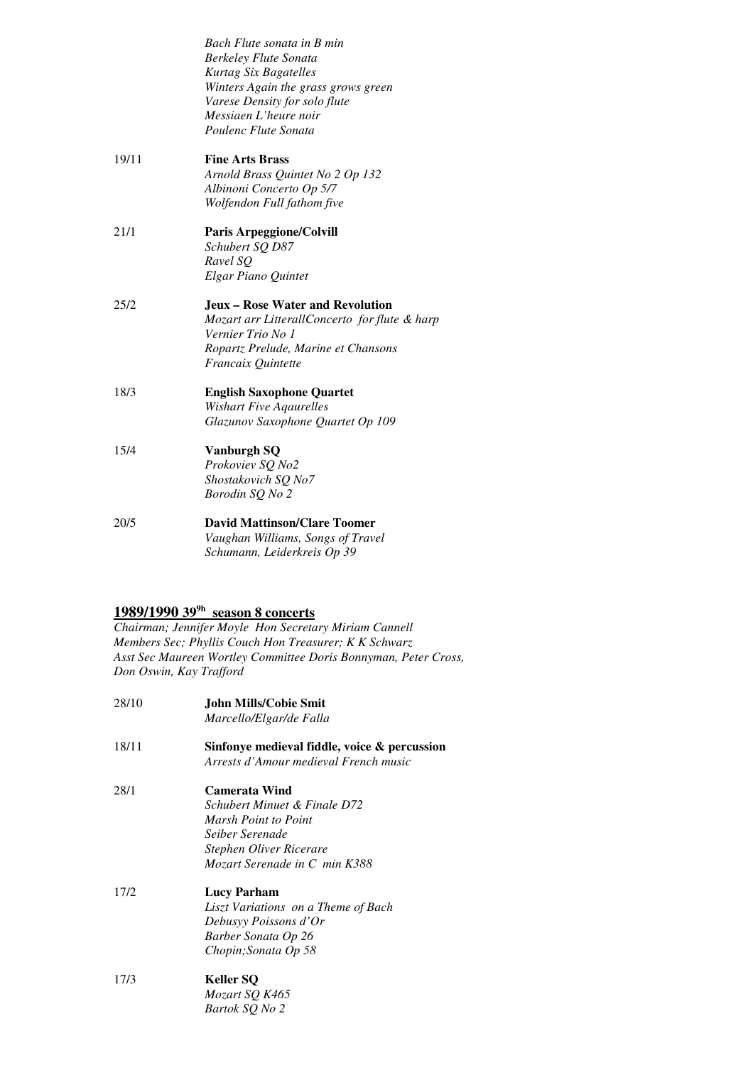|       | Bach Flute sonata in B min<br><b>Berkeley Flute Sonata</b><br>Kurtag Six Bagatelles<br>Winters Again the grass grows green |
|-------|----------------------------------------------------------------------------------------------------------------------------|
|       | Varese Density for solo flute                                                                                              |
|       | Messiaen L'heure noir                                                                                                      |
|       | Poulenc Flute Sonata                                                                                                       |
| 19/11 | <b>Fine Arts Brass</b>                                                                                                     |
|       | Arnold Brass Quintet No 2 Op 132                                                                                           |
|       | Albinoni Concerto Op 5/7                                                                                                   |
|       | Wolfendon Full fathom five                                                                                                 |
| 21/1  | <b>Paris Arpeggione/Colvill</b>                                                                                            |
|       | Schubert SQ D87                                                                                                            |
|       | Ravel SO                                                                                                                   |
|       | Elgar Piano Quintet                                                                                                        |
| 25/2  | <b>Jeux – Rose Water and Revolution</b>                                                                                    |
|       | Mozart arr LitterallConcerto for flute & harp                                                                              |
|       | Vernier Trio No 1                                                                                                          |
|       | Ropartz Prelude, Marine et Chansons                                                                                        |
|       | <i>Francaix Quintette</i>                                                                                                  |
| 18/3  | <b>English Saxophone Quartet</b>                                                                                           |
|       | <b>Wishart Five Agaurelles</b>                                                                                             |
|       | Glazunov Saxophone Quartet Op 109                                                                                          |
| 15/4  | <b>Vanburgh SQ</b>                                                                                                         |
|       | Prokoviev SQ No2                                                                                                           |
|       | Shostakovich SQ No7                                                                                                        |
|       | Borodin SQ No 2                                                                                                            |
| 20/5  | <b>David Mattinson/Clare Toomer</b>                                                                                        |
|       | Vaughan Williams, Songs of Travel                                                                                          |
|       | Schumann, Leiderkreis Op 39                                                                                                |

#### **1989/1990 399h season 8 concerts**

 *Members Sec; Phyllis Couch Hon Treasurer; K K Schwarz Chairman; Jennifer Moyle Hon Secretary Miriam Cannell Asst Sec Maureen Wortley Committee Doris Bonnyman, Peter Cross, Don Oswin, Kay Trafford* 

| 28/10 | John Mills/Cobie Smit<br>Marcello/Elgar/de Falla                                                                                                            |
|-------|-------------------------------------------------------------------------------------------------------------------------------------------------------------|
| 18/11 | Sinfonye medieval fiddle, voice & percussion<br>Arrests d'Amour medieval French music                                                                       |
| 28/1  | <b>Camerata Wind</b><br>Schubert Minuet & Finale D72<br>Marsh Point to Point<br>Seiber Serenade<br>Stephen Oliver Ricerare<br>Mozart Serenade in C min K388 |
| 17/2  | <b>Lucy Parham</b><br>Liszt Variations on a Theme of Bach<br>Debusyy Poissons d'Or<br>Barber Sonata Op 26<br>Chopin; Sonata Op 58                           |
| 17/3  | Keller SQ<br>Mozart SQ K465<br>Bartok SQ No 2                                                                                                               |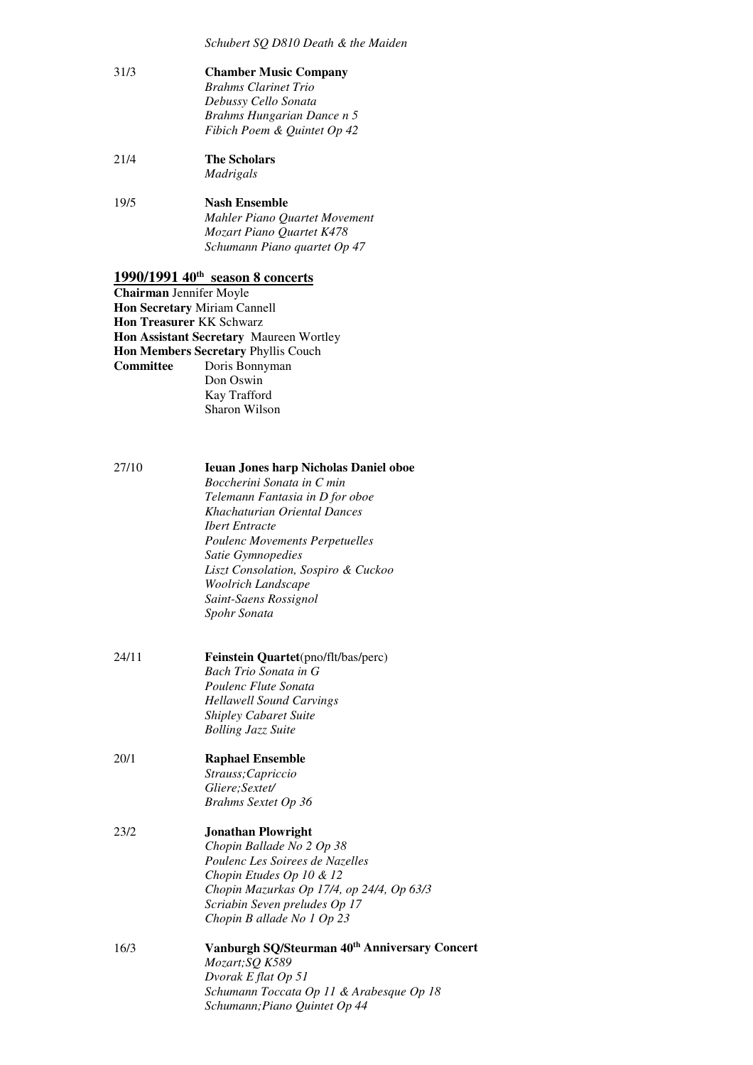*Schubert SQ D810 Death & the Maiden* 

| 31/3 | <b>Chamber Music Company</b><br><b>Brahms Clarinet Trio</b><br>Debussy Cello Sonata<br>Brahms Hungarian Dance n 5<br>Fibich Poem & Quintet Op 42 |
|------|--------------------------------------------------------------------------------------------------------------------------------------------------|
| 21/4 | The Scholars<br>Madrigals                                                                                                                        |
| 19/5 | Nash Ensemble<br>Mahler Piano Ouartet Movement<br>Mozart Piano Quartet K478<br>Schumann Piano quartet Op 47                                      |

# **1990/1991 40th season 8 concerts**

 **Chairman** Jennifer Moyle  **Hon Secretary** Miriam Cannell  **Hon Treasurer** KK Schwarz  **Hon Assistant Secretary** Maureen Wortley  **Hon Members Secretary** Phyllis Couch **Committee** Doris Bonnyman Don Oswin Kay Trafford Sharon Wilson

| 27/10 | <b>Ieuan Jones harp Nicholas Daniel oboe</b>                                 |
|-------|------------------------------------------------------------------------------|
|       | Boccherini Sonata in C min                                                   |
|       | Telemann Fantasia in D for oboe                                              |
|       | Khachaturian Oriental Dances                                                 |
|       | <b>Ibert Entracte</b>                                                        |
|       | <b>Poulenc Movements Perpetuelles</b>                                        |
|       | Satie Gymnopedies                                                            |
|       | Liszt Consolation, Sospiro & Cuckoo                                          |
|       | Woolrich Landscape                                                           |
|       | Saint-Saens Rossignol                                                        |
|       | Spohr Sonata                                                                 |
| 24/11 | Feinstein Quartet(pno/flt/bas/perc)                                          |
|       | Bach Trio Sonata in G                                                        |
|       | Poulenc Flute Sonata                                                         |
|       | <b>Hellawell Sound Carvings</b>                                              |
|       | <b>Shipley Cabaret Suite</b>                                                 |
|       | <b>Bolling Jazz Suite</b>                                                    |
| 20/1  | <b>Raphael Ensemble</b>                                                      |
|       | Strauss; Capriccio                                                           |
|       | Gliere;Sextet/                                                               |
|       | Brahms Sextet Op 36                                                          |
| 23/2  | <b>Jonathan Plowright</b>                                                    |
|       | Chopin Ballade No 2 Op 38                                                    |
|       | Poulenc Les Soirees de Nazelles                                              |
|       | Chopin Etudes Op 10 & 12                                                     |
|       | Chopin Mazurkas Op 17/4, op 24/4, Op 63/3                                    |
|       | Scriabin Seven preludes Op 17                                                |
|       | Chopin B allade No 1 Op 23                                                   |
| 16/3  | Vanburgh SQ/Steurman 40 <sup>th</sup> Anniversary Concert<br>Mozart; SQ K589 |
|       | Dvorak E flat Op 51                                                          |
|       | Schumann Toccata Op 11 & Arabesque Op 18                                     |
|       | Schumann; Piano Quintet Op 44                                                |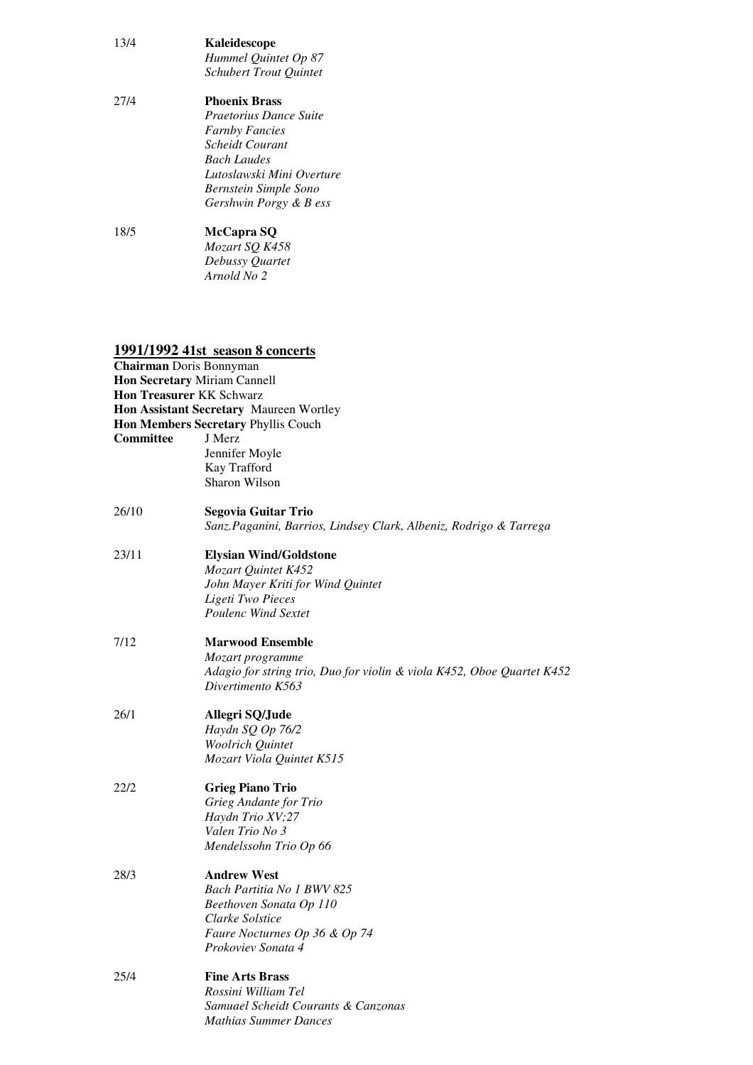| 13/4 | Kaleidescope<br>Hummel Quintet Op 87<br><b>Schubert Trout Quintet</b> |
|------|-----------------------------------------------------------------------|
| 27/4 | <b>Phoenix Brass</b>                                                  |
|      | Praetorius Dance Suite                                                |
|      | <b>Farnby Fancies</b>                                                 |
|      | Scheidt Courant                                                       |
|      | <b>Bach Laudes</b>                                                    |
|      | Lutoslawski Mini Overture                                             |
|      | Bernstein Simple Sono                                                 |

*Gershwin Porgy & B ess* 

18/5  *Debussy Quartet Arnold No 2*  18/5 **McCapra SQ**  *Mozart SQ K458* 

# **1991/1992 41st season 8 concerts**

|           | Chairman Doris Bonnyman                                                |
|-----------|------------------------------------------------------------------------|
|           | Hon Secretary Miriam Cannell                                           |
|           | <b>Hon Treasurer KK Schwarz</b>                                        |
|           | Hon Assistant Secretary Maureen Wortley                                |
|           | <b>Hon Members Secretary Phyllis Couch</b>                             |
| Committee | J Merz                                                                 |
|           | Jennifer Moyle                                                         |
|           | Kay Trafford                                                           |
|           | Sharon Wilson                                                          |
| 26/10     | Segovia Guitar Trio                                                    |
|           | Sanz. Paganini, Barrios, Lindsey Clark, Albeniz, Rodrigo & Tarrega     |
| 23/11     | <b>Elysian Wind/Goldstone</b>                                          |
|           | Mozart Quintet K452                                                    |
|           | John Mayer Kriti for Wind Quintet                                      |
|           | Ligeti Two Pieces                                                      |
|           | <b>Poulenc Wind Sextet</b>                                             |
| 7/12      | <b>Marwood Ensemble</b>                                                |
|           | Mozart programme                                                       |
|           | Adagio for string trio, Duo for violin & viola K452, Oboe Quartet K452 |
|           | Divertimento K563                                                      |
| 26/1      | Allegri SQ/Jude                                                        |
|           | Haydn SQ Op 76/2                                                       |
|           | Woolrich Quintet                                                       |
|           | Mozart Viola Quintet K515                                              |
| 22/2      | <b>Grieg Piano Trio</b>                                                |
|           | Grieg Andante for Trio                                                 |
|           | Haydn Trio XV;27                                                       |
|           | Valen Trio No 3                                                        |
|           | Mendelssohn Trio Op 66                                                 |
| 28/3      | <b>Andrew West</b>                                                     |
|           | Bach Partitia No 1 BWV 825                                             |
|           | Beethoven Sonata Op 110                                                |
|           | Clarke Solstice                                                        |
|           | Faure Nocturnes Op 36 & Op 74                                          |
|           | Prokoviev Sonata 4                                                     |
| 25/4      | <b>Fine Arts Brass</b>                                                 |
|           | Rossini William Tel                                                    |
|           | Samuael Scheidt Courants & Canzonas                                    |
|           | <b>Mathias Summer Dances</b>                                           |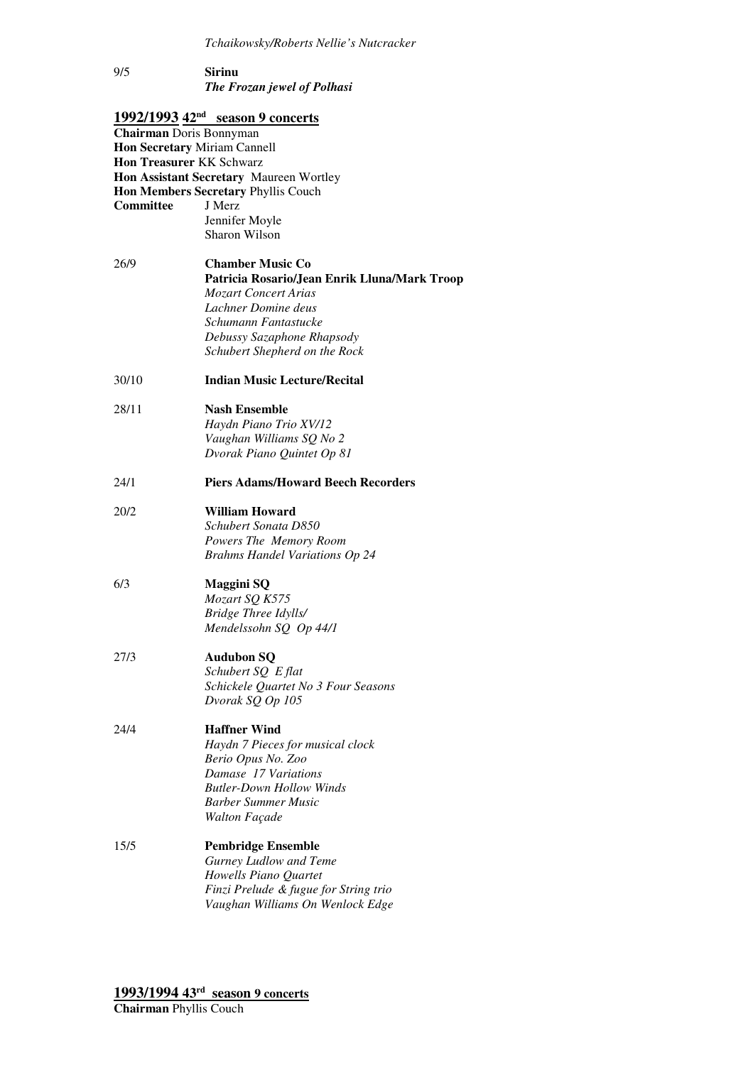### *The Frozan jewel of Polhasi*  **Sirinu**

|                                 | <u>1992/1993 42<sup>nd</sup> season 9 concerts</u> |
|---------------------------------|----------------------------------------------------|
| Chairman Doris Bonnyman         |                                                    |
| Hon Secretary Miriam Cannell    |                                                    |
| <b>Hon Treasurer KK Schwarz</b> |                                                    |
|                                 | Hon Assistant Secretary Maureen Wortley            |
|                                 | Hon Members Secretary Phyllis Couch                |
| Committee                       | J Merz                                             |
|                                 | Jennifer Moyle                                     |
|                                 | Sharon Wilson                                      |
| 26/9                            | <b>Chamber Music Co</b>                            |
|                                 | Patricia Rosario/Jean Enrik Lluna/Mark Troop       |
|                                 | <b>Mozart Concert Arias</b>                        |
|                                 | Lachner Domine deus                                |
|                                 | Schumann Fantastucke                               |
|                                 | Debussy Sazaphone Rhapsody                         |
|                                 | Schubert Shepherd on the Rock                      |
| 30/10                           | <b>Indian Music Lecture/Recital</b>                |
| 28/11                           | <b>Nash Ensemble</b>                               |
|                                 | Haydn Piano Trio XV/12                             |
|                                 | Vaughan Williams SQ No 2                           |
|                                 | Dvorak Piano Quintet Op 81                         |
| 24/1                            | <b>Piers Adams/Howard Beech Recorders</b>          |
| 20/2                            | <b>William Howard</b>                              |
|                                 | Schubert Sonata D850                               |
|                                 | Powers The Memory Room                             |
|                                 | <b>Brahms Handel Variations Op 24</b>              |
| 6/3                             | <b>Maggini SQ</b>                                  |
|                                 | Mozart SQ K575                                     |
|                                 | Bridge Three Idylls/                               |
|                                 | Mendelssohn SQ Op 44/1                             |
| 27/3                            | <b>Audubon SQ</b>                                  |
|                                 | Schubert SQ E flat                                 |
|                                 | Schickele Quartet No 3 Four Seasons                |
|                                 | Dvorak SQ Op 105                                   |
| 24/4                            | <b>Haffner Wind</b>                                |
|                                 | Haydn 7 Pieces for musical clock                   |
|                                 | Berio Opus No. Zoo                                 |
|                                 | Damase 17 Variations                               |
|                                 | <b>Butler-Down Hollow Winds</b>                    |
|                                 | <b>Barber Summer Music</b>                         |
|                                 | Walton Façade                                      |
| 15/5                            | <b>Pembridge Ensemble</b>                          |
|                                 | <b>Gurney Ludlow and Teme</b>                      |
|                                 | Howells Piano Quartet                              |
|                                 | Finzi Prelude & fugue for String trio              |
|                                 | Vaughan Williams On Wenlock Edge                   |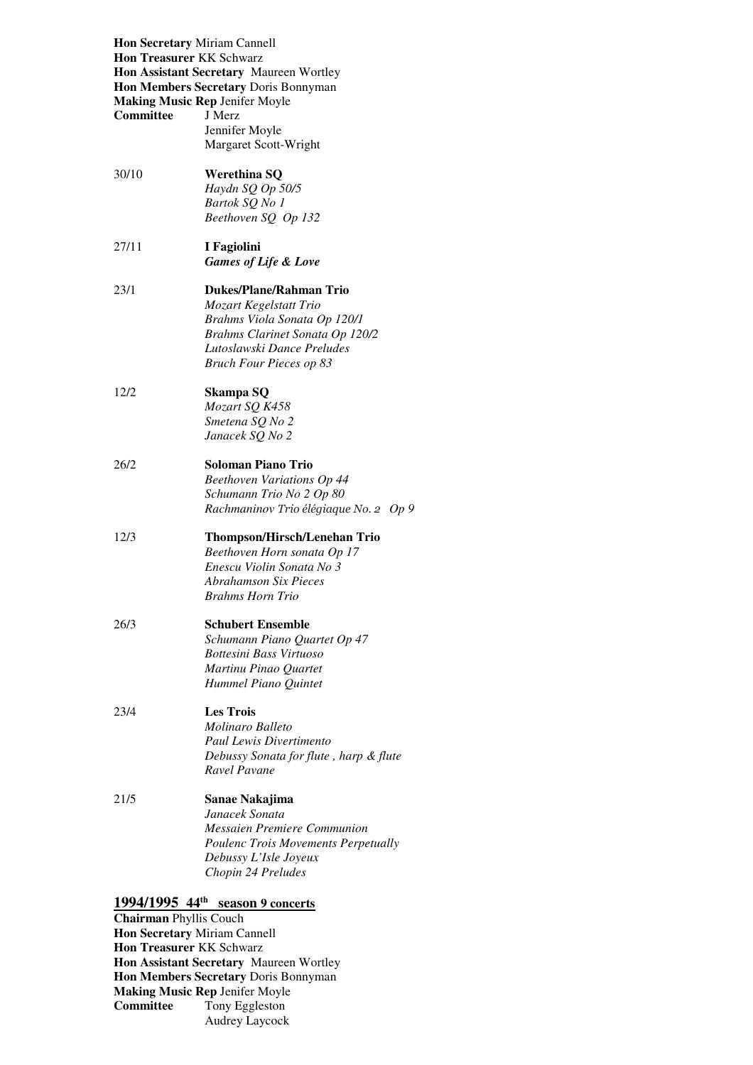| <b>Hon Secretary Miriam Cannell</b><br><b>Hon Treasurer KK Schwarz</b><br><b>Committee</b> | Hon Assistant Secretary Maureen Wortley<br>Hon Members Secretary Doris Bonnyman<br><b>Making Music Rep Jenifer Moyle</b><br>J Merz<br>Jennifer Moyle<br>Margaret Scott-Wright               |
|--------------------------------------------------------------------------------------------|---------------------------------------------------------------------------------------------------------------------------------------------------------------------------------------------|
| 30/10                                                                                      | Werethina SQ<br>Haydn SQ Op 50/5<br>Bartok SQ No 1<br>Beethoven SQ Op 132                                                                                                                   |
| 27/11                                                                                      | I Fagiolini<br><b>Games of Life &amp; Love</b>                                                                                                                                              |
| 23/1                                                                                       | <b>Dukes/Plane/Rahman Trio</b><br>Mozart Kegelstatt Trio<br>Brahms Viola Sonata Op 120/1<br>Brahms Clarinet Sonata Op 120/2<br>Lutoslawski Dance Preludes<br><b>Bruch Four Pieces op 83</b> |
| 12/2                                                                                       | Skampa SQ<br>Mozart SQ K458<br>Smetena SQ No 2<br>Janacek SQ No 2                                                                                                                           |
| 26/2                                                                                       | <b>Soloman Piano Trio</b><br><b>Beethoven Variations Op 44</b><br>Schumann Trio No 2 Op 80<br>Rachmaninov Trio élégiaque No. 2 Op 9                                                         |
| 12/3                                                                                       | <b>Thompson/Hirsch/Lenehan Trio</b><br>Beethoven Horn sonata Op 17<br>Enescu Violin Sonata No 3<br><b>Abrahamson Six Pieces</b><br>Brahms Horn Trio                                         |
| 26/3                                                                                       | <b>Schubert Ensemble</b><br>Schumann Piano Quartet Op 47<br>Bottesini Bass Virtuoso<br>Martinu Pinao Quartet<br>Hummel Piano Quintet                                                        |
| 23/4                                                                                       | <b>Les Trois</b><br>Molinaro Balleto<br><b>Paul Lewis Divertimento</b><br>Debussy Sonata for flute, harp & flute<br>Ravel Pavane                                                            |
| 21/5                                                                                       | Sanae Nakajima<br>Janacek Sonata<br>Messaien Premiere Communion<br>Poulenc Trois Movements Perpetually<br>Debussy L'Isle Joyeux<br>Chopin 24 Preludes                                       |
| <b>Chairman Phyllis Couch</b>                                                              | 1994/1995 44 <sup>th</sup> season 9 concerts                                                                                                                                                |

# **Hon Secretary** Miriam Cannell  **Hon Treasurer** KK Schwarz  **Hon Assistant Secretary** Maureen Wortley  **Hon Members Secretary** Doris Bonnyman  **Making Music Rep** Jenifer Moyle

Committee Tony Eggleston Audrey Laycock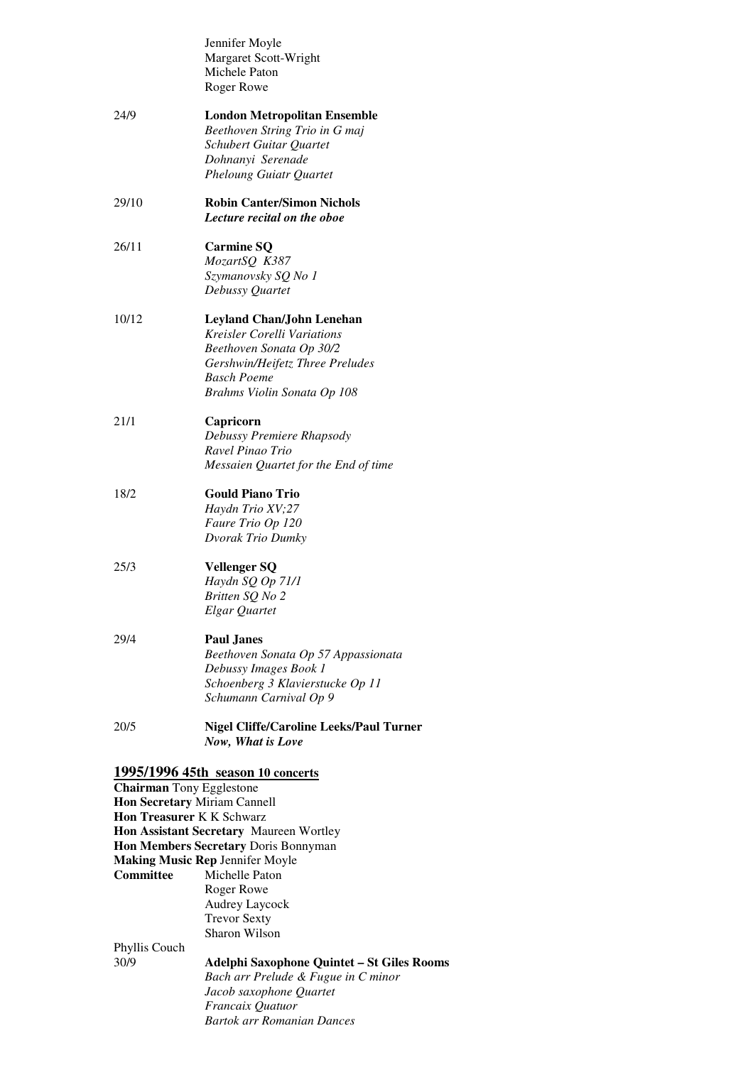|                                                                                                                         | Jennifer Moyle<br>Margaret Scott-Wright<br>Michele Paton<br>Roger Rowe                                                                                                                                                                                   |
|-------------------------------------------------------------------------------------------------------------------------|----------------------------------------------------------------------------------------------------------------------------------------------------------------------------------------------------------------------------------------------------------|
| 24/9                                                                                                                    | <b>London Metropolitan Ensemble</b><br>Beethoven String Trio in G maj<br>Schubert Guitar Quartet<br>Dohnanyi Serenade<br><b>Pheloung Guiatr Quartet</b>                                                                                                  |
| 29/10                                                                                                                   | <b>Robin Canter/Simon Nichols</b><br>Lecture recital on the oboe                                                                                                                                                                                         |
| 26/11                                                                                                                   | <b>Carmine SQ</b><br>MozartSQ K387<br>Szymanovsky SQ No 1<br>Debussy Quartet                                                                                                                                                                             |
| 10/12                                                                                                                   | <b>Leyland Chan/John Lenehan</b><br><b>Kreisler Corelli Variations</b><br>Beethoven Sonata Op 30/2<br>Gershwin/Heifetz Three Preludes<br>Basch Poeme<br>Brahms Violin Sonata Op 108                                                                      |
| 21/1                                                                                                                    | Capricorn<br>Debussy Premiere Rhapsody<br>Ravel Pinao Trio<br>Messaien Quartet for the End of time                                                                                                                                                       |
| 18/2                                                                                                                    | <b>Gould Piano Trio</b><br>Haydn Trio XV;27<br>Faure Trio Op 120<br>Dvorak Trio Dumky                                                                                                                                                                    |
| 25/3                                                                                                                    | <b>Vellenger SQ</b><br>Haydn SQ Op 71/1<br>Britten SQ No 2<br>Elgar Quartet                                                                                                                                                                              |
| 29/4                                                                                                                    | Paul Janes<br>Beethoven Sonata Op 57 Appassionata<br>Debussy Images Book 1<br>Schoenberg 3 Klavierstucke Op 11<br>Schumann Carnival Op 9                                                                                                                 |
| 20/5                                                                                                                    | <b>Nigel Cliffe/Caroline Leeks/Paul Turner</b><br>Now, What is Love                                                                                                                                                                                      |
| <b>Chairman</b> Tony Egglestone<br>Hon Secretary Miriam Cannell<br><b>Hon Treasurer K K Schwarz</b><br><b>Committee</b> | 1995/1996 45th season 10 concerts<br>Hon Assistant Secretary Maureen Wortley<br>Hon Members Secretary Doris Bonnyman<br><b>Making Music Rep Jennifer Moyle</b><br>Michelle Paton<br>Roger Rowe<br>Audrey Laycock<br><b>Trevor Sexty</b><br>Sharon Wilson |
| Phyllis Couch<br>30/9                                                                                                   | Adelphi Saxophone Quintet - St Giles Rooms<br>Bach arr Prelude & Fugue in C minor<br>Jacob saxophone Quartet<br>Francaix Quatuor<br>Bartok arr Romanian Dances                                                                                           |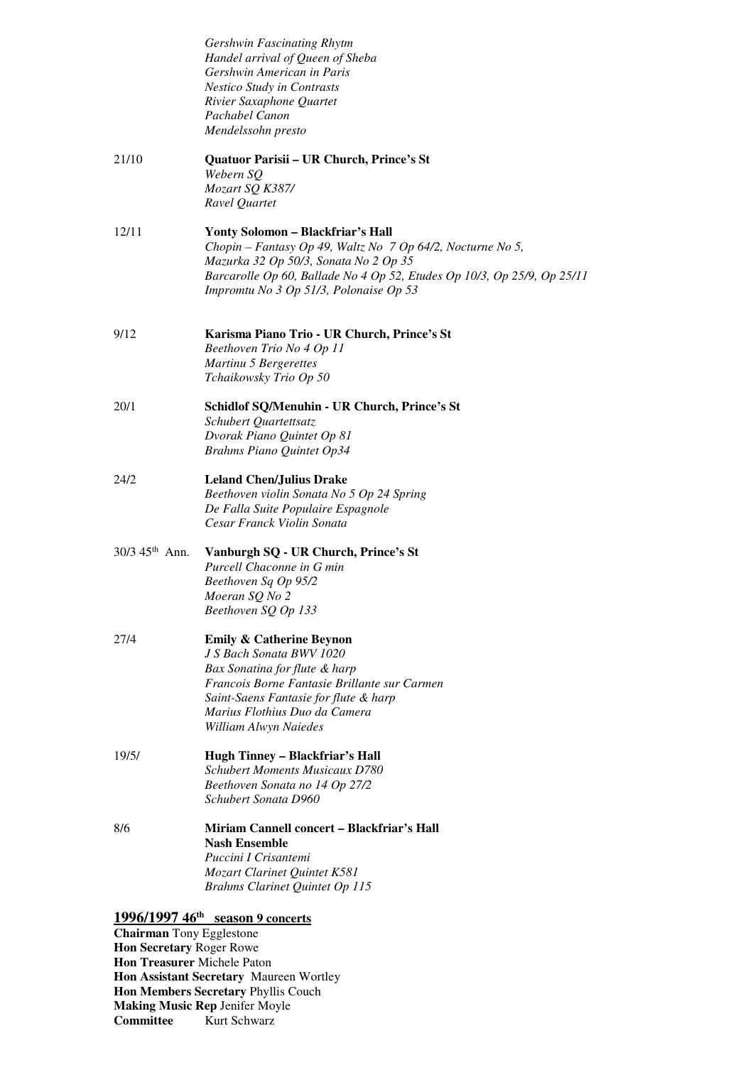|                                                             | Gershwin Fascinating Rhytm                                                                                       |
|-------------------------------------------------------------|------------------------------------------------------------------------------------------------------------------|
|                                                             | Handel arrival of Queen of Sheba<br>Gershwin American in Paris                                                   |
|                                                             | <b>Nestico Study in Contrasts</b>                                                                                |
|                                                             | Rivier Saxaphone Quartet                                                                                         |
|                                                             | Pachabel Canon<br>Mendelssohn presto                                                                             |
|                                                             |                                                                                                                  |
| 21/10                                                       | Quatuor Parisii - UR Church, Prince's St<br>Webern SQ                                                            |
|                                                             | Mozart SQ K387/                                                                                                  |
|                                                             | Ravel Quartet                                                                                                    |
| 12/11                                                       | Yonty Solomon - Blackfriar's Hall                                                                                |
|                                                             | Chopin – Fantasy Op 49, Waltz No $7$ Op 64/2, Nocturne No 5,                                                     |
|                                                             | Mazurka 32 Op 50/3, Sonata No 2 Op 35<br>Barcarolle Op 60, Ballade No 4 Op 52, Etudes Op 10/3, Op 25/9, Op 25/11 |
|                                                             | Impromtu No 3 Op 51/3, Polonaise Op 53                                                                           |
| 9/12                                                        | Karisma Piano Trio - UR Church, Prince's St                                                                      |
|                                                             | Beethoven Trio No 4 Op 11                                                                                        |
|                                                             | Martinu 5 Bergerettes                                                                                            |
|                                                             | Tchaikowsky Trio Op 50                                                                                           |
| 20/1                                                        | Schidlof SQ/Menuhin - UR Church, Prince's St                                                                     |
|                                                             | Schubert Quartettsatz<br>Dvorak Piano Quintet Op 81                                                              |
|                                                             | <b>Brahms Piano Quintet Op34</b>                                                                                 |
| 24/2                                                        | <b>Leland Chen/Julius Drake</b>                                                                                  |
|                                                             | Beethoven violin Sonata No 5 Op 24 Spring<br>De Falla Suite Populaire Espagnole                                  |
|                                                             | Cesar Franck Violin Sonata                                                                                       |
| $30/3$ 45 <sup>th</sup> Ann.                                | Vanburgh SQ - UR Church, Prince's St                                                                             |
|                                                             | Purcell Chaconne in G min                                                                                        |
|                                                             | Beethoven Sq Op 95/2<br>Moeran SQ No 2                                                                           |
|                                                             | Beethoven SQ Op 133                                                                                              |
| 27/4                                                        | <b>Emily &amp; Catherine Beynon</b>                                                                              |
|                                                             | J S Bach Sonata BWV 1020                                                                                         |
|                                                             | Bax Sonatina for flute & harp<br>Francois Borne Fantasie Brillante sur Carmen                                    |
|                                                             | Saint-Saens Fantasie for flute & harp                                                                            |
|                                                             | Marius Flothius Duo da Camera<br>William Alwyn Naiedes                                                           |
|                                                             |                                                                                                                  |
| 19/5/                                                       | Hugh Tinney - Blackfriar's Hall<br><b>Schubert Moments Musicaux D780</b>                                         |
|                                                             | Beethoven Sonata no 14 Op 27/2                                                                                   |
|                                                             | Schubert Sonata D960                                                                                             |
| 8/6                                                         | Miriam Cannell concert - Blackfriar's Hall                                                                       |
|                                                             | <b>Nash Ensemble</b><br>Puccini I Crisantemi                                                                     |
|                                                             | Mozart Clarinet Quintet K581                                                                                     |
|                                                             | <b>Brahms Clarinet Quintet Op 115</b>                                                                            |
|                                                             | $1996/1997$ 46 <sup>th</sup> season 9 concerts                                                                   |
| <b>Chairman</b> Tony Egglestone<br>Hon Secretary Roger Rowe |                                                                                                                  |
| Hon Treasurer Michele Paton                                 |                                                                                                                  |
|                                                             | $_{\text{start}}$ Constant Moussen Worth                                                                         |

Committee **Hon Assistant Secretary** Maureen Wortley **Hon Members Secretary** Phyllis Couch **Making Music Rep** Jenifer Moyle **Kurt Schwarz**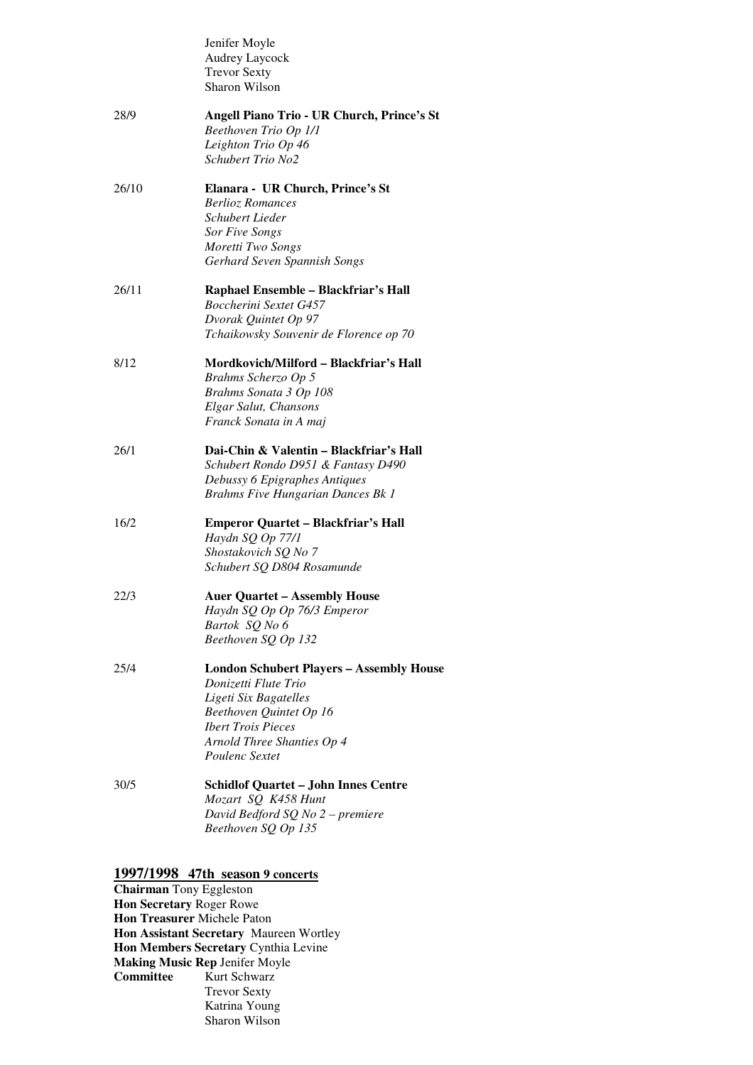|       | Jenifer Moyle<br>Audrey Laycock<br><b>Trevor Sexty</b><br>Sharon Wilson                                                                                                                                  |
|-------|----------------------------------------------------------------------------------------------------------------------------------------------------------------------------------------------------------|
| 28/9  | Angell Piano Trio - UR Church, Prince's St<br>Beethoven Trio Op 1/1<br>Leighton Trio Op 46<br>Schubert Trio No2                                                                                          |
| 26/10 | Elanara - UR Church, Prince's St<br><b>Berlioz Romances</b><br>Schubert Lieder<br><b>Sor Five Songs</b><br>Moretti Two Songs<br>Gerhard Seven Spannish Songs                                             |
| 26/11 | Raphael Ensemble - Blackfriar's Hall<br><b>Boccherini Sextet G457</b><br>Dvorak Quintet Op 97<br>Tchaikowsky Souvenir de Florence op 70                                                                  |
| 8/12  | Mordkovich/Milford – Blackfriar's Hall<br>Brahms Scherzo Op 5<br>Brahms Sonata 3 Op 108<br>Elgar Salut, Chansons<br>Franck Sonata in A maj                                                               |
| 26/1  | Dai-Chin & Valentin - Blackfriar's Hall<br>Schubert Rondo D951 & Fantasy D490<br>Debussy 6 Epigraphes Antiques<br><b>Brahms Five Hungarian Dances Bk 1</b>                                               |
| 16/2  | <b>Emperor Quartet - Blackfriar's Hall</b><br>Haydn SQ Op 77/1<br>Shostakovich SQ No 7<br>Schubert SQ D804 Rosamunde                                                                                     |
| 22/3  | <b>Auer Quartet – Assembly House</b><br>Haydn SQ Op Op 76/3 Emperor<br>Bartok SQ No 6<br>Beethoven SQ Op 132                                                                                             |
| 25/4  | <b>London Schubert Players - Assembly House</b><br>Donizetti Flute Trio<br>Ligeti Six Bagatelles<br>Beethoven Quintet Op 16<br><b>Ibert Trois Pieces</b><br>Arnold Three Shanties Op 4<br>Poulenc Sextet |
| 30/5  | <b>Schidlof Quartet - John Innes Centre</b><br>Mozart SQ K458 Hunt<br>David Bedford SQ No 2 - premiere<br>Beethoven SQ Op 135                                                                            |

#### **1997/1998 47th season 9 concerts**

 **Hon Secretary** Roger Rowe  **Hon Treasurer** Michele Paton  **Hon Assistant Secretary** Maureen Wortley **Committee Chairman** Tony Eggleston **Hon Members Secretary** Cynthia Levine **Making Music Rep** Jenifer Moyle Kurt Schwarz Trevor Sexty Katrina Young Sharon Wilson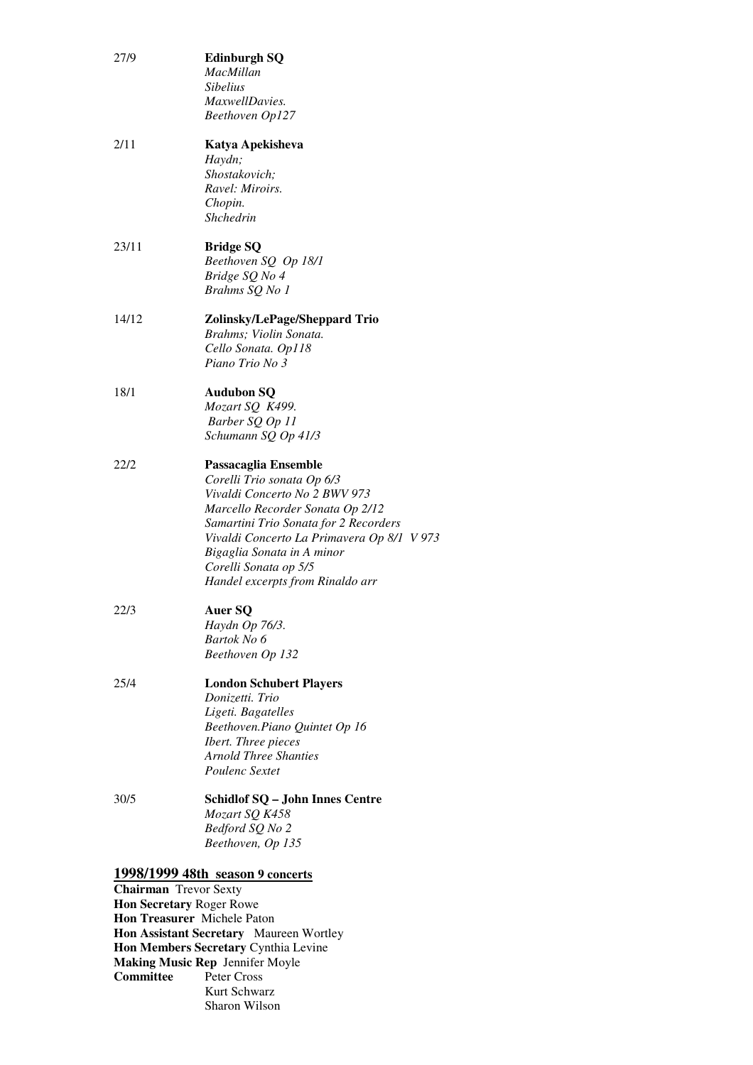| 27/9                         | <b>Edinburgh SQ</b><br>MacMillan<br><b>Sibelius</b><br>MaxwellDavies.<br>Beethoven Op127                                                                                                                                                                                                                  |  |
|------------------------------|-----------------------------------------------------------------------------------------------------------------------------------------------------------------------------------------------------------------------------------------------------------------------------------------------------------|--|
| 2/11                         | Katya Apekisheva<br>Haydn;<br>Shostakovich;<br>Ravel: Miroirs.<br>Chopin.<br>Shchedrin                                                                                                                                                                                                                    |  |
| 23/11                        | <b>Bridge SQ</b><br>Beethoven SQ Op 18/1<br>Bridge SQ No 4<br>Brahms SQ No 1                                                                                                                                                                                                                              |  |
| 14/12                        | Zolinsky/LePage/Sheppard Trio<br>Brahms; Violin Sonata.<br>Cello Sonata. Op118<br>Piano Trio No 3                                                                                                                                                                                                         |  |
| 18/1                         | <b>Audubon SQ</b><br>Mozart SQ K499.<br>Barber SQ Op 11<br>Schumann SQ Op 41/3                                                                                                                                                                                                                            |  |
| 22/2                         | Passacaglia Ensemble<br>Corelli Trio sonata Op 6/3<br>Vivaldi Concerto No 2 BWV 973<br>Marcello Recorder Sonata Op 2/12<br>Samartini Trio Sonata for 2 Recorders<br>Vivaldi Concerto La Primavera Op 8/1 V 973<br>Bigaglia Sonata in A minor<br>Corelli Sonata op 5/5<br>Handel excerpts from Rinaldo arr |  |
| 22/3                         | Auer SQ<br>Haydn Op 76/3.<br>Bartok No 6<br>Beethoven Op 132                                                                                                                                                                                                                                              |  |
| 25/4                         | <b>London Schubert Players</b><br>Donizetti. Trio<br>Ligeti. Bagatelles<br>Beethoven.Piano Quintet Op 16<br>Ibert. Three pieces<br><b>Arnold Three Shanties</b><br>Poulenc Sextet                                                                                                                         |  |
| 30/5                         | <b>Schidlof SQ - John Innes Centre</b><br>Mozart SQ K458<br>Bedford SQ No 2<br>Beethoven, Op 135                                                                                                                                                                                                          |  |
| <b>Chairman</b> Trevor Sexty | 1998/1999 48th season 9 concerts                                                                                                                                                                                                                                                                          |  |
|                              | Hon Secretary Roger Rowe                                                                                                                                                                                                                                                                                  |  |
|                              | <b>Hon Treasurer</b> Michele Paton                                                                                                                                                                                                                                                                        |  |

**Hon Treasurer** Michele Paton **Hon Assistant Secretary** Maureen Wortley **Hon Members Secretary** Cynthia Levine **Making Music Rep** Jennifer Moyle **Committee** Peter Cross Kurt Schwarz Sharon Wilson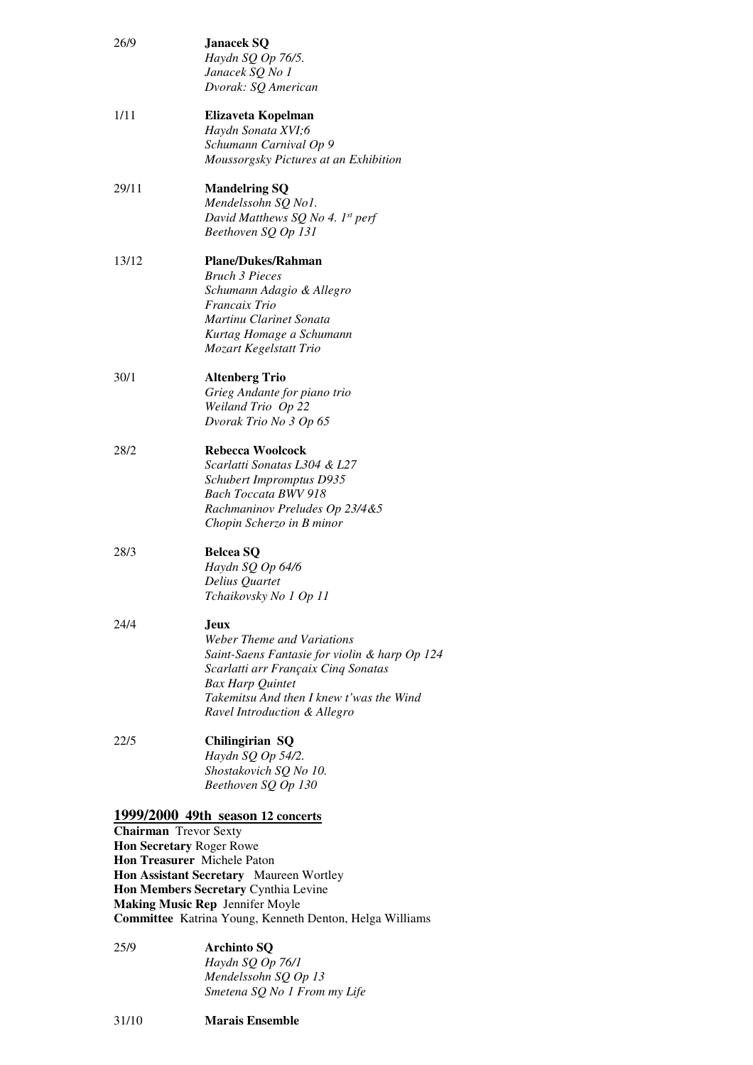| 26/9                                                     | <b>Janacek SQ</b><br>Haydn SQ Op 76/5.<br>Janacek SQ No 1<br>Dvorak: SQ American                                                                                                                                                         |
|----------------------------------------------------------|------------------------------------------------------------------------------------------------------------------------------------------------------------------------------------------------------------------------------------------|
| 1/11                                                     | Elizaveta Kopelman<br>Haydn Sonata XVI;6<br>Schumann Carnival Op 9<br>Moussorgsky Pictures at an Exhibition                                                                                                                              |
| 29/11                                                    | <b>Mandelring SQ</b><br>Mendelssohn SQ No1.<br>David Matthews SQ No 4. 1st perf<br>Beethoven SQ Op 131                                                                                                                                   |
| 13/12                                                    | <b>Plane/Dukes/Rahman</b><br><b>Bruch 3 Pieces</b><br>Schumann Adagio & Allegro<br>Francaix Trio<br>Martinu Clarinet Sonata<br>Kurtag Homage a Schumann<br>Mozart Kegelstatt Trio                                                        |
| 30/1                                                     | <b>Altenberg Trio</b><br>Grieg Andante for piano trio<br>Weiland Trio Op 22<br>Dvorak Trio No 3 Op 65                                                                                                                                    |
| 28/2                                                     | <b>Rebecca Woolcock</b><br>Scarlatti Sonatas L304 & L27<br>Schubert Impromptus D935<br><b>Bach Toccata BWV 918</b><br>Rachmaninov Preludes Op 23/4 & 5<br>Chopin Scherzo in B minor                                                      |
| 28/3                                                     | <b>Belcea SQ</b><br>Haydn SQ Op 64/6<br>Delius Quartet<br>Tchaikovsky No 1 Op 11                                                                                                                                                         |
| 24/4                                                     | <b>Jeux</b><br>Weber Theme and Variations<br>Saint-Saens Fantasie for violin & harp Op 124<br>Scarlatti arr Françaix Cinq Sonatas<br><b>Bax Harp Quintet</b><br>Takemitsu And then I knew t'was the Wind<br>Ravel Introduction & Allegro |
| 22/5                                                     | Chilingirian SQ<br>Haydn SQ Op 54/2.<br>Shostakovich SQ No 10.<br>Beethoven SQ Op 130                                                                                                                                                    |
| <b>Chairman</b> Trevor Sexty<br>Hon Secretary Roger Rowe | 1999/2000 49th season 12 concerts<br>Hon Treasurer Michele Paton<br>Hon Assistant Secretary Maureen Wortley                                                                                                                              |
|                                                          | Hon Members Secretary Cynthia Levine<br><b>Making Music Rep Jennifer Moyle</b>                                                                                                                                                           |

**Committee** Katrina Young, Kenneth Denton, Helga Williams

| 25/9 | <b>Archinto SO</b>           |
|------|------------------------------|
|      | Haydn SQ Op 76/1             |
|      | Mendelssohn SQ Op 13         |
|      | Smetena SQ No 1 From my Life |

 $31/10$ 31/10 **Marais Ensemble**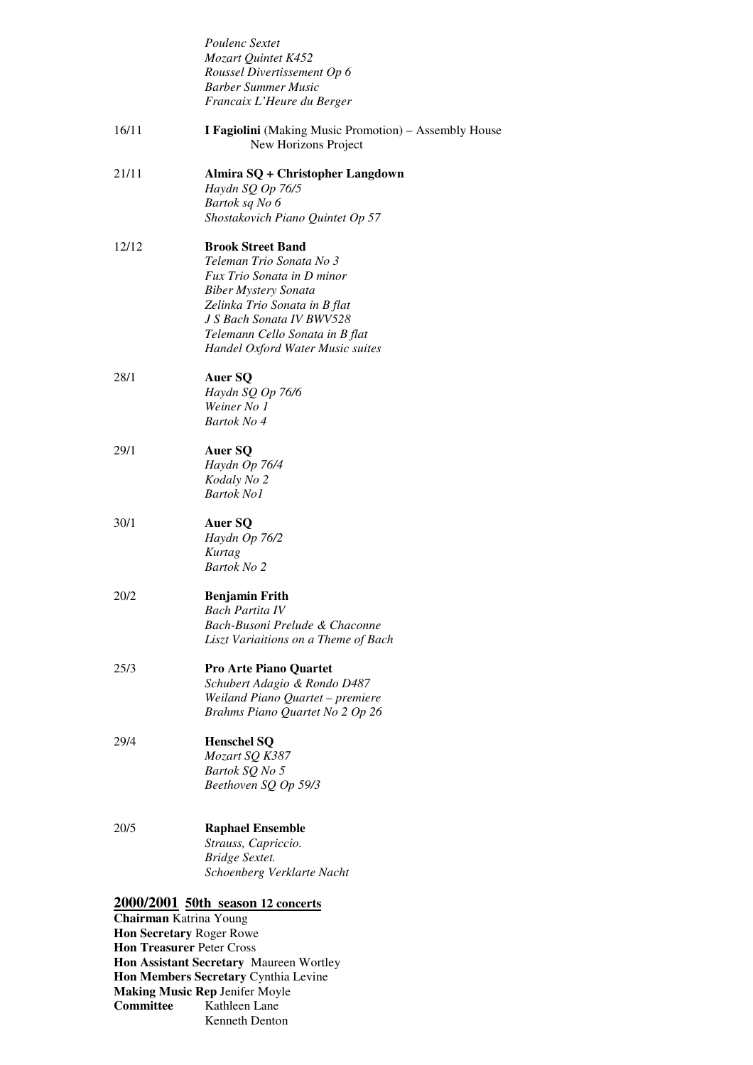|                                  | Poulenc Sextet                                                                       |
|----------------------------------|--------------------------------------------------------------------------------------|
|                                  | Mozart Quintet K452                                                                  |
|                                  | Roussel Divertissement Op 6<br><b>Barber Summer Music</b>                            |
|                                  | Francaix L'Heure du Berger                                                           |
| 16/11                            | <b>I Fagiolini</b> (Making Music Promotion) – Assembly House<br>New Horizons Project |
| 21/11                            | Almira SQ + Christopher Langdown                                                     |
|                                  | Haydn SQ Op 76/5                                                                     |
|                                  | Bartok sq No 6                                                                       |
|                                  | Shostakovich Piano Quintet Op 57                                                     |
| 12/12                            | <b>Brook Street Band</b>                                                             |
|                                  | Teleman Trio Sonata No 3                                                             |
|                                  | Fux Trio Sonata in D minor                                                           |
|                                  | <b>Biber Mystery Sonata</b>                                                          |
|                                  | Zelinka Trio Sonata in B flat<br>J S Bach Sonata IV BWV528                           |
|                                  | Telemann Cello Sonata in B flat                                                      |
|                                  | Handel Oxford Water Music suites                                                     |
|                                  |                                                                                      |
| 28/1                             | Auer SQ                                                                              |
|                                  | Haydn SQ Op 76/6                                                                     |
|                                  | Weiner No 1<br>Bartok No 4                                                           |
|                                  |                                                                                      |
| 29/1                             | Auer SQ                                                                              |
|                                  | Haydn Op 76/4                                                                        |
|                                  | Kodaly No 2                                                                          |
|                                  | <b>Bartok No1</b>                                                                    |
| 30/1                             | Auer SQ                                                                              |
|                                  | Haydn Op 76/2                                                                        |
|                                  | Kurtag                                                                               |
|                                  | Bartok No 2                                                                          |
| 20/2                             | <b>Benjamin Frith</b>                                                                |
|                                  | <b>Bach Partita IV</b>                                                               |
|                                  | Bach-Busoni Prelude & Chaconne                                                       |
|                                  | Liszt Variaitions on a Theme of Bach                                                 |
| 25/3                             | <b>Pro Arte Piano Quartet</b>                                                        |
|                                  | Schubert Adagio & Rondo D487                                                         |
|                                  | Weiland Piano Quartet - premiere                                                     |
|                                  | Brahms Piano Quartet No 2 Op 26                                                      |
| 29/4                             | <b>Henschel SQ</b>                                                                   |
|                                  | Mozart SQ K387                                                                       |
|                                  | Bartok SQ No 5                                                                       |
|                                  | Beethoven SQ Op 59/3                                                                 |
|                                  |                                                                                      |
| 20/5                             | <b>Raphael Ensemble</b>                                                              |
|                                  | Strauss, Capriccio.                                                                  |
|                                  | Bridge Sextet.                                                                       |
|                                  | Schoenberg Verklarte Nacht                                                           |
|                                  | 2000/2001 50th season 12 concerts                                                    |
| Chairman Katrina Young           |                                                                                      |
| <b>Hon Secretary Roger Rowe</b>  |                                                                                      |
| <b>Hon Treasurer Peter Cross</b> | Hon Assistant Secretary Maureen Wortley                                              |
|                                  | Hon Members Secretary Cynthia Levine                                                 |
|                                  |                                                                                      |

**Making Music Rep** Jenifer Moyle **Committee** Kathleen Lane

Kenneth Denton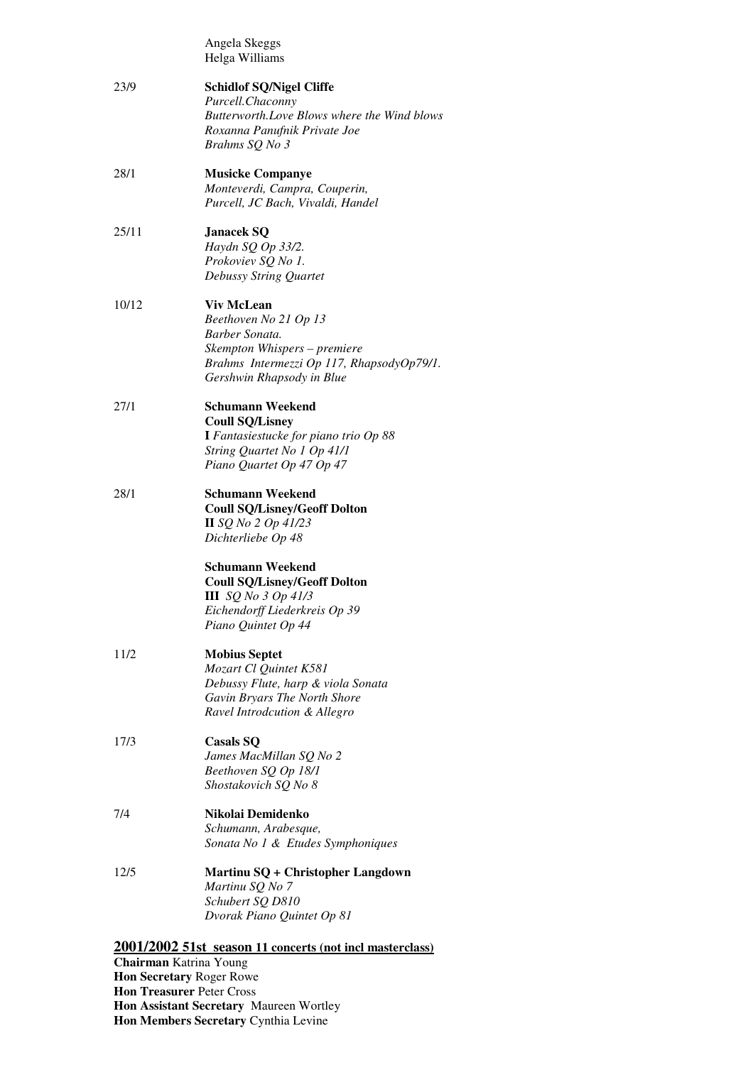| Angela Skeggs  |
|----------------|
| Helga Williams |

| 23/9  | <b>Schidlof SQ/Nigel Cliffe</b><br>Purcell.Chaconny<br>Butterworth. Love Blows where the Wind blows<br>Roxanna Panufnik Private Joe<br>Brahms SQ No 3                  |
|-------|------------------------------------------------------------------------------------------------------------------------------------------------------------------------|
| 28/1  | <b>Musicke Companye</b><br>Monteverdi, Campra, Couperin,<br>Purcell, JC Bach, Vivaldi, Handel                                                                          |
| 25/11 | <b>Janacek SQ</b><br>Haydn SQ Op 33/2.<br>Prokoviev SQ No 1.<br>Debussy String Quartet                                                                                 |
| 10/12 | <b>Viv McLean</b><br>Beethoven No 21 Op 13<br>Barber Sonata.<br>Skempton Whispers - premiere<br>Brahms Intermezzi Op 117, RhapsodyOp79/1.<br>Gershwin Rhapsody in Blue |
| 27/1  | Schumann Weekend<br><b>Coull SQ/Lisney</b><br>I Fantasiestucke for piano trio Op 88<br>String Quartet No 1 Op 41/1<br>Piano Quartet Op 47 Op 47                        |
| 28/1  | <b>Schumann Weekend</b><br><b>Coull SQ/Lisney/Geoff Dolton</b><br>$II$ SQ No 2 Op 41/23<br>Dichterliebe Op 48                                                          |
|       | Schumann Weekend<br><b>Coull SQ/Lisney/Geoff Dolton</b><br>III $SQ$ No 3 Op 41/3<br>Eichendorff Liederkreis Op 39<br>Piano Quintet Op 44                               |
| 11/2  | <b>Mobius Septet</b><br>Mozart Cl Quintet K581<br>Debussy Flute, harp & viola Sonata<br>Gavin Bryars The North Shore<br>Ravel Introdcution & Allegro                   |
| 17/3  | <b>Casals SQ</b><br>James MacMillan SQ No 2<br>Beethoven SQ Op 18/1<br>Shostakovich SQ No 8                                                                            |
| 7/4   | Nikolai Demidenko<br>Schumann, Arabesque,<br>Sonata No 1 & Etudes Symphoniques                                                                                         |
| 12/5  | Martinu SQ + Christopher Langdown<br>Martinu SQ No 7<br>Schubert SQ D810<br>Dvorak Piano Quintet Op 81                                                                 |
|       | 2001/2002 51st_season 11 concerts (not incl masterclass)<br>Chairman Katrina Young                                                                                     |

 **Hon Treasurer** Peter Cross  **Hon Assistant Secretary** Maureen Wortley  **Hon Members Secretary** Cynthia Levine **Chairman** Katrina Young **Hon Secretary** Roger Rowe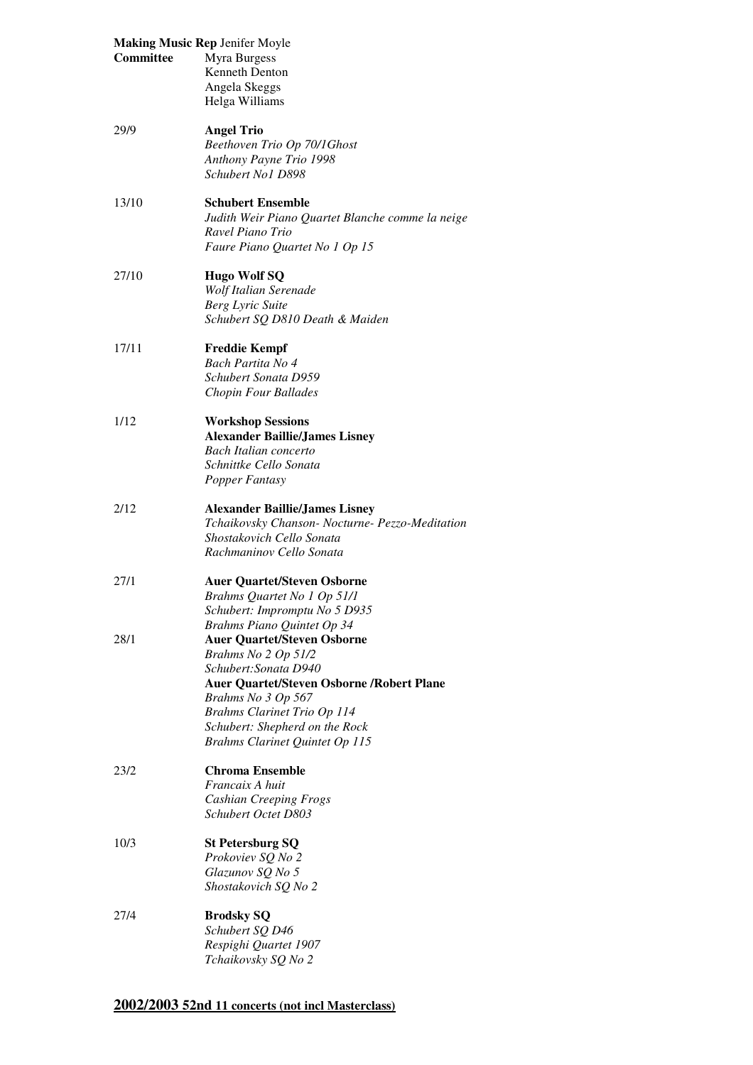| <b>Making Music Rep Jenifer Moyle</b> |                                                                        |
|---------------------------------------|------------------------------------------------------------------------|
| Committee                             | Myra Burgess                                                           |
|                                       | <b>Kenneth Denton</b>                                                  |
|                                       | Angela Skeggs                                                          |
|                                       | Helga Williams                                                         |
| 29/9                                  | <b>Angel Trio</b>                                                      |
|                                       | Beethoven Trio Op 70/1Ghost                                            |
|                                       | Anthony Payne Trio 1998                                                |
|                                       | Schubert No1 D898                                                      |
| 13/10                                 | <b>Schubert Ensemble</b>                                               |
|                                       | Judith Weir Piano Quartet Blanche comme la neige                       |
|                                       | Ravel Piano Trio                                                       |
|                                       | Faure Piano Quartet No 1 Op 15                                         |
| 27/10                                 | <b>Hugo Wolf SQ</b>                                                    |
|                                       | Wolf Italian Serenade                                                  |
|                                       | <b>Berg Lyric Suite</b>                                                |
|                                       | Schubert SQ D810 Death & Maiden                                        |
| 17/11                                 | <b>Freddie Kempf</b>                                                   |
|                                       | Bach Partita No 4                                                      |
|                                       | Schubert Sonata D959                                                   |
|                                       | Chopin Four Ballades                                                   |
| 1/12                                  | <b>Workshop Sessions</b>                                               |
|                                       | <b>Alexander Baillie/James Lisney</b>                                  |
|                                       | <b>Bach Italian concerto</b>                                           |
|                                       | Schnittke Cello Sonata                                                 |
|                                       | Popper Fantasy                                                         |
| 2/12                                  | <b>Alexander Baillie/James Lisney</b>                                  |
|                                       | Tchaikovsky Chanson- Nocturne- Pezzo-Meditation                        |
|                                       | Shostakovich Cello Sonata                                              |
|                                       | Rachmaninov Cello Sonata                                               |
| 27/1                                  | <b>Auer Quartet/Steven Osborne</b>                                     |
|                                       | Brahms Quartet No 1 Op 51/1                                            |
|                                       | Schubert: Impromptu No 5 D935                                          |
|                                       | Brahms Piano Quintet Op 34                                             |
| 28/1                                  | <b>Auer Quartet/Steven Osborne</b>                                     |
|                                       | Brahms No 2 Op 51/2                                                    |
|                                       | Schubert: Sonata D940                                                  |
|                                       | <b>Auer Quartet/Steven Osborne /Robert Plane</b><br>Brahms No 3 Op 567 |
|                                       | <b>Brahms Clarinet Trio Op 114</b>                                     |
|                                       | Schubert: Shepherd on the Rock                                         |
|                                       | Brahms Clarinet Quintet Op 115                                         |
| 23/2                                  | <b>Chroma Ensemble</b>                                                 |
|                                       | Francaix A huit                                                        |
|                                       | <b>Cashian Creeping Frogs</b>                                          |
|                                       | Schubert Octet D803                                                    |
| 10/3                                  | <b>St Petersburg SQ</b>                                                |
|                                       | Prokoviev SQ No 2                                                      |
|                                       | Glazunov SQ No 5                                                       |
|                                       | Shostakovich SQ No 2                                                   |
| 27/4                                  | <b>Brodsky SQ</b>                                                      |
|                                       | Schubert SQ D46                                                        |
|                                       | Respighi Quartet 1907                                                  |
|                                       | Tchaikovsky SQ No 2                                                    |

# **2002/2003 52nd 11 concerts (not incl Masterclass)**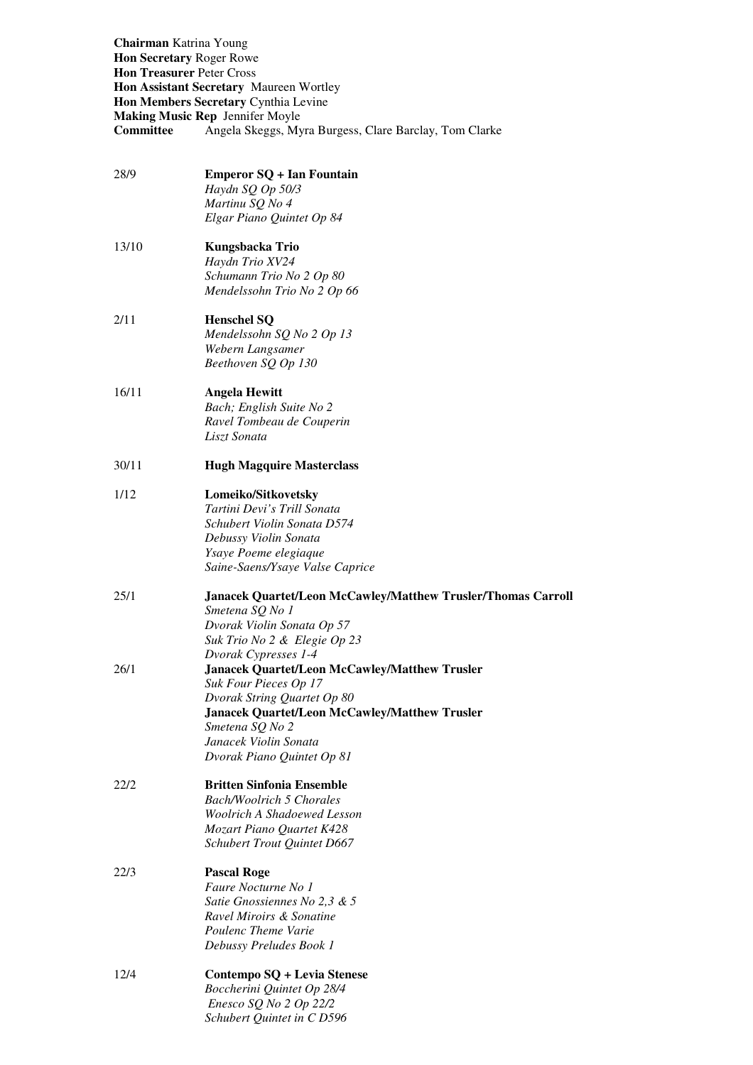**Chairman** Katrina Young  **Hon Secretary** Roger Rowe  **Hon Treasurer** Peter Cross  **Hon Assistant Secretary** Maureen Wortley  **Hon Members Secretary** Cynthia Levine **Making Music Rep** Jennifer Moyle **Committee** Angela Skeggs, Myra Burgess, Clare Barclay, Tom Clarke

| 28/9  | <b>Emperor SQ + Ian Fountain</b><br>Haydn SQ Op 50/3<br>Martinu SQ No 4<br>Elgar Piano Quintet Op 84                                                                                                                                                                   |
|-------|------------------------------------------------------------------------------------------------------------------------------------------------------------------------------------------------------------------------------------------------------------------------|
| 13/10 | Kungsbacka Trio<br>Haydn Trio XV24<br>Schumann Trio No 2 Op 80<br>Mendelssohn Trio No 2 Op 66                                                                                                                                                                          |
| 2/11  | <b>Henschel SQ</b><br>Mendelssohn SQ No 2 Op 13<br>Webern Langsamer<br>Beethoven SQ Op 130                                                                                                                                                                             |
| 16/11 | <b>Angela Hewitt</b><br>Bach; English Suite No 2<br>Ravel Tombeau de Couperin<br>Liszt Sonata                                                                                                                                                                          |
| 30/11 | <b>Hugh Magquire Masterclass</b>                                                                                                                                                                                                                                       |
| 1/12  | Lomeiko/Sitkovetsky<br>Tartini Devi's Trill Sonata<br>Schubert Violin Sonata D574<br>Debussy Violin Sonata<br>Ysaye Poeme elegiaque<br>Saine-Saens/Ysaye Valse Caprice                                                                                                 |
| 25/1  | <b>Janacek Quartet/Leon McCawley/Matthew Trusler/Thomas Carroll</b><br>Smetena SQ No 1<br>Dvorak Violin Sonata Op 57<br>Suk Trio No 2 & Elegie Op 23                                                                                                                   |
| 26/1  | Dvorak Cypresses 1-4<br><b>Janacek Quartet/Leon McCawley/Matthew Trusler</b><br>Suk Four Pieces Op 17<br>Dvorak String Quartet Op 80<br><b>Janacek Quartet/Leon McCawley/Matthew Trusler</b><br>Smetena SQ No 2<br>Janacek Violin Sonata<br>Dvorak Piano Quintet Op 81 |
| 22/2  | <b>Britten Sinfonia Ensemble</b><br><b>Bach/Woolrich 5 Chorales</b><br>Woolrich A Shadoewed Lesson<br>Mozart Piano Quartet K428<br>Schubert Trout Quintet D667                                                                                                         |
| 22/3  | <b>Pascal Roge</b><br>Faure Nocturne No 1<br>Satie Gnossiennes No 2,3 & 5<br>Ravel Miroirs & Sonatine<br>Poulenc Theme Varie<br>Debussy Preludes Book 1                                                                                                                |
| 12/4  | Contempo SQ + Levia Stenese<br>Boccherini Quintet Op 28/4<br>Enesco SQ No 2 Op 22/2<br>Schubert Quintet in C D596                                                                                                                                                      |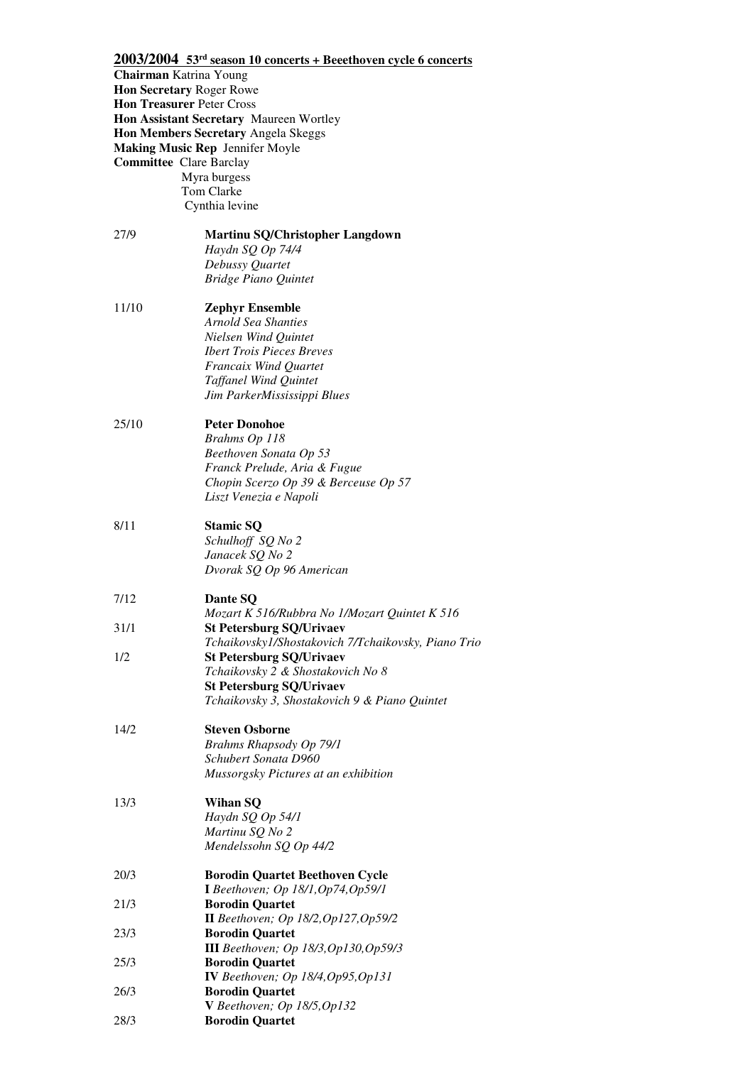# **2003/2004 53rd season 10 concerts + Beeethoven cycle 6 concerts**

| <b>Chairman</b> Katrina Young  |                                                                                     |
|--------------------------------|-------------------------------------------------------------------------------------|
|                                | Hon Secretary Roger Rowe                                                            |
|                                | <b>Hon Treasurer Peter Cross</b>                                                    |
|                                | <b>Hon Assistant Secretary Maureen Wortley</b>                                      |
|                                | Hon Members Secretary Angela Skeggs                                                 |
|                                | <b>Making Music Rep Jennifer Moyle</b>                                              |
| <b>Committee Clare Barclay</b> |                                                                                     |
|                                | Myra burgess<br>Tom Clarke                                                          |
|                                | Cynthia levine                                                                      |
|                                |                                                                                     |
| 27/9                           | <b>Martinu SQ/Christopher Langdown</b>                                              |
|                                | Haydn SQ Op 74/4                                                                    |
|                                | Debussy Quartet                                                                     |
|                                | <b>Bridge Piano Quintet</b>                                                         |
|                                |                                                                                     |
| 11/10                          | <b>Zephyr Ensemble</b><br>Arnold Sea Shanties                                       |
|                                | Nielsen Wind Quintet                                                                |
|                                | <b>Ibert Trois Pieces Breves</b>                                                    |
|                                | Francaix Wind Quartet                                                               |
|                                | <b>Taffanel Wind Quintet</b>                                                        |
|                                | Jim ParkerMississippi Blues                                                         |
|                                |                                                                                     |
| 25/10                          | <b>Peter Donohoe</b>                                                                |
|                                | Brahms Op 118                                                                       |
|                                | Beethoven Sonata Op 53<br>Franck Prelude, Aria & Fugue                              |
|                                | Chopin Scerzo Op 39 & Berceuse Op 57                                                |
|                                | Liszt Venezia e Napoli                                                              |
|                                |                                                                                     |
| 8/11                           | <b>Stamic SQ</b>                                                                    |
|                                | Schulhoff SQ No 2                                                                   |
|                                | Janacek SQ No 2                                                                     |
|                                | Dvorak SQ Op 96 American                                                            |
| 7/12                           | Dante SQ                                                                            |
|                                | Mozart K 516/Rubbra No 1/Mozart Quintet K 516                                       |
| 31/1                           | <b>St Petersburg SQ/Urivaev</b>                                                     |
|                                | Tchaikovsky1/Shostakovich 7/Tchaikovsky, Piano Trio                                 |
| 1/2                            | <b>St Petersburg SQ/Urivaev</b>                                                     |
|                                | Tchaikovsky 2 & Shostakovich No 8                                                   |
|                                | <b>St Petersburg SQ/Urivaev</b><br>Tchaikovsky 3, Shostakovich 9 & Piano Quintet    |
|                                |                                                                                     |
| 14/2                           | <b>Steven Osborne</b>                                                               |
|                                | Brahms Rhapsody Op 79/1                                                             |
|                                | Schubert Sonata D960                                                                |
|                                | Mussorgsky Pictures at an exhibition                                                |
| 13/3                           | Wihan SQ                                                                            |
|                                | Haydn SQ Op 54/1                                                                    |
|                                | Martinu SQ No 2                                                                     |
|                                | Mendelssohn SQ Op 44/2                                                              |
|                                |                                                                                     |
| 20/3                           | <b>Borodin Quartet Beethoven Cycle</b><br><b>I</b> Beethoven; Op 18/1, Op74, Op59/1 |
| 21/3                           | <b>Borodin Quartet</b>                                                              |
|                                | II Beethoven; Op 18/2, Op 127, Op 59/2                                              |
| 23/3                           | <b>Borodin Quartet</b>                                                              |
|                                | <b>III</b> Beethoven; Op 18/3, Op 130, Op 59/3                                      |
| 25/3                           | <b>Borodin Quartet</b>                                                              |
|                                | IV Beethoven; Op 18/4, Op95, Op131                                                  |
| 26/3                           | <b>Borodin Quartet</b>                                                              |
| 28/3                           | V Beethoven; Op $18/5$ , Op $132$<br><b>Borodin Quartet</b>                         |
|                                |                                                                                     |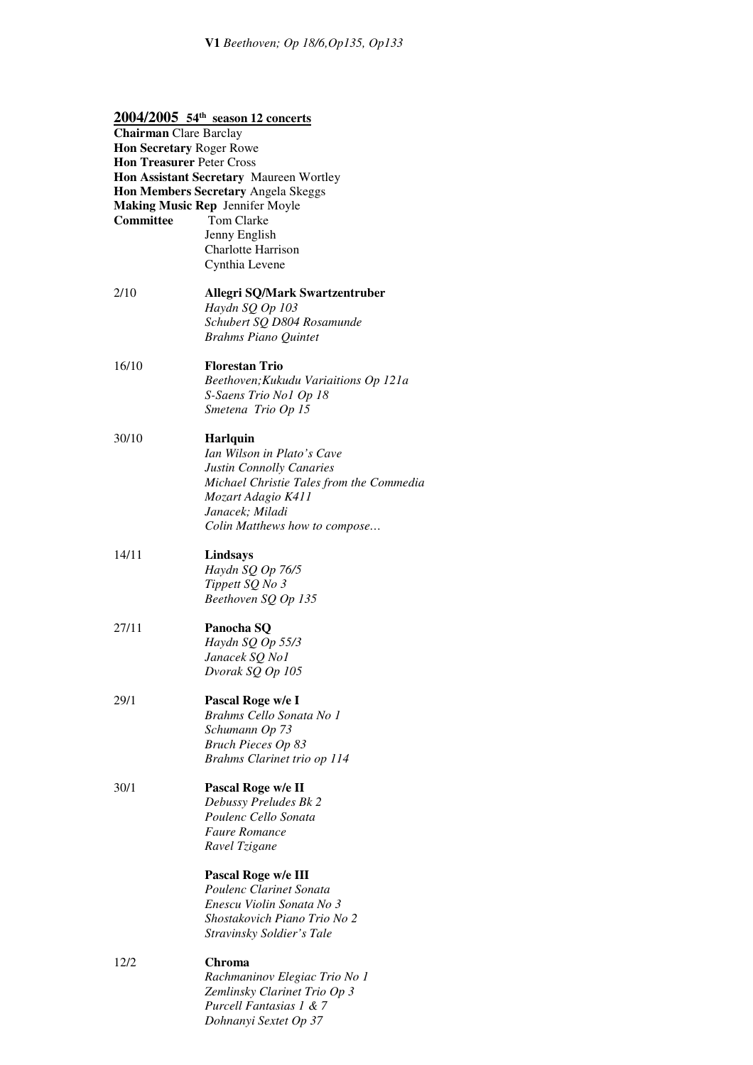|                                  | $2004/2005$ 54 <sup>th</sup> season 12 concerts |
|----------------------------------|-------------------------------------------------|
| <b>Chairman</b> Clare Barclay    |                                                 |
| Hon Secretary Roger Rowe         |                                                 |
| <b>Hon Treasurer Peter Cross</b> |                                                 |
|                                  | Hon Assistant Secretary Maureen Wortley         |
|                                  | Hon Members Secretary Angela Skeggs             |
|                                  | <b>Making Music Rep Jennifer Moyle</b>          |
| Committee                        | Tom Clarke                                      |
|                                  | Jenny English                                   |
|                                  | Charlotte Harrison                              |
|                                  | Cynthia Levene                                  |
|                                  |                                                 |
| 2/10                             | <b>Allegri SQ/Mark Swartzentruber</b>           |
|                                  | Haydn SQ Op 103                                 |
|                                  | Schubert SQ D804 Rosamunde                      |
|                                  | <b>Brahms Piano Quintet</b>                     |
| 16/10                            | <b>Florestan Trio</b>                           |
|                                  | Beethoven; Kukudu Variaitions Op 121a           |
|                                  | S-Saens Trio No1 Op 18                          |
|                                  | Smetena Trio Op 15                              |
|                                  |                                                 |
| 30/10                            | <b>Harlquin</b>                                 |
|                                  | Ian Wilson in Plato's Cave                      |
|                                  | Justin Connolly Canaries                        |
|                                  | Michael Christie Tales from the Commedia        |
|                                  | Mozart Adagio K411                              |
|                                  | Janacek; Miladi                                 |
|                                  | Colin Matthews how to compose                   |
| 14/11                            |                                                 |
|                                  | Lindsays                                        |
|                                  | Haydn SQ Op 76/5                                |
|                                  | Tippett SQ No 3                                 |
|                                  | Beethoven SQ Op 135                             |
| 27/11                            | Panocha SQ                                      |
|                                  | Haydn SQ Op 55/3                                |
|                                  | Janacek SQ No1                                  |
|                                  | Dvorak SQ Op 105                                |
|                                  |                                                 |
| 29/1                             | Pascal Roge w/e I                               |
|                                  | Brahms Cello Sonata No 1                        |
|                                  | Schumann Op 73                                  |
|                                  | <b>Bruch Pieces Op 83</b>                       |
|                                  | Brahms Clarinet trio op 114                     |
| 30/1                             | Pascal Roge w/e II                              |
|                                  | Debussy Preludes Bk 2                           |
|                                  | Poulenc Cello Sonata                            |
|                                  | <b>Faure Romance</b>                            |
|                                  | Ravel Tzigane                                   |
|                                  |                                                 |
|                                  | Pascal Roge w/e III                             |
|                                  | Poulenc Clarinet Sonata                         |
|                                  | Enescu Violin Sonata No 3                       |
|                                  | Shostakovich Piano Trio No 2                    |
|                                  | Stravinsky Soldier's Tale                       |
| 12/2                             | Chroma                                          |
|                                  | Rachmaninov Elegiac Trio No 1                   |
|                                  | Zemlinsky Clarinet Trio Op 3                    |
|                                  | Purcell Fantasias 1 & 7                         |

*Dohnanyi Sextet Op 37*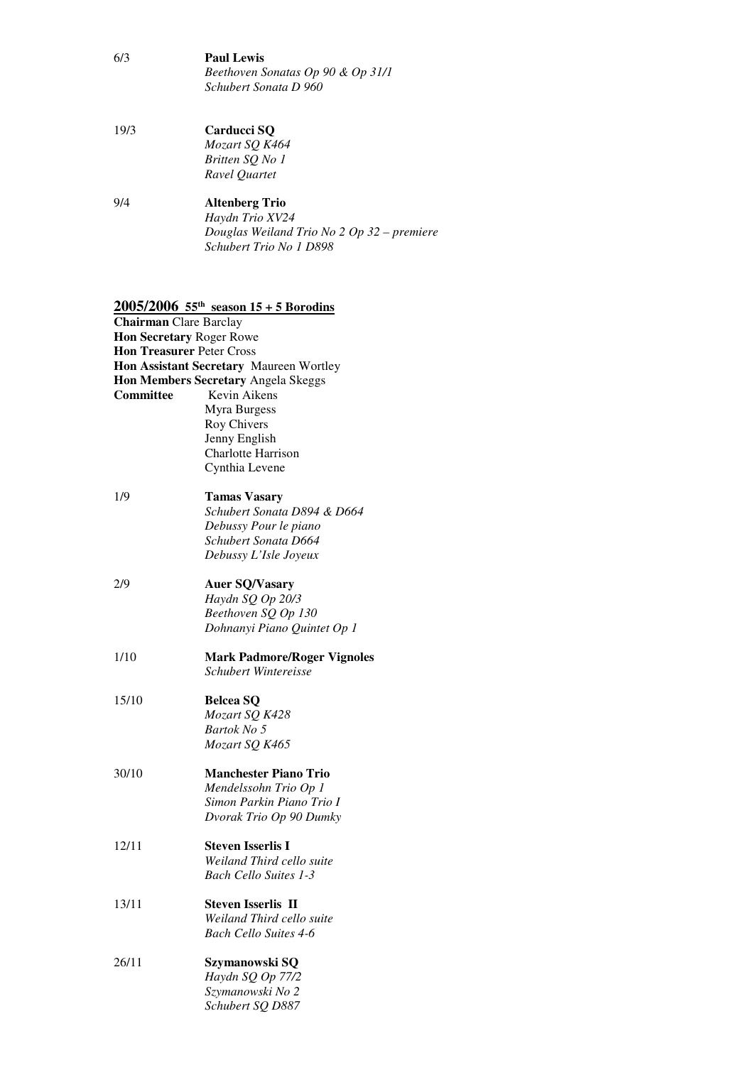- $6/3$  *Schubert Sonata D 960*  Paul Lewis *Beethoven Sonatas Op 90 & Op 31/1*
- $19/3$  *Britten SQ No 1 Ravel Quartet*  **Carducci SQ** *Mozart SQ K464*
- $9/4$  *Douglas Weiland Trio No 2 Op 32 – premiere Schubert Trio No 1 D898*  9/4 **Altenberg Trio**  *Haydn Trio XV24*

# **2005/2006 55th season 15 + 5 Borodins**

| <b>Chairman</b> Clare Barclay    |                                         |
|----------------------------------|-----------------------------------------|
| Hon Secretary Roger Rowe         |                                         |
| <b>Hon Treasurer Peter Cross</b> |                                         |
|                                  | Hon Assistant Secretary Maureen Wortley |
|                                  | Hon Members Secretary Angela Skeggs     |
| <b>Committee</b>                 | Kevin Aikens                            |
|                                  | Myra Burgess                            |
|                                  | Roy Chivers                             |
|                                  | Jenny English                           |
|                                  | <b>Charlotte Harrison</b>               |
|                                  | Cynthia Levene                          |
|                                  |                                         |
| 1/9                              | <b>Tamas Vasary</b>                     |
|                                  | Schubert Sonata D894 & D664             |
|                                  | Debussy Pour le piano                   |
|                                  | Schubert Sonata D664                    |
|                                  | Debussy L'Isle Joyeux                   |
|                                  |                                         |
| 2/9                              | <b>Auer SQ/Vasary</b>                   |
|                                  | Haydn SQ Op 20/3                        |
|                                  |                                         |
|                                  | Beethoven SQ Op 130                     |
|                                  | Dohnanyi Piano Quintet Op 1             |
| 1/10                             | <b>Mark Padmore/Roger Vignoles</b>      |
|                                  | Schubert Wintereisse                    |
|                                  |                                         |
| 15/10                            | <b>Belcea SQ</b>                        |
|                                  | Mozart SQ K428                          |
|                                  | Bartok No 5                             |
|                                  | Mozart SQ K465                          |
|                                  |                                         |
| 30/10                            | <b>Manchester Piano Trio</b>            |
|                                  | Mendelssohn Trio Op 1                   |
|                                  | Simon Parkin Piano Trio I               |
|                                  | Dvorak Trio Op 90 Dumky                 |
|                                  |                                         |
| 12/11                            | <b>Steven Isserlis I</b>                |
|                                  | Weiland Third cello suite               |
|                                  | <b>Bach Cello Suites 1-3</b>            |
|                                  |                                         |
| 13/11                            | <b>Steven Isserlis II</b>               |
|                                  | Weiland Third cello suite               |
|                                  | <b>Bach Cello Suites 4-6</b>            |
|                                  |                                         |
| 26/11                            | Szymanowski SQ                          |
|                                  | Haydn SQ Op 77/2                        |
|                                  | Szymanowski No 2                        |
|                                  | Schubert SQ D887                        |
|                                  |                                         |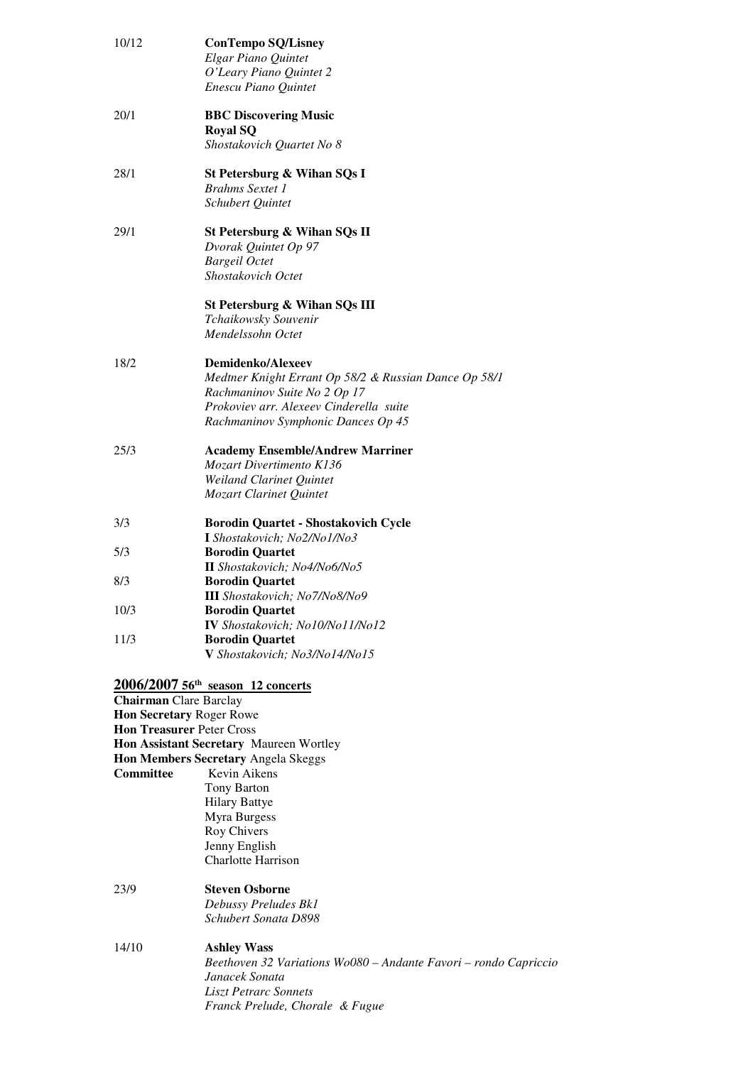| 10/12                            | <b>ConTempo SQ/Lisney</b>                                 |
|----------------------------------|-----------------------------------------------------------|
|                                  | Elgar Piano Quintet<br>O'Leary Piano Quintet 2            |
|                                  | Enescu Piano Quintet                                      |
|                                  |                                                           |
| 20/1                             | <b>BBC Discovering Music</b>                              |
|                                  | <b>Royal SQ</b>                                           |
|                                  | Shostakovich Quartet No 8                                 |
| 28/1                             |                                                           |
|                                  | St Petersburg & Wihan SQs I<br><b>Brahms</b> Sextet 1     |
|                                  | Schubert Quintet                                          |
|                                  |                                                           |
| 29/1                             | St Petersburg & Wihan SQs II                              |
|                                  | Dvorak Quintet Op 97                                      |
|                                  | <b>Bargeil Octet</b>                                      |
|                                  | <b>Shostakovich Octet</b>                                 |
|                                  |                                                           |
|                                  | St Petersburg & Wihan SQs III<br>Tchaikowsky Souvenir     |
|                                  | Mendelssohn Octet                                         |
|                                  |                                                           |
| 18/2                             | <b>Demidenko/Alexeev</b>                                  |
|                                  | Medtner Knight Errant Op 58/2 & Russian Dance Op 58/1     |
|                                  | Rachmaninov Suite No 2 Op 17                              |
|                                  | Prokoviev arr. Alexeev Cinderella suite                   |
|                                  | Rachmaninov Symphonic Dances Op 45                        |
| 25/3                             | <b>Academy Ensemble/Andrew Marriner</b>                   |
|                                  | <b>Mozart Divertimento K136</b>                           |
|                                  | Weiland Clarinet Quintet                                  |
|                                  | Mozart Clarinet Quintet                                   |
|                                  |                                                           |
| 3/3                              | <b>Borodin Quartet - Shostakovich Cycle</b>               |
|                                  | I Shostakovich; No2/No1/No3                               |
| 5/3                              | <b>Borodin Quartet</b>                                    |
|                                  | II Shostakovich; No4/No6/No5                              |
| 8/3                              | <b>Borodin Quartet</b>                                    |
|                                  | III Shostakovich; No7/No8/No9                             |
| 10/3                             | <b>Borodin Quartet</b><br>IV Shostakovich; No10/No11/No12 |
| 11/3                             | <b>Borodin Quartet</b>                                    |
|                                  | V Shostakovich; No3/No14/No15                             |
|                                  |                                                           |
|                                  | 2006/2007 56th season 12 concerts                         |
| <b>Chairman</b> Clare Barclay    |                                                           |
| Hon Secretary Roger Rowe         |                                                           |
| <b>Hon Treasurer Peter Cross</b> |                                                           |
|                                  | Hon Assistant Secretary Maureen Wortley                   |
|                                  | Hon Members Secretary Angela Skeggs                       |
| <b>Committee</b>                 | Kevin Aikens                                              |
|                                  | Tony Barton                                               |
|                                  | <b>Hilary Battye</b>                                      |
|                                  | Myra Burgess                                              |
|                                  | Roy Chivers                                               |
|                                  | Jenny English                                             |
|                                  | <b>Charlotte Harrison</b>                                 |

 *Schubert Sonata D898*  **Steven Osborne** *Debussy Preludes Bk1* 

### $14/10$  *Janacek Sonata Liszt Petrarc Sonnets Franck Prelude, Chorale & Fugue* **Ashley Wass** *Beethoven 32 Variations Wo080 – Andante Favori – rondo Capriccio*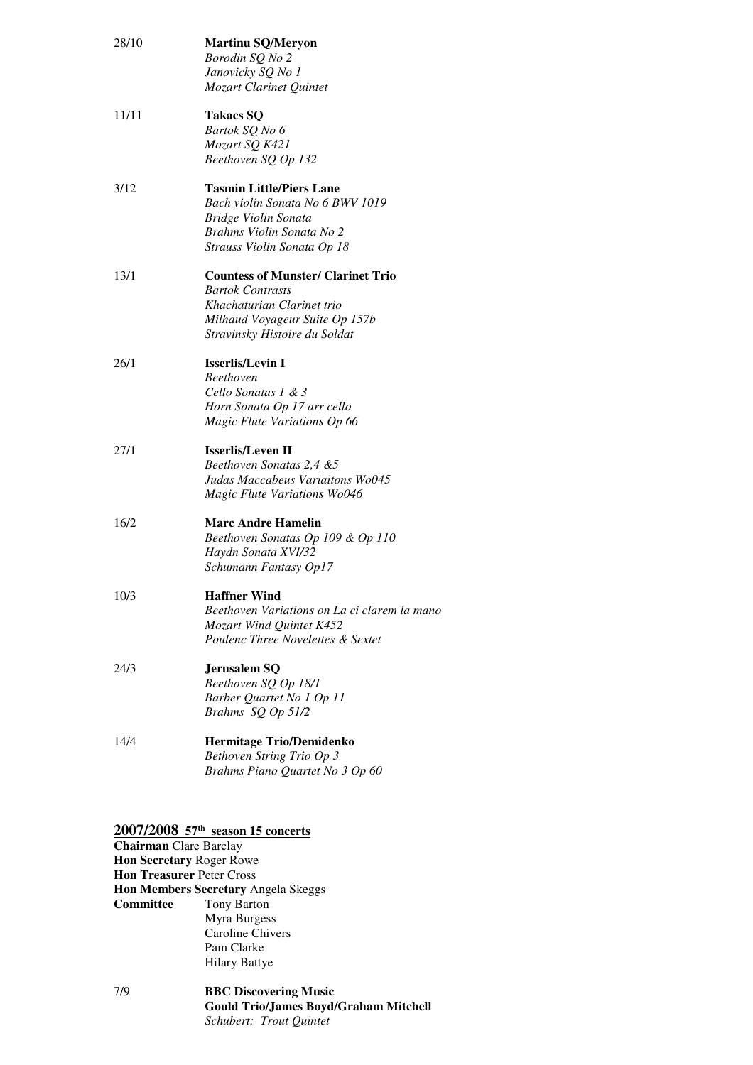| 28/10 | <b>Martinu SQ/Meryon</b><br>Borodin SQ No 2<br>Janovicky SQ No 1<br>Mozart Clarinet Quintet                                                                           |
|-------|-----------------------------------------------------------------------------------------------------------------------------------------------------------------------|
| 11/11 | <b>Takacs SQ</b><br>Bartok SQ No 6<br>Mozart SQ K421<br>Beethoven SQ Op 132                                                                                           |
| 3/12  | <b>Tasmin Little/Piers Lane</b><br>Bach violin Sonata No 6 BWV 1019<br>Bridge Violin Sonata<br>Brahms Violin Sonata No 2<br>Strauss Violin Sonata Op 18               |
| 13/1  | <b>Countess of Munster/ Clarinet Trio</b><br><b>Bartok Contrasts</b><br>Khachaturian Clarinet trio<br>Milhaud Voyageur Suite Op 157b<br>Stravinsky Histoire du Soldat |
| 26/1  | <b>Isserlis/Levin I</b><br><b>Beethoven</b><br>Cello Sonatas 1 & 3<br>Horn Sonata Op 17 arr cello<br>Magic Flute Variations Op 66                                     |
| 27/1  | <b>Isserlis/Leven II</b><br>Beethoven Sonatas 2,4 &5<br>Judas Maccabeus Variaitons Wo045<br>Magic Flute Variations Wo046                                              |
| 16/2  | <b>Marc Andre Hamelin</b><br>Beethoven Sonatas Op 109 & Op 110<br>Haydn Sonata XVI/32<br>Schumann Fantasy Op17                                                        |
| 10/3  | <b>Haffner Wind</b><br>Beethoven Variations on La ci clarem la mano<br>Mozart Wind Quintet K452<br>Poulenc Three Novelettes & Sextet                                  |
| 24/3  | Jerusalem SQ<br>Beethoven SQ Op 18/1<br>Barber Quartet No 1 Op 11<br>Brahms SQ Op 51/2                                                                                |
| 14/4  | <b>Hermitage Trio/Demidenko</b><br>Bethoven String Trio Op 3<br>Brahms Piano Quartet No 3 Op 60                                                                       |

 **2007/2008 57th season 15 concerts** 

 **Hon Secretary** Roger Rowe  **Hon Treasurer** Peter Cross  **Hon Members Secretary** Angela Skeggs Committee Hilary Battye **Chairman** Clare Barclay Tony Barton Myra Burgess Caroline Chivers Pam Clarke

 $7/9$  **Gould Trio/James Boyd/Graham Mitchell BBC Discovering Music** *Schubert: Trout Quintet*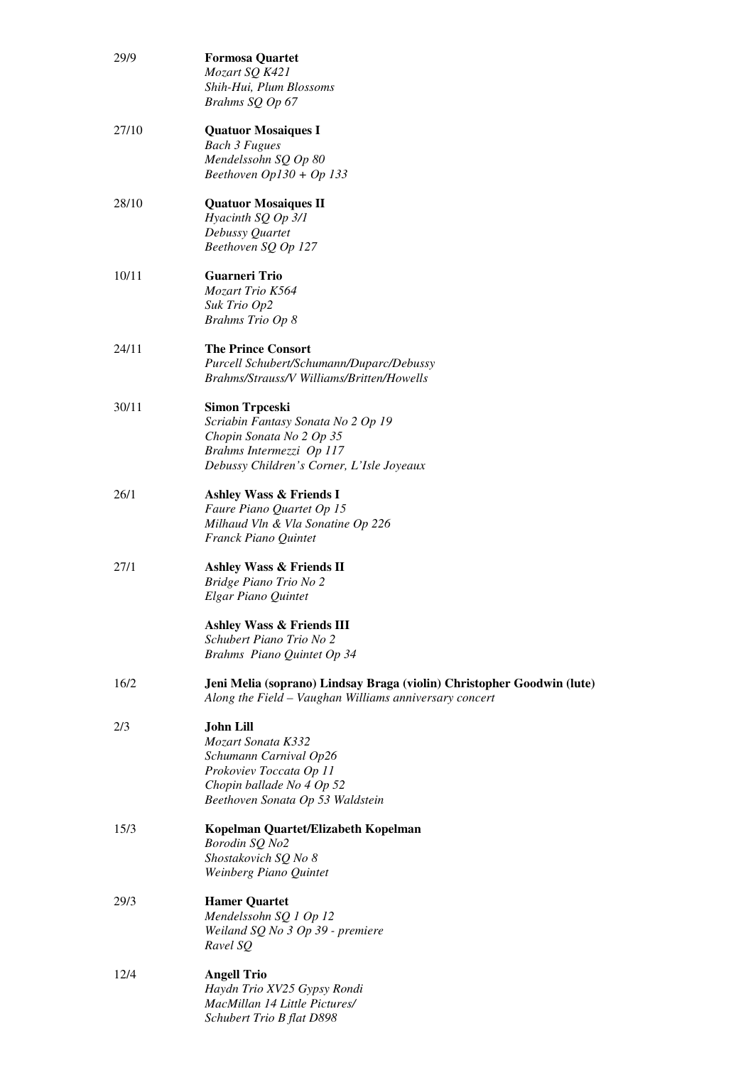| 29/9  | <b>Formosa Quartet</b>                                                 |
|-------|------------------------------------------------------------------------|
|       | Mozart SQ K421                                                         |
|       | Shih-Hui, Plum Blossoms                                                |
|       | Brahms SQ Op 67                                                        |
| 27/10 | <b>Quatuor Mosaiques I</b>                                             |
|       | <b>Bach 3 Fugues</b>                                                   |
|       | Mendelssohn SQ Op 80                                                   |
|       | Beethoven $Op130 + Op133$                                              |
| 28/10 | <b>Quatuor Mosaiques II</b>                                            |
|       | Hyacinth SQ Op 3/1                                                     |
|       | Debussy Quartet                                                        |
|       | Beethoven SQ Op 127                                                    |
| 10/11 | <b>Guarneri Trio</b>                                                   |
|       | Mozart Trio K564                                                       |
|       | Suk Trio Op2                                                           |
|       | <b>Brahms Trio Op 8</b>                                                |
| 24/11 | <b>The Prince Consort</b>                                              |
|       | Purcell Schubert/Schumann/Duparc/Debussy                               |
|       | Brahms/Strauss/V Williams/Britten/Howells                              |
| 30/11 | <b>Simon Trpceski</b>                                                  |
|       | Scriabin Fantasy Sonata No 2 Op 19                                     |
|       | Chopin Sonata No 2 Op 35                                               |
|       | Brahms Intermezzi Op 117                                               |
|       | Debussy Children's Corner, L'Isle Joyeaux                              |
| 26/1  | <b>Ashley Wass &amp; Friends I</b>                                     |
|       | Faure Piano Quartet Op 15                                              |
|       | Milhaud Vln & Vla Sonatine Op 226                                      |
|       | Franck Piano Quintet                                                   |
| 27/1  | Ashley Wass & Friends II                                               |
|       | Bridge Piano Trio No 2                                                 |
|       | Elgar Piano Quintet                                                    |
|       | Ashley Wass & Friends III                                              |
|       | Schubert Piano Trio No 2                                               |
|       | Brahms Piano Quintet Op 34                                             |
| 16/2  | Jeni Melia (soprano) Lindsay Braga (violin) Christopher Goodwin (lute) |
|       | Along the Field - Vaughan Williams anniversary concert                 |
|       |                                                                        |
| 2/3   | <b>John Lill</b><br>Mozart Sonata K332                                 |
|       | Schumann Carnival Op26                                                 |
|       | Prokoviev Toccata Op 11                                                |
|       | Chopin ballade No 4 Op 52                                              |
|       | Beethoven Sonata Op 53 Waldstein                                       |
| 15/3  | Kopelman Quartet/Elizabeth Kopelman                                    |
|       | Borodin SQ No2                                                         |
|       | Shostakovich SQ No 8                                                   |
|       | Weinberg Piano Quintet                                                 |
| 29/3  | <b>Hamer Quartet</b>                                                   |
|       | Mendelssohn SQ 1 Op 12                                                 |
|       | Weiland SQ No 3 Op 39 - premiere                                       |
|       | Ravel SQ                                                               |
| 12/4  | <b>Angell Trio</b>                                                     |
|       | Haydn Trio XV25 Gypsy Rondi                                            |
|       | MacMillan 14 Little Pictures/                                          |
|       | Schubert Trio B flat D898                                              |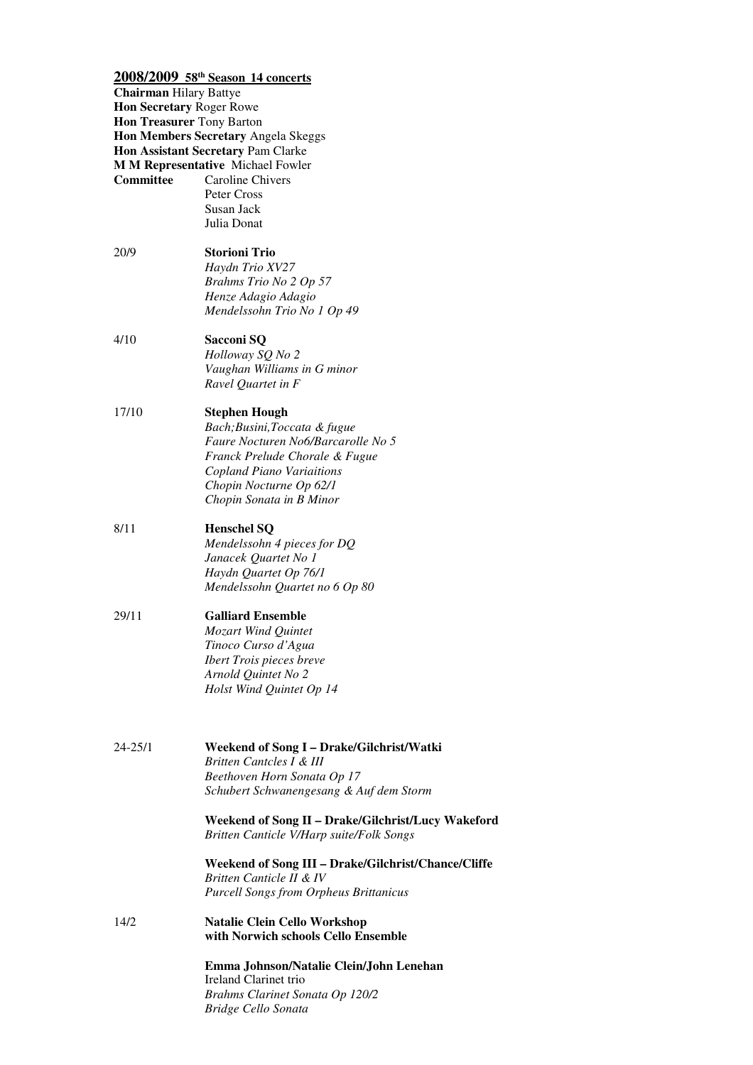|                               | 2008/2009 58th Season 14 concerts                                |
|-------------------------------|------------------------------------------------------------------|
| <b>Chairman Hilary Battye</b> |                                                                  |
| Hon Secretary Roger Rowe      |                                                                  |
| Hon Treasurer Tony Barton     |                                                                  |
|                               | Hon Members Secretary Angela Skeggs                              |
|                               | Hon Assistant Secretary Pam Clarke                               |
|                               | <b>M M Representative Michael Fowler</b>                         |
| Committee                     | Caroline Chivers                                                 |
|                               | Peter Cross<br>Susan Jack                                        |
|                               | Julia Donat                                                      |
|                               |                                                                  |
| 20/9                          | <b>Storioni Trio</b>                                             |
|                               | Haydn Trio XV27                                                  |
|                               | Brahms Trio No 2 Op 57                                           |
|                               | Henze Adagio Adagio                                              |
|                               | Mendelssohn Trio No 1 Op 49                                      |
| 4/10                          | Sacconi SQ                                                       |
|                               | Holloway SQ No 2                                                 |
|                               | Vaughan Williams in G minor                                      |
|                               | Ravel Quartet in F                                               |
|                               |                                                                  |
| 17/10                         | <b>Stephen Hough</b>                                             |
|                               | Bach; Busini, Toccata & fugue                                    |
|                               | Faure Nocturen No6/Barcarolle No 5                               |
|                               | Franck Prelude Chorale & Fugue                                   |
|                               | Copland Piano Variaitions                                        |
|                               | Chopin Nocturne Op 62/1                                          |
|                               | Chopin Sonata in B Minor                                         |
| 8/11                          | <b>Henschel SQ</b>                                               |
|                               | Mendelssohn 4 pieces for DQ                                      |
|                               | Janacek Quartet No 1                                             |
|                               | Haydn Quartet Op 76/1                                            |
|                               | Mendelssohn Quartet no 6 Op 80                                   |
| 29/11                         | <b>Galliard Ensemble</b>                                         |
|                               | <b>Mozart Wind Quintet</b>                                       |
|                               | Tinoco Curso d'Agua                                              |
|                               | <b>Ibert Trois pieces breve</b>                                  |
|                               | Arnold Quintet No 2                                              |
|                               | Holst Wind Quintet Op 14                                         |
|                               |                                                                  |
|                               |                                                                  |
| 24-25/1                       | Weekend of Song I - Drake/Gilchrist/Watki                        |
|                               | Britten Cantcles I & III                                         |
|                               | Beethoven Horn Sonata Op 17                                      |
|                               | Schubert Schwanengesang & Auf dem Storm                          |
|                               | Weekend of Song II - Drake/Gilchrist/Lucy Wakeford               |
|                               | Britten Canticle V/Harp suite/Folk Songs                         |
|                               | Weekend of Song III - Drake/Gilchrist/Chance/Cliffe              |
|                               | Britten Canticle II & IV                                         |
|                               | <b>Purcell Songs from Orpheus Brittanicus</b>                    |
| 14/2                          | <b>Natalie Clein Cello Workshop</b>                              |
|                               | with Norwich schools Cello Ensemble                              |
|                               |                                                                  |
|                               | Emma Johnson/Natalie Clein/John Lenehan<br>Ireland Clarinet trio |
|                               | Brahms Clarinet Sonata Op 120/2                                  |

 *Bridge Cello Sonata*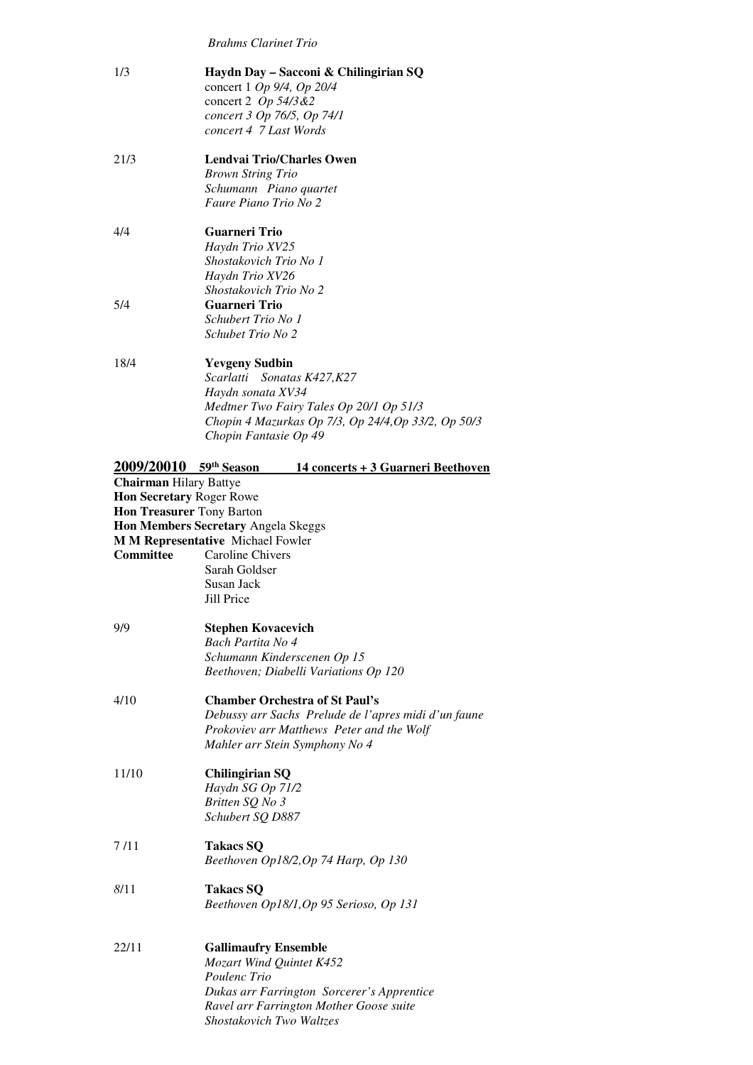*Brahms Clarinet Trio* 

| 1/3                                                                           | Haydn Day – Sacconi & Chilingirian SQ<br>concert 1 Op 9/4, Op 20/4<br>concert 2 $Op$ 54/3 & 2<br>concert 3 Op 76/5, Op 74/1<br>concert 4 7 Last Words                                                                     |
|-------------------------------------------------------------------------------|---------------------------------------------------------------------------------------------------------------------------------------------------------------------------------------------------------------------------|
| 21/3                                                                          | <b>Lendvai Trio/Charles Owen</b><br><b>Brown String Trio</b><br>Schumann Piano quartet<br>Faure Piano Trio No 2                                                                                                           |
| 4/4                                                                           | <b>Guarneri Trio</b><br>Haydn Trio XV25<br>Shostakovich Trio No 1<br>Haydn Trio XV26<br>Shostakovich Trio No 2                                                                                                            |
| 5/4                                                                           | <b>Guarneri Trio</b><br>Schubert Trio No 1<br>Schubet Trio No 2                                                                                                                                                           |
| 18/4                                                                          | <b>Yevgeny Sudbin</b><br>Scarlatti Sonatas K427, K27<br>Haydn sonata XV34<br>Medtner Two Fairy Tales Op 20/1 Op 51/3<br>Chopin 4 Mazurkas Op 7/3, Op 24/4, Op 33/2, Op 50/3<br>Chopin Fantasie Op 49                      |
| <b>Chairman Hilary Battye</b><br><b>Hon Secretary Roger Rowe</b><br>Committee | 2009/20010 59th Season<br><u> 14 concerts + 3 Guarneri Beethoven</u><br>Hon Treasurer Tony Barton<br>Hon Members Secretary Angela Skeggs<br>M M Representative Michael Fowler<br><b>Caroline Chivers</b><br>Sarah Goldser |
|                                                                               | Susan Jack<br>Jill Price                                                                                                                                                                                                  |
| 9/9                                                                           | <b>Stephen Kovacevich</b><br>Bach Partita No 4<br>Schumann Kinderscenen Op 15<br>Beethoven; Diabelli Variations Op 120                                                                                                    |
| 4/10                                                                          | <b>Chamber Orchestra of St Paul's</b><br>Debussy arr Sachs Prelude de l'apres midi d'un faune<br>Prokoviev arr Matthews Peter and the Wolf<br>Mahler arr Stein Symphony No 4                                              |
| 11/10                                                                         | <b>Chilingirian SQ</b><br>Haydn SG Op 71/2<br>Britten SQ No 3<br>Schubert SQ D887                                                                                                                                         |
| 7 /11                                                                         | <b>Takacs SQ</b><br>Beethoven Op18/2, Op 74 Harp, Op 130                                                                                                                                                                  |
| 8/11                                                                          | <b>Takacs SQ</b><br>Beethoven Op18/1, Op 95 Serioso, Op 131                                                                                                                                                               |
| 22/11                                                                         | <b>Gallimaufry Ensemble</b><br>Mozart Wind Quintet K452<br>Poulenc Trio<br>Dukas arr Farrington Sorcerer's Apprentice                                                                                                     |

 *Ravel arr Farrington Mother Goose suite* 

 *Shostakovich Two Waltzes*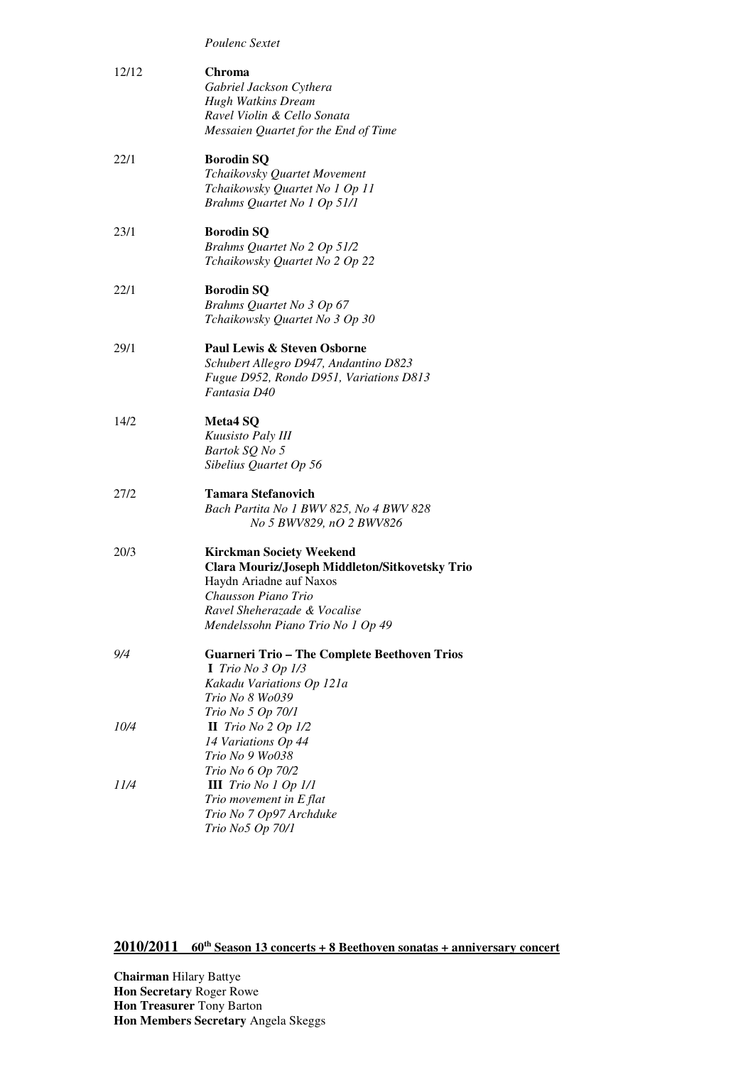|       | Poulenc Sextet                                      |
|-------|-----------------------------------------------------|
| 12/12 | Chroma                                              |
|       | Gabriel Jackson Cythera                             |
|       | <b>Hugh Watkins Dream</b>                           |
|       | Ravel Violin & Cello Sonata                         |
|       | Messaien Quartet for the End of Time                |
|       |                                                     |
| 22/1  | <b>Borodin SQ</b>                                   |
|       | Tchaikovsky Quartet Movement                        |
|       | Tchaikowsky Quartet No 1 Op 11                      |
|       | Brahms Quartet No 1 Op 51/1                         |
|       |                                                     |
| 23/1  | <b>Borodin SQ</b>                                   |
|       | Brahms Quartet No 2 Op 51/2                         |
|       | Tchaikowsky Quartet No 2 Op 22                      |
| 22/1  | <b>Borodin SQ</b>                                   |
|       | Brahms Quartet No 3 Op 67                           |
|       | Tchaikowsky Quartet No 3 Op 30                      |
|       |                                                     |
| 29/1  | Paul Lewis & Steven Osborne                         |
|       | Schubert Allegro D947, Andantino D823               |
|       | Fugue D952, Rondo D951, Variations D813             |
|       | Fantasia D40                                        |
|       |                                                     |
| 14/2  | Meta4 SQ                                            |
|       | Kuusisto Paly III                                   |
|       | Bartok SQ No 5                                      |
|       | Sibelius Quartet Op 56                              |
| 27/2  | <b>Tamara Stefanovich</b>                           |
|       | Bach Partita No 1 BWV 825, No 4 BWV 828             |
|       | No 5 BWV829, nO 2 BWV826                            |
|       |                                                     |
| 20/3  | <b>Kirckman Society Weekend</b>                     |
|       | Clara Mouriz/Joseph Middleton/Sitkovetsky Trio      |
|       | Haydn Ariadne auf Naxos                             |
|       | Chausson Piano Trio<br>Ravel Sheherazade & Vocalise |
|       | Mendelssohn Piano Trio No 1 Op 49                   |
|       |                                                     |
| 9/4   | <b>Guarneri Trio - The Complete Beethoven Trios</b> |
|       | I Trio No $3$ Op $1/3$                              |
|       | Kakadu Variations Op 121a                           |
|       | Trio No 8 Wo039                                     |
|       | Trio No 5 Op 70/1                                   |
| 10/4  | II Trio No $2$ Op $1/2$                             |
|       | 14 Variations Op 44                                 |
|       | Trio No 9 Wo038                                     |
|       | Trio No 6 Op 70/2                                   |
| 11/4  | <b>III</b> Trio No 1 Op $1/1$                       |
|       | Trio movement in E flat                             |
|       | Trio No 7 Op97 Archduke                             |
|       | Trio No5 Op 70/1                                    |

 **2010/2011 60th Season 13 concerts + 8 Beethoven sonatas + anniversary concert**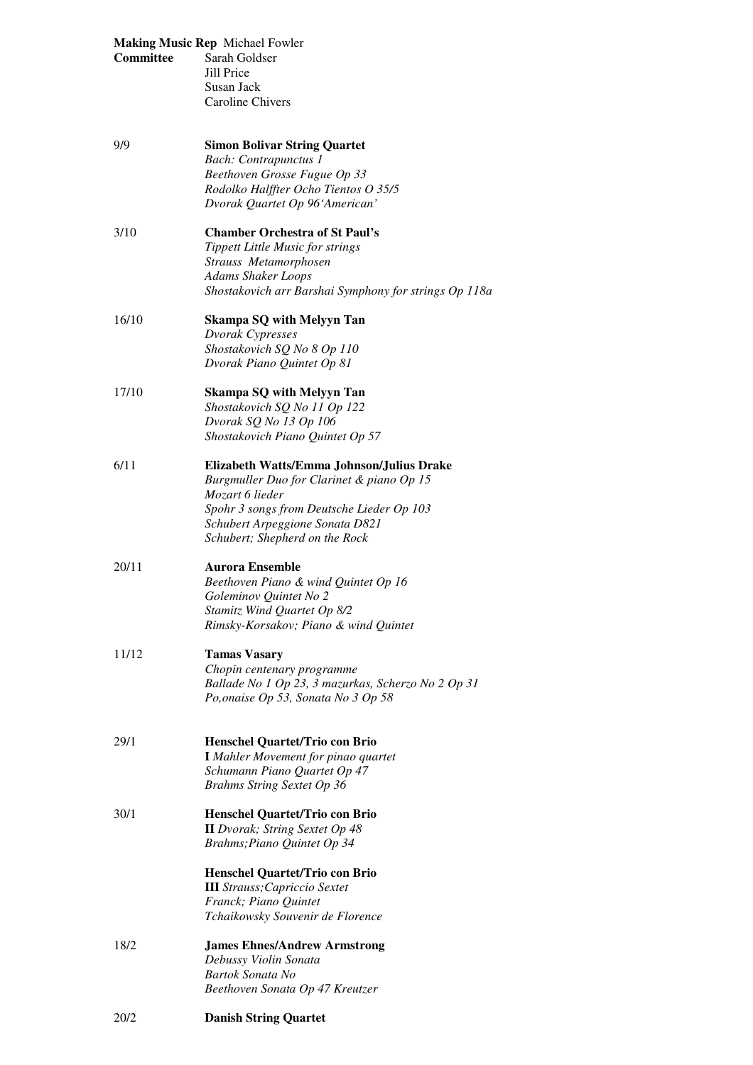| Committee | <b>Making Music Rep Michael Fowler</b><br>Sarah Goldser<br>Jill Price<br>Susan Jack<br>Caroline Chivers                                                                                                                                                     |
|-----------|-------------------------------------------------------------------------------------------------------------------------------------------------------------------------------------------------------------------------------------------------------------|
| 9/9       | <b>Simon Bolivar String Quartet</b><br><b>Bach:</b> Contrapunctus 1<br>Beethoven Grosse Fugue Op 33<br>Rodolko Halffter Ocho Tientos O 35/5<br>Dvorak Quartet Op 96'American'                                                                               |
| 3/10      | <b>Chamber Orchestra of St Paul's</b><br><b>Tippett Little Music for strings</b><br>Strauss Metamorphosen<br><b>Adams Shaker Loops</b><br>Shostakovich arr Barshai Symphony for strings Op 118a                                                             |
| 16/10     | <b>Skampa SQ with Melyyn Tan</b><br>Dvorak Cypresses<br>Shostakovich SQ No 8 Op 110<br>Dvorak Piano Quintet Op 81                                                                                                                                           |
| 17/10     | <b>Skampa SQ with Melyyn Tan</b><br>Shostakovich SQ No 11 Op 122<br>Dvorak SQ No 13 Op 106<br>Shostakovich Piano Quintet Op 57                                                                                                                              |
| 6/11      | Elizabeth Watts/Emma Johnson/Julius Drake<br>Burgmuller Duo for Clarinet & piano Op 15<br>Mozart 6 lieder<br>Spohr 3 songs from Deutsche Lieder Op 103<br>Schubert Arpeggione Sonata D821<br>Schubert; Shepherd on the Rock                                 |
| 20/11     | <b>Aurora Ensemble</b><br>Beethoven Piano & wind Quintet Op 16<br>Goleminov Quintet No 2<br>Stamitz Wind Quartet Op 8/2<br>Rimsky-Korsakov; Piano & wind Quintet                                                                                            |
| 11/12     | <b>Tamas Vasary</b><br>Chopin centenary programme<br>Ballade No 1 Op 23, 3 mazurkas, Scherzo No 2 Op 31<br>Po, onaise Op 53, Sonata No 3 Op 58                                                                                                              |
| 29/1      | <b>Henschel Quartet/Trio con Brio</b><br><b>I</b> Mahler Movement for pinao quartet<br>Schumann Piano Quartet Op 47<br><b>Brahms String Sextet Op 36</b>                                                                                                    |
| 30/1      | <b>Henschel Quartet/Trio con Brio</b><br><b>II</b> Dvorak; String Sextet Op 48<br>Brahms; Piano Quintet Op 34<br><b>Henschel Quartet/Trio con Brio</b><br><b>III</b> Strauss; Capriccio Sextet<br>Franck; Piano Quintet<br>Tchaikowsky Souvenir de Florence |
| 18/2      | <b>James Ehnes/Andrew Armstrong</b><br>Debussy Violin Sonata<br>Bartok Sonata No<br>Beethoven Sonata Op 47 Kreutzer                                                                                                                                         |
| 20/2      | <b>Danish String Quartet</b>                                                                                                                                                                                                                                |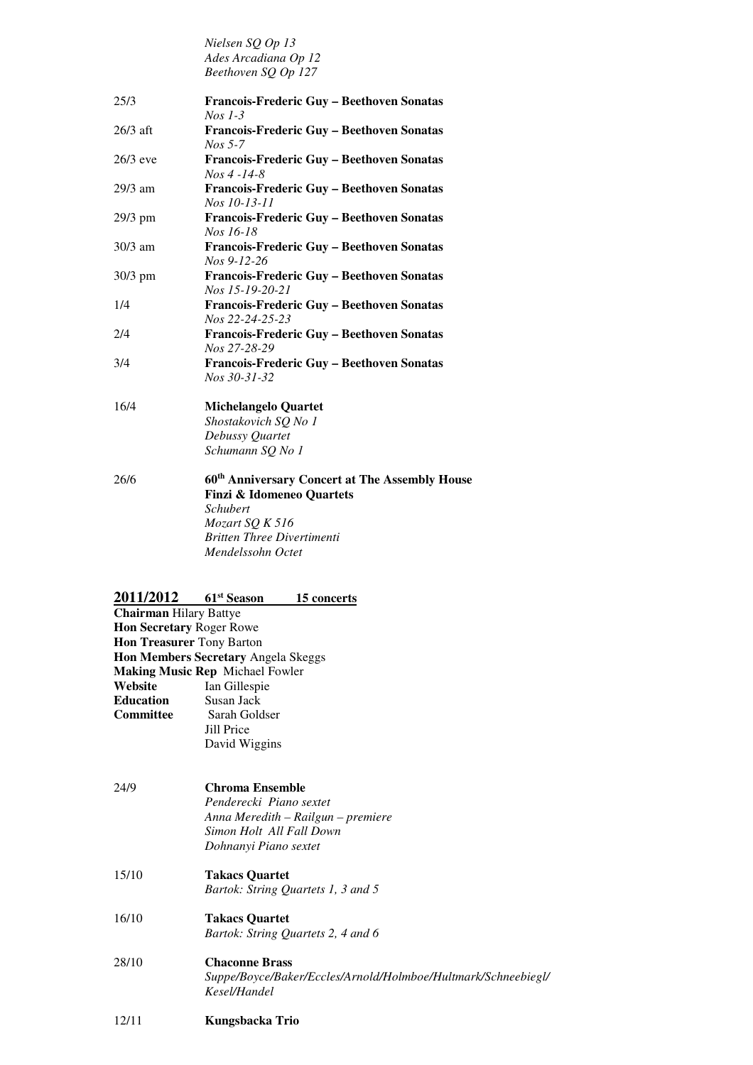|            | Nielsen SQ Op 13                                              |
|------------|---------------------------------------------------------------|
|            | Ades Arcadiana Op 12                                          |
|            | Beethoven SQ Op 127                                           |
| 25/3       | Francois-Frederic Guy - Beethoven Sonatas                     |
|            | $Nos 1-3$                                                     |
| $26/3$ aft | Francois-Frederic Guy - Beethoven Sonatas                     |
|            | $Nos$ 5-7                                                     |
| $26/3$ eve | Francois-Frederic Guy - Beethoven Sonatas<br>$Nos 4 - 14 - 8$ |
| 29/3 am    | Francois-Frederic Guy - Beethoven Sonatas<br>Nos 10-13-11     |
| 29/3 pm    | Francois-Frederic Guy - Beethoven Sonatas                     |
|            | Nos 16-18                                                     |
| $30/3$ am  | Francois-Frederic Guy - Beethoven Sonatas<br>Nos 9-12-26      |
| 30/3 pm    | Francois-Frederic Guy - Beethoven Sonatas                     |
|            | Nos 15-19-20-21                                               |
| 1/4        | Francois-Frederic Guy - Beethoven Sonatas<br>Nos 22-24-25-23  |
| 2/4        | Francois-Frederic Guy - Beethoven Sonatas                     |
|            | Nos 27-28-29                                                  |
| 3/4        | Francois-Frederic Guy - Beethoven Sonatas                     |
|            | Nos 30-31-32                                                  |
| 16/4       | <b>Michelangelo Quartet</b>                                   |
|            | Shostakovich SQ No 1                                          |
|            | Debussy Quartet                                               |
|            | Schumann SQ No 1                                              |
| 26/6       | 60 <sup>th</sup> Anniversary Concert at The Assembly House    |
|            | <b>Finzi &amp; Idomeneo Quartets</b>                          |
|            | <b>Schubert</b>                                               |
|            | Mozart SQ K 516                                               |
|            | <b>Britten Three Divertimenti</b>                             |
|            | Mendelssohn Octet                                             |
|            |                                                               |
| 2011/2012  | 61 <sup>st</sup> Season<br>15 concerts                        |

| <b>Chairman Hilary Battye</b>    |                                                                               |
|----------------------------------|-------------------------------------------------------------------------------|
| Hon Secretary Roger Rowe         |                                                                               |
| <b>Hon Treasurer Tony Barton</b> |                                                                               |
|                                  | Hon Members Secretary Angela Skeggs                                           |
|                                  | Making Music Rep Michael Fowler                                               |
| Website                          | Ian Gillespie                                                                 |
| Education                        | Susan Jack                                                                    |
| Committee                        | Sarah Goldser                                                                 |
|                                  | Jill Price                                                                    |
|                                  | David Wiggins                                                                 |
| 24/9                             | <b>Chroma Ensemble</b>                                                        |
|                                  | Penderecki Piano sextet                                                       |
|                                  | Anna Meredith – Railgun – premiere                                            |
|                                  | Simon Holt All Fall Down                                                      |
|                                  | Dohnanyi Piano sextet                                                         |
| 15/10                            | <b>Takacs Quartet</b>                                                         |
|                                  | Bartok: String Quartets 1, 3 and 5                                            |
| 16/10                            | <b>Takacs Quartet</b>                                                         |
|                                  | Bartok: String Quartets 2, 4 and 6                                            |
| 28/10                            | <b>Chaconne Brass</b>                                                         |
|                                  | Suppe/Boyce/Baker/Eccles/Arnold/Holmboe/Hultmark/Schneebiegl/<br>Kesel/Handel |

 $12/11$ 12/11 **Kungsbacka Trio**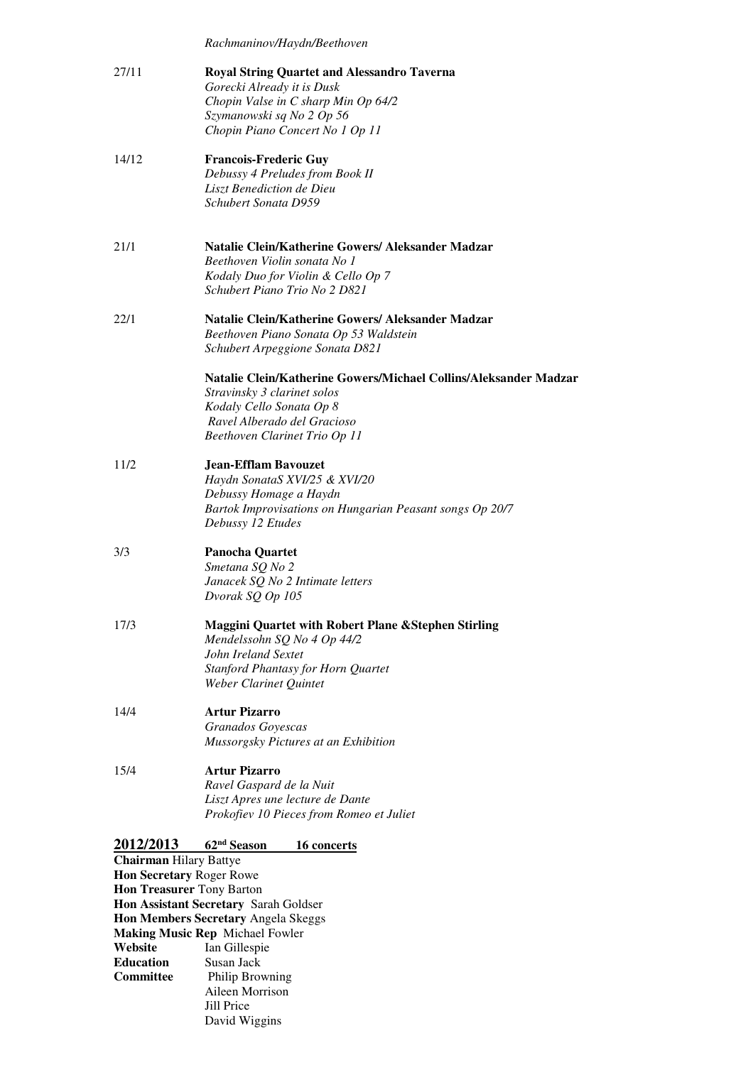|                                  | Rachmaninov/Haydn/Beethoven                                                                                                                                                                  |
|----------------------------------|----------------------------------------------------------------------------------------------------------------------------------------------------------------------------------------------|
| 27/11                            | <b>Royal String Quartet and Alessandro Taverna</b><br>Gorecki Already it is Dusk<br>Chopin Valse in C sharp Min Op 64/2<br>Szymanowski sq No 2 Op 56<br>Chopin Piano Concert No 1 Op 11      |
| 14/12                            | <b>Francois-Frederic Guy</b><br>Debussy 4 Preludes from Book II<br>Liszt Benediction de Dieu<br>Schubert Sonata D959                                                                         |
| 21/1                             | Natalie Clein/Katherine Gowers/ Aleksander Madzar<br>Beethoven Violin sonata No 1<br>Kodaly Duo for Violin & Cello Op 7<br>Schubert Piano Trio No 2 D821                                     |
| 22/1                             | Natalie Clein/Katherine Gowers/Aleksander Madzar<br>Beethoven Piano Sonata Op 53 Waldstein<br>Schubert Arpeggione Sonata D821                                                                |
|                                  | Natalie Clein/Katherine Gowers/Michael Collins/Aleksander Madzar<br>Stravinsky 3 clarinet solos<br>Kodaly Cello Sonata Op 8<br>Ravel Alberado del Gracioso<br>Beethoven Clarinet Trio Op 11  |
| 11/2                             | <b>Jean-Efflam Bavouzet</b><br>Haydn SonataS XVI/25 & XVI/20<br>Debussy Homage a Haydn<br>Bartok Improvisations on Hungarian Peasant songs Op 20/7<br>Debussy 12 Etudes                      |
| 3/3                              | <b>Panocha Quartet</b><br>Smetana SQ No 2<br>Janacek SQ No 2 Intimate letters<br>Dvorak SQ Op 105                                                                                            |
| 17/3                             | <b>Maggini Quartet with Robert Plane &amp; Stephen Stirling</b><br>Mendelssohn SQ No 4 Op 44/2<br>John Ireland Sextet<br><b>Stanford Phantasy for Horn Quartet</b><br>Weber Clarinet Quintet |
| 14/4                             | <b>Artur Pizarro</b><br>Granados Goyescas<br>Mussorgsky Pictures at an Exhibition                                                                                                            |
| 15/4                             | <b>Artur Pizarro</b><br>Ravel Gaspard de la Nuit<br>Liszt Apres une lecture de Dante<br>Prokofiev 10 Pieces from Romeo et Juliet                                                             |
| 2012/2013                        | 62 <sup>nd</sup> Season<br>16 concerts                                                                                                                                                       |
| <b>Chairman Hilary Battye</b>    |                                                                                                                                                                                              |
| Hon Secretary Roger Rowe         |                                                                                                                                                                                              |
| <b>Hon Treasurer Tony Barton</b> | Hon Assistant Secretary Sarah Goldser                                                                                                                                                        |
|                                  | Hon Members Secretary Angela Skeggs                                                                                                                                                          |
|                                  | <b>Making Music Rep Michael Fowler</b>                                                                                                                                                       |
| Website                          | Ian Gillespie                                                                                                                                                                                |
| <b>Education</b>                 | Susan Jack                                                                                                                                                                                   |

**Philip Browning** Aileen Morrison Jill Price David Wiggins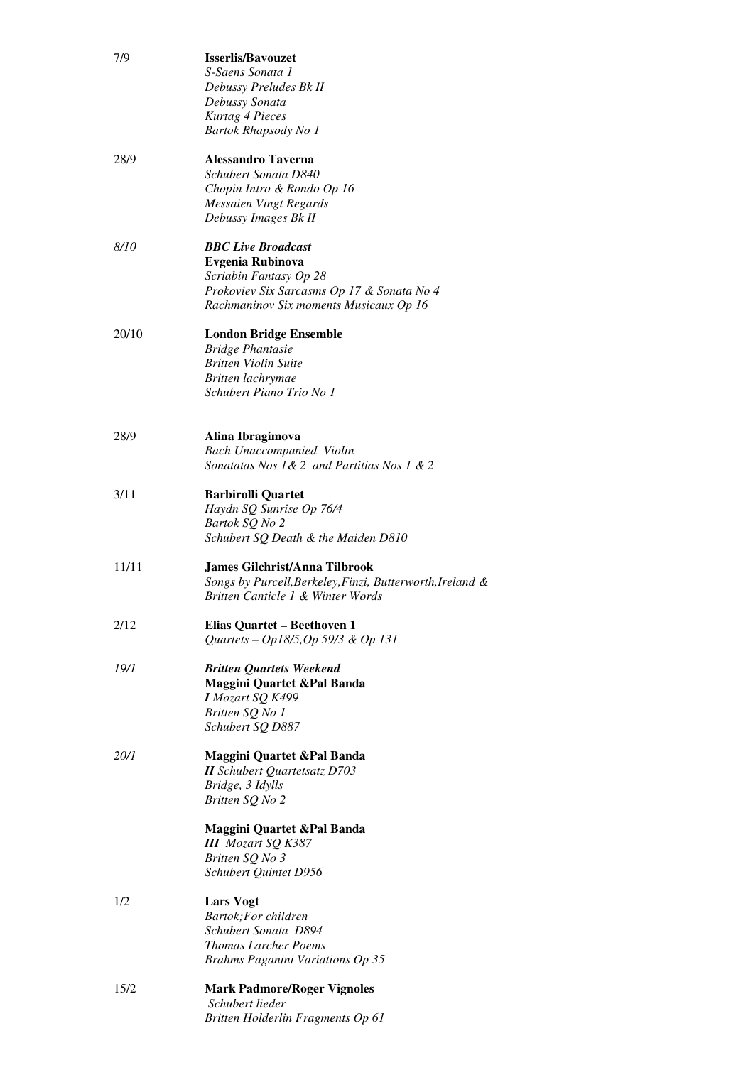| 7/9         | <b>Isserlis/Bayouzet</b><br>S-Saens Sonata 1<br>Debussy Preludes Bk II<br>Debussy Sonata<br>Kurtag 4 Pieces<br>Bartok Rhapsody No 1                                    |
|-------------|------------------------------------------------------------------------------------------------------------------------------------------------------------------------|
| 28/9        | <b>Alessandro Taverna</b><br>Schubert Sonata D840<br>Chopin Intro & Rondo Op 16<br>Messaien Vingt Regards<br>Debussy Images Bk II                                      |
| <i>8/10</i> | <b>BBC</b> Live Broadcast<br><b>Evgenia Rubinova</b><br>Scriabin Fantasy Op 28<br>Prokoviev Six Sarcasms Op 17 & Sonata No 4<br>Rachmaninov Six moments Musicaux Op 16 |
| 20/10       | <b>London Bridge Ensemble</b><br><b>Bridge Phantasie</b><br><b>Britten Violin Suite</b><br>Britten lachrymae<br>Schubert Piano Trio No 1                               |
| 28/9        | Alina Ibragimova<br><b>Bach Unaccompanied Violin</b><br>Sonatatas Nos 1 & 2 and Partitias Nos 1 & 2                                                                    |
| 3/11        | <b>Barbirolli Quartet</b><br>Haydn SQ Sunrise Op 76/4<br>Bartok SQ No 2<br>Schubert SQ Death & the Maiden D810                                                         |
| 11/11       | James Gilchrist/Anna Tilbrook<br>Songs by Purcell, Berkeley, Finzi, Butterworth, Ireland &<br>Britten Canticle 1 & Winter Words                                        |
| 2/12        | Elias Quartet - Beethoven 1<br>Quartets - Op18/5, Op 59/3 & Op 131                                                                                                     |
| 19/1        | <b>Britten Quartets Weekend</b><br>Maggini Quartet & Pal Banda<br>I Mozart SQ K499<br>Britten SQ No 1<br>Schubert SO D887                                              |
| <i>20/1</i> | Maggini Quartet & Pal Banda<br><b>II</b> Schubert Quartetsatz D703<br>Bridge, 3 Idylls<br>Britten SQ No 2                                                              |
|             | Maggini Quartet & Pal Banda<br><b>III</b> Mozart SQ K387<br>Britten SQ No 3<br>Schubert Quintet D956                                                                   |
| 1/2         | <b>Lars Vogt</b><br>Bartok; For children<br>Schubert Sonata D894<br><b>Thomas Larcher Poems</b><br>Brahms Paganini Variations Op 35                                    |
| 15/2        | <b>Mark Padmore/Roger Vignoles</b><br>Schubert lieder<br>Britten Holderlin Fragments Op 61                                                                             |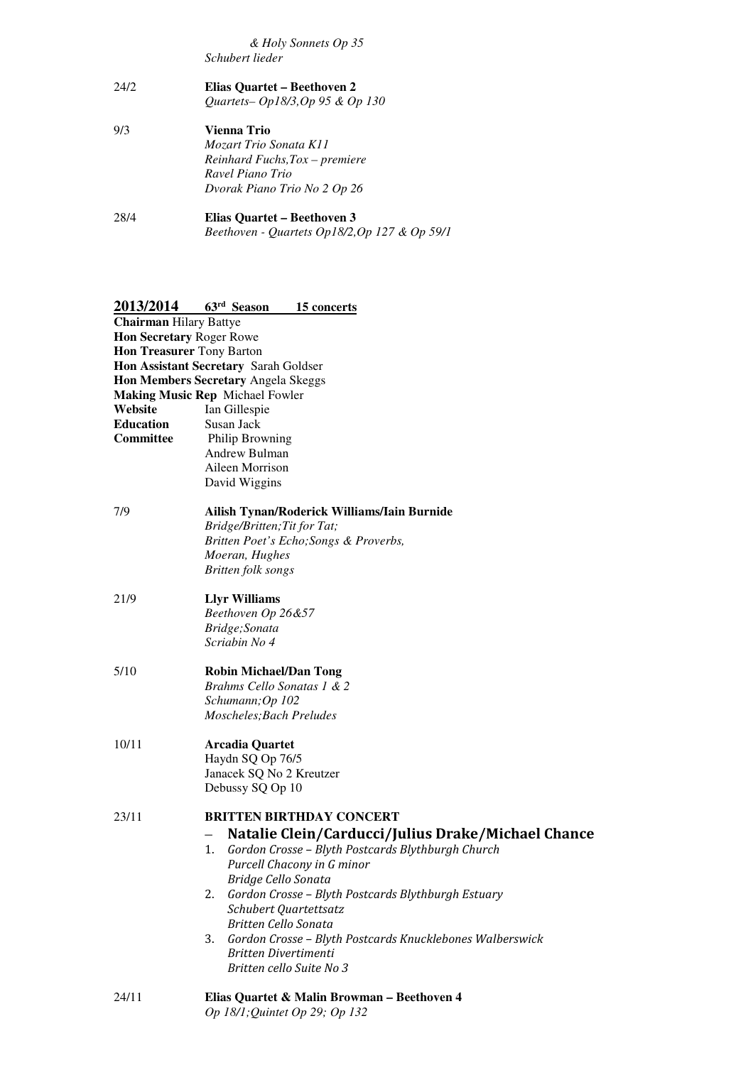*Schubert lieder & Holy Sonnets Op 35* 

 $24/2$  *Quartets– Op18/3,Op 95 & Op 130*   $9/3$  *Mozart Trio Sonata K11 Reinhard Fuchs,Tox – premiere*  24/2 **Elias Quartet – Beethoven 2**  9/3 **Vienna Trio** 

 *Ravel Piano Trio Dvorak Piano Trio No 2 Op 26* 

28/4  *Beethoven - Quartets Op18/2,Op 127 & Op 59/1*  28/4 **Elias Quartet – Beethoven 3** 

| 2013/2014                              | 63rd Season                    | 15 concerts                                              |  |
|----------------------------------------|--------------------------------|----------------------------------------------------------|--|
| <b>Chairman Hilary Battye</b>          |                                |                                                          |  |
| Hon Secretary Roger Rowe               |                                |                                                          |  |
| <b>Hon Treasurer Tony Barton</b>       |                                |                                                          |  |
| Hon Assistant Secretary Sarah Goldser  |                                |                                                          |  |
| Hon Members Secretary Angela Skeggs    |                                |                                                          |  |
| <b>Making Music Rep Michael Fowler</b> |                                |                                                          |  |
| Website                                | Ian Gillespie                  |                                                          |  |
| <b>Education</b>                       | Susan Jack                     |                                                          |  |
| Committee                              | Philip Browning                |                                                          |  |
|                                        | Andrew Bulman                  |                                                          |  |
|                                        | Aileen Morrison                |                                                          |  |
|                                        | David Wiggins                  |                                                          |  |
| 7/9                                    |                                | Ailish Tynan/Roderick Williams/Iain Burnide              |  |
|                                        | Bridge/Britten; Tit for Tat;   |                                                          |  |
|                                        |                                | Britten Poet's Echo; Songs & Proverbs,                   |  |
|                                        | Moeran, Hughes                 |                                                          |  |
|                                        | Britten folk songs             |                                                          |  |
| 21/9                                   | <b>Llyr Williams</b>           |                                                          |  |
|                                        | Beethoven Op 26&57             |                                                          |  |
|                                        | Bridge; Sonata                 |                                                          |  |
|                                        | Scriabin No 4                  |                                                          |  |
| 5/10                                   | <b>Robin Michael/Dan Tong</b>  |                                                          |  |
|                                        | Brahms Cello Sonatas 1 & 2     |                                                          |  |
|                                        | Schumann; Op 102               |                                                          |  |
|                                        | Moscheles; Bach Preludes       |                                                          |  |
| 10/11                                  | <b>Arcadia Quartet</b>         |                                                          |  |
|                                        | Haydn SQ Op 76/5               |                                                          |  |
|                                        | Janacek SQ No 2 Kreutzer       |                                                          |  |
|                                        | Debussy SQ Op 10               |                                                          |  |
| 23/11                                  |                                | <b>BRITTEN BIRTHDAY CONCERT</b>                          |  |
|                                        |                                | Natalie Clein/Carducci/Julius Drake/Michael Chance       |  |
|                                        | 1.                             | Gordon Crosse - Blyth Postcards Blythburgh Church        |  |
|                                        |                                | Purcell Chacony in G minor                               |  |
|                                        | Bridge Cello Sonata            |                                                          |  |
|                                        | 2.                             | Gordon Crosse - Blyth Postcards Blythburgh Estuary       |  |
|                                        | Schubert Quartettsatz          |                                                          |  |
|                                        | Britten Cello Sonata           |                                                          |  |
|                                        | 3.                             | Gordon Crosse - Blyth Postcards Knucklebones Walberswick |  |
|                                        | Britten Divertimenti           |                                                          |  |
|                                        | Britten cello Suite No 3       |                                                          |  |
| 24/11                                  |                                | Elias Quartet & Malin Browman - Beethoven 4              |  |
|                                        | Op 18/1; Quintet Op 29; Op 132 |                                                          |  |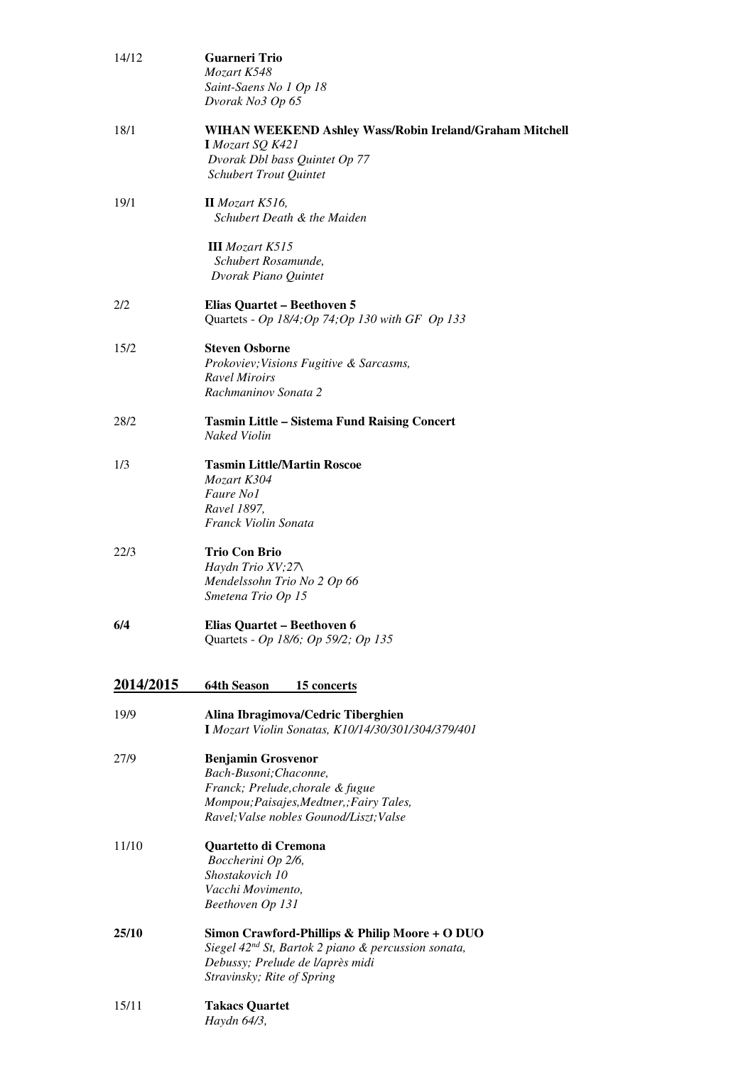| 14/12            | Guarneri Trio<br>Mozart K548<br>Saint-Saens No 1 Op 18<br>Dvorak No3 Op 65                                                                                                          |
|------------------|-------------------------------------------------------------------------------------------------------------------------------------------------------------------------------------|
| 18/1             | WIHAN WEEKEND Ashley Wass/Robin Ireland/Graham Mitchell<br>I Mozart SQ K421<br>Dvorak Dbl bass Quintet Op 77<br><b>Schubert Trout Quintet</b>                                       |
| 19/1             | $II$ Mozart K516,<br>Schubert Death & the Maiden                                                                                                                                    |
|                  | <b>III</b> Mozart K515<br>Schubert Rosamunde,<br>Dvorak Piano Quintet                                                                                                               |
| 2/2              | Elias Quartet - Beethoven 5<br>Quartets - Op 18/4; Op 74; Op 130 with GF Op 133                                                                                                     |
| 15/2             | <b>Steven Osborne</b><br>Prokoviev; Visions Fugitive & Sarcasms,<br><b>Ravel Miroirs</b><br>Rachmaninov Sonata 2                                                                    |
| 28/2             | <b>Tasmin Little - Sistema Fund Raising Concert</b><br><b>Naked Violin</b>                                                                                                          |
| 1/3              | <b>Tasmin Little/Martin Roscoe</b><br>Mozart K304<br>Faure No1<br>Ravel 1897,<br>Franck Violin Sonata                                                                               |
| 22/3             | <b>Trio Con Brio</b><br>Haydn Trio $XV$ ; $27\lambda$<br>Mendelssohn Trio No 2 Op 66<br>Smetena Trio Op 15                                                                          |
| 6/4              | Elias Quartet - Beethoven 6<br>Quartets - Op 18/6; Op 59/2; Op 135                                                                                                                  |
| <u>2014/2015</u> | <b>64th Season</b><br><u>15 concerts</u>                                                                                                                                            |
| 19/9             | Alina Ibragimova/Cedric Tiberghien<br>I Mozart Violin Sonatas, K10/14/30/301/304/379/401                                                                                            |
| 27/9             | <b>Benjamin Grosvenor</b><br>Bach-Busoni; Chaconne,<br>Franck; Prelude, chorale & fugue<br>Mompou; Paisajes, Medtner, ; Fairy Tales,<br>Ravel; Valse nobles Gounod/Liszt; Valse     |
| 11/10            | Quartetto di Cremona<br>Boccherini Op 2/6,<br>Shostakovich 10<br>Vacchi Movimento,<br>Beethoven Op 131                                                                              |
| 25/10            | Simon Crawford-Phillips & Philip Moore + O DUO<br>Siegel 42 <sup>nd</sup> St, Bartok 2 piano & percussion sonata,<br>Debussy; Prelude de l/après midi<br>Stravinsky; Rite of Spring |
| 15/11            | <b>Takacs Quartet</b><br>Haydn 64/3,                                                                                                                                                |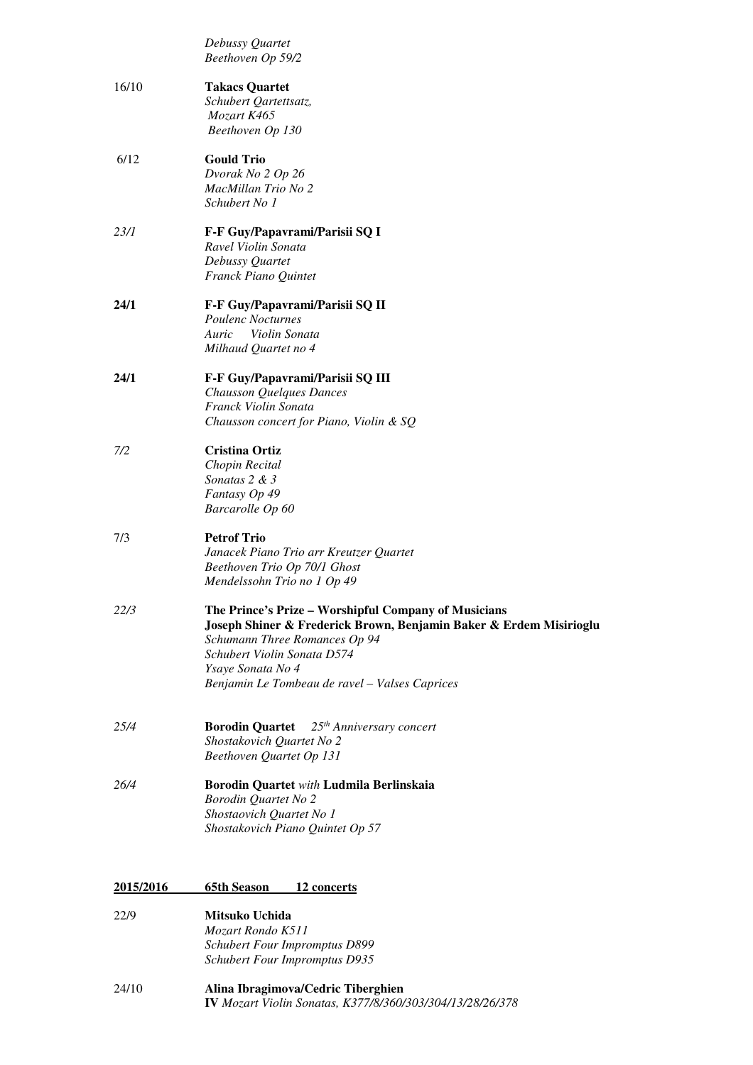|           | Debussy Quartet<br>Beethoven Op 59/2                                                                                                                        |
|-----------|-------------------------------------------------------------------------------------------------------------------------------------------------------------|
| 16/10     | <b>Takacs Quartet</b><br>Schubert Qartettsatz,<br>Mozart K465                                                                                               |
|           | Beethoven Op 130                                                                                                                                            |
| 6/12      | <b>Gould Trio</b>                                                                                                                                           |
|           | Dvorak No 2 Op 26<br>MacMillan Trio No 2                                                                                                                    |
|           | Schubert No 1                                                                                                                                               |
| 23/1      | F-F Guy/Papavrami/Parisii SQ I                                                                                                                              |
|           | Ravel Violin Sonata                                                                                                                                         |
|           | Debussy Quartet<br>Franck Piano Quintet                                                                                                                     |
| 24/1      | F-F Guy/Papavrami/Parisii SQ II                                                                                                                             |
|           | <b>Poulenc Nocturnes</b>                                                                                                                                    |
|           | Auric<br>Violin Sonata<br>Milhaud Quartet no 4                                                                                                              |
| 24/1      | F-F Guy/Papavrami/Parisii SQ III                                                                                                                            |
|           | Chausson Quelques Dances                                                                                                                                    |
|           | Franck Violin Sonata<br>Chausson concert for Piano, Violin & SQ                                                                                             |
|           |                                                                                                                                                             |
| 7/2       | Cristina Ortiz                                                                                                                                              |
|           | Chopin Recital<br>Sonatas 2 & 3                                                                                                                             |
|           | Fantasy Op 49                                                                                                                                               |
|           | Barcarolle Op 60                                                                                                                                            |
| 7/3       | <b>Petrof Trio</b>                                                                                                                                          |
|           | Janacek Piano Trio arr Kreutzer Quartet                                                                                                                     |
|           | Beethoven Trio Op 70/1 Ghost                                                                                                                                |
|           | Mendelssohn Trio no 1 Op 49                                                                                                                                 |
| 22/3      | The Prince's Prize - Worshipful Company of Musicians<br>Joseph Shiner & Frederick Brown, Benjamin Baker & Erdem Misirioglu<br>Schumann Three Romances Op 94 |
|           | Schubert Violin Sonata D574                                                                                                                                 |
|           | Ysaye Sonata No 4                                                                                                                                           |
|           | Benjamin Le Tombeau de ravel - Valses Caprices                                                                                                              |
| 25/4      | 25 <sup>th</sup> Anniversary concert<br><b>Borodin Quartet</b>                                                                                              |
|           | Shostakovich Quartet No 2                                                                                                                                   |
|           | Beethoven Quartet Op 131                                                                                                                                    |
| 26/4      | Borodin Quartet with Ludmila Berlinskaia                                                                                                                    |
|           | <b>Borodin Quartet No 2</b><br>Shostaovich Quartet No 1                                                                                                     |
|           | Shostakovich Piano Quintet Op 57                                                                                                                            |
|           | <b>65th Season</b>                                                                                                                                          |
| 2015/2016 | 12 concerts                                                                                                                                                 |
| 22/9      | Mitsuko Uchida<br>Mozart Rondo K511                                                                                                                         |
|           | <b>Schubert Four Impromptus D899</b>                                                                                                                        |
|           | <b>Schubert Four Impromptus D935</b>                                                                                                                        |

#### $24/10$ 24/10 **Alina Ibragimova/Cedric Tiberghien IV** *Mozart Violin Sonatas, K377/8/360/303/304/13/28/26/378*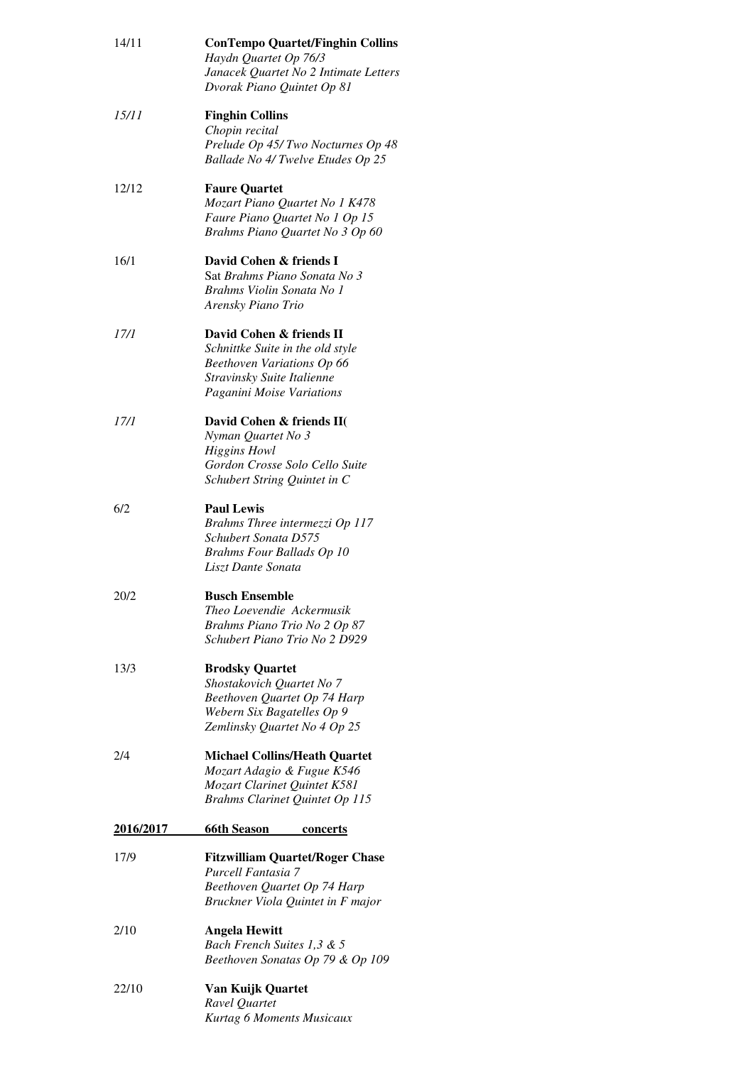| 14/11            | <b>ConTempo Quartet/Finghin Collins</b><br>Haydn Quartet Op 76/3<br>Janacek Quartet No 2 Intimate Letters<br>Dvorak Piano Quintet Op 81               |
|------------------|-------------------------------------------------------------------------------------------------------------------------------------------------------|
| <i>15/11</i>     | <b>Finghin Collins</b><br>Chopin recital<br>Prelude Op 45/Two Nocturnes Op 48<br>Ballade No 4/ Twelve Etudes Op 25                                    |
| 12/12            | <b>Faure Quartet</b><br>Mozart Piano Quartet No 1 K478<br>Faure Piano Quartet No 1 Op 15<br>Brahms Piano Quartet No 3 Op 60                           |
| 16/1             | David Cohen & friends I<br>Sat Brahms Piano Sonata No 3<br>Brahms Violin Sonata No 1<br>Arensky Piano Trio                                            |
| 17/1             | David Cohen & friends II<br>Schnittke Suite in the old style<br>Beethoven Variations Op 66<br>Stravinsky Suite Italienne<br>Paganini Moise Variations |
| 17/1             | David Cohen & friends II(<br>Nyman Quartet No 3<br><b>Higgins Howl</b><br>Gordon Crosse Solo Cello Suite<br>Schubert String Quintet in C              |
| 6/2              | <b>Paul Lewis</b><br>Brahms Three intermezzi Op 117<br>Schubert Sonata D575<br><b>Brahms Four Ballads Op 10</b><br>Liszt Dante Sonata                 |
| 20/2             | <b>Busch Ensemble</b><br>Theo Loevendie Ackermusik<br>Brahms Piano Trio No 2 Op 87<br>Schubert Piano Trio No 2 D929                                   |
| 13/3             | <b>Brodsky Quartet</b><br>Shostakovich Quartet No 7<br>Beethoven Quartet Op 74 Harp<br>Webern Six Bagatelles Op 9<br>Zemlinsky Quartet No 4 Op 25     |
| 2/4              | <b>Michael Collins/Heath Quartet</b><br>Mozart Adagio & Fugue K546<br>Mozart Clarinet Quintet K581<br>Brahms Clarinet Quintet Op 115                  |
| <u>2016/2017</u> | <u>66th Season</u><br><u>concerts</u>                                                                                                                 |
| 17/9             | <b>Fitzwilliam Quartet/Roger Chase</b><br>Purcell Fantasia 7<br>Beethoven Quartet Op 74 Harp<br>Bruckner Viola Quintet in F major                     |
| 2/10             | <b>Angela Hewitt</b><br>Bach French Suites 1,3 & 5<br>Beethoven Sonatas Op 79 & Op 109                                                                |
| 22/10            | Van Kuijk Quartet<br>Ravel Quartet<br>Kurtag 6 Moments Musicaux                                                                                       |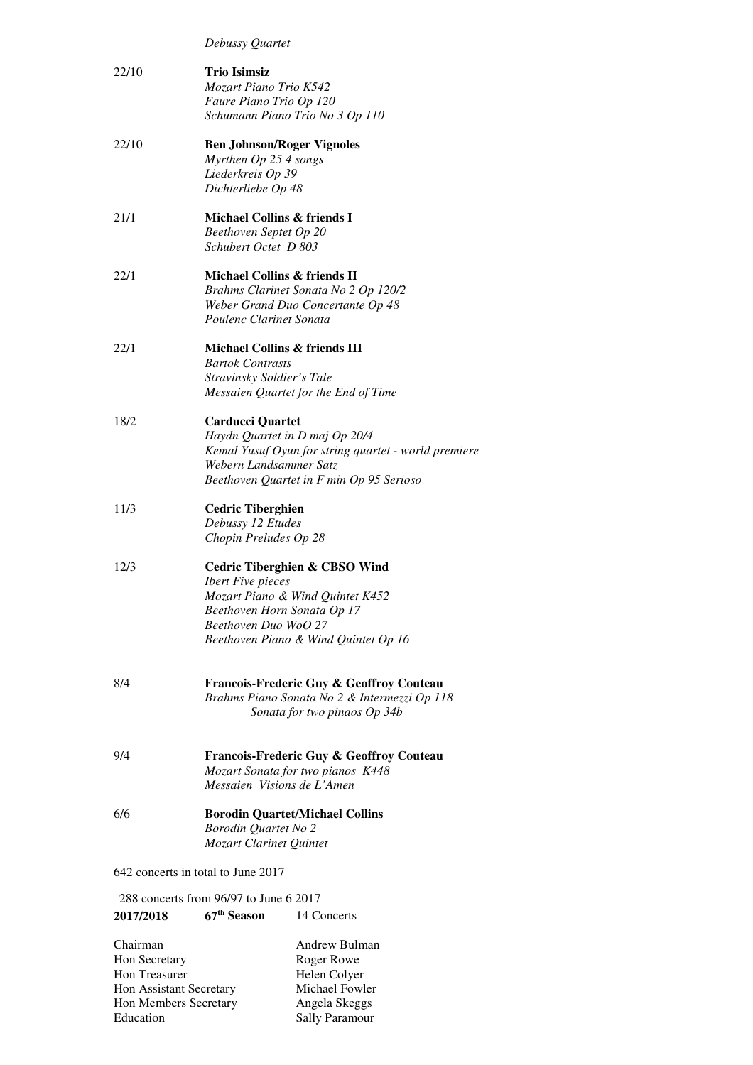| Debussy Quartet |
|-----------------|
|-----------------|

| 22/10                              | <b>Trio Isimsiz</b><br>Mozart Piano Trio K542        |
|------------------------------------|------------------------------------------------------|
|                                    | Faure Piano Trio Op 120                              |
|                                    | Schumann Piano Trio No 3 Op 110                      |
| 22/10                              | <b>Ben Johnson/Roger Vignoles</b>                    |
|                                    | Myrthen Op 25 4 songs                                |
|                                    | Liederkreis Op 39                                    |
|                                    | Dichterliebe Op 48                                   |
| 21/1                               | Michael Collins & friends I                          |
|                                    | Beethoven Septet Op 20                               |
|                                    | Schubert Octet D 803                                 |
| 22/1                               | Michael Collins & friends II                         |
|                                    | Brahms Clarinet Sonata No 2 Op 120/2                 |
|                                    | Weber Grand Duo Concertante Op 48                    |
|                                    | Poulenc Clarinet Sonata                              |
| 22/1                               | Michael Collins & friends III                        |
|                                    | <b>Bartok Contrasts</b>                              |
|                                    | Stravinsky Soldier's Tale                            |
|                                    | Messaien Quartet for the End of Time                 |
| 18/2                               | <b>Carducci Quartet</b>                              |
|                                    | Haydn Quartet in D maj Op 20/4                       |
|                                    | Kemal Yusuf Oyun for string quartet - world premiere |
|                                    | Webern Landsammer Satz                               |
|                                    | Beethoven Quartet in F min Op 95 Serioso             |
| 11/3                               | <b>Cedric Tiberghien</b>                             |
|                                    | Debussy 12 Etudes                                    |
|                                    | Chopin Preludes Op 28                                |
| 12/3                               | <b>Cedric Tiberghien &amp; CBSO Wind</b>             |
|                                    | <b>Ibert Five pieces</b>                             |
|                                    | Mozart Piano & Wind Quintet K452                     |
|                                    | Beethoven Horn Sonata Op 17                          |
|                                    | Beethoven Duo WoO 27                                 |
|                                    | Beethoven Piano & Wind Quintet Op 16                 |
|                                    |                                                      |
| 8/4                                | Francois-Frederic Guy & Geoffroy Couteau             |
|                                    | Brahms Piano Sonata No 2 & Intermezzi Op 118         |
|                                    | Sonata for two pinaos Op 34b                         |
| 9/4                                | Francois-Frederic Guy & Geoffroy Couteau             |
|                                    | Mozart Sonata for two pianos K448                    |
|                                    | Messaien Visions de L'Amen                           |
|                                    |                                                      |
| 6/6                                | <b>Borodin Quartet/Michael Collins</b>               |
|                                    | <b>Borodin Quartet No 2</b>                          |
|                                    | Mozart Clarinet Quintet                              |
| 642 concerts in total to June 2017 |                                                      |

 288 concerts from 96/97 to June 6 2017  **2017/2018 67th Season** 14 Concerts

| Chairman                | Andrew Bulman         |
|-------------------------|-----------------------|
| Hon Secretary           | Roger Rowe            |
| <b>Hon Treasurer</b>    | Helen Colyer          |
| Hon Assistant Secretary | Michael Fowler        |
| Hon Members Secretary   | Angela Skeggs         |
| Education               | <b>Sally Paramour</b> |
|                         |                       |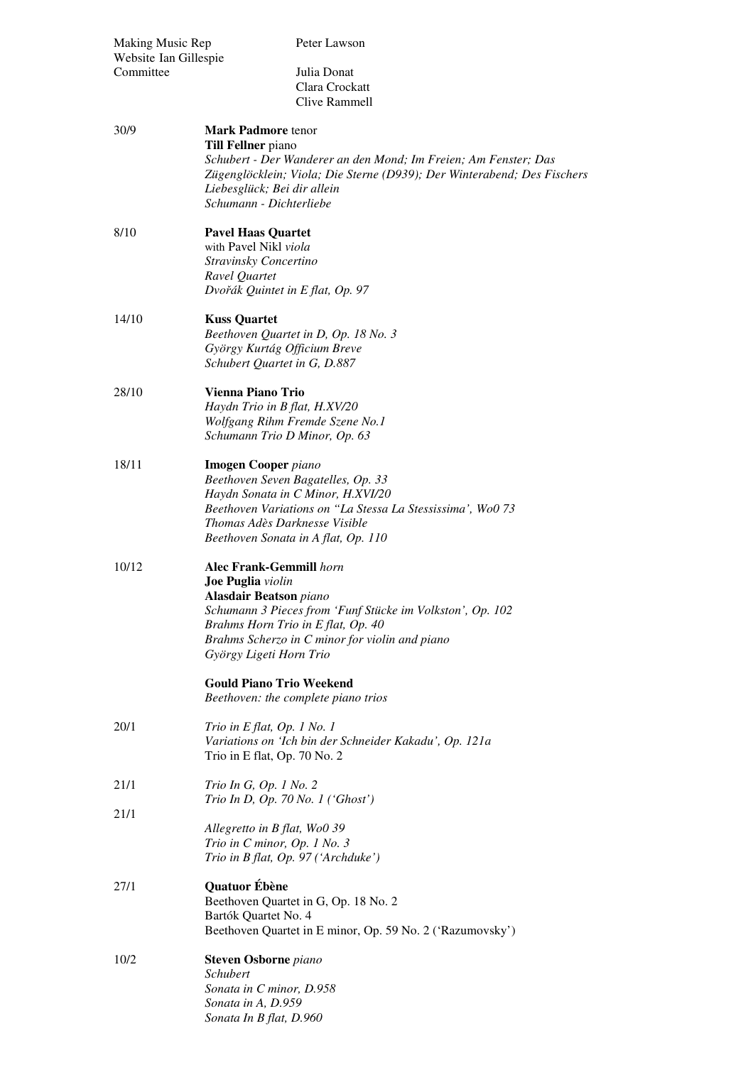| Making Music Rep<br>Website Ian Gillespie<br>Committee | Peter Lawson<br>Julia Donat<br>Clara Crockatt<br>Clive Rammell                                                                                                                                                                                                                                                                                 |
|--------------------------------------------------------|------------------------------------------------------------------------------------------------------------------------------------------------------------------------------------------------------------------------------------------------------------------------------------------------------------------------------------------------|
| 30/9                                                   | <b>Mark Padmore tenor</b><br><b>Till Fellner</b> piano<br>Schubert - Der Wanderer an den Mond; Im Freien; Am Fenster; Das<br>Zügenglöcklein; Viola; Die Sterne (D939); Der Winterabend; Des Fischers<br>Liebesglück; Bei dir allein<br>Schumann - Dichterliebe                                                                                 |
| 8/10                                                   | <b>Pavel Haas Quartet</b><br>with Pavel Nikl viola<br>Stravinsky Concertino<br>Ravel Quartet<br>Dvořák Quintet in E flat, Op. 97                                                                                                                                                                                                               |
| 14/10                                                  | <b>Kuss Quartet</b><br>Beethoven Quartet in D, Op. 18 No. 3<br>György Kurtág Officium Breve<br>Schubert Quartet in G, D.887                                                                                                                                                                                                                    |
| 28/10                                                  | Vienna Piano Trio<br>Haydn Trio in B flat, H.XV/20<br>Wolfgang Rihm Fremde Szene No.1<br>Schumann Trio D Minor, Op. 63                                                                                                                                                                                                                         |
| 18/11                                                  | <b>Imogen Cooper</b> piano<br>Beethoven Seven Bagatelles, Op. 33<br>Haydn Sonata in C Minor, H.XVI/20<br>Beethoven Variations on "La Stessa La Stessissima', WoO 73<br>Thomas Adès Darknesse Visible<br>Beethoven Sonata in A flat, Op. 110                                                                                                    |
| 10/12                                                  | <b>Alec Frank-Gemmill</b> horn<br>Joe Puglia violin<br><b>Alasdair Beatson</b> piano<br>Schumann 3 Pieces from 'Funf Stücke im Volkston', Op. 102<br>Brahms Horn Trio in E flat, Op. 40<br>Brahms Scherzo in C minor for violin and piano<br>György Ligeti Horn Trio<br><b>Gould Piano Trio Weekend</b><br>Beethoven: the complete piano trios |
| 20/1                                                   | Trio in E flat, Op. 1 No. 1<br>Variations on 'Ich bin der Schneider Kakadu', Op. 121a<br>Trio in E flat, Op. 70 No. 2                                                                                                                                                                                                                          |
| 21/1                                                   | Trio In G, Op. 1 No. 2<br>Trio In D, Op. 70 No. 1 ('Ghost')                                                                                                                                                                                                                                                                                    |
| 21/1                                                   | Allegretto in B flat, Wo0 39<br>Trio in C minor, Op. 1 No. 3<br>Trio in B flat, Op. 97 ('Archduke')                                                                                                                                                                                                                                            |
| 27/1                                                   | Quatuor Ébène<br>Beethoven Quartet in G, Op. 18 No. 2<br>Bartók Quartet No. 4<br>Beethoven Quartet in E minor, Op. 59 No. 2 ('Razumovsky')                                                                                                                                                                                                     |
| 10/2                                                   | <b>Steven Osborne</b> piano<br>Schubert<br>Sonata in C minor, D.958<br>Sonata in A, D.959<br>Sonata In B flat, D.960                                                                                                                                                                                                                           |